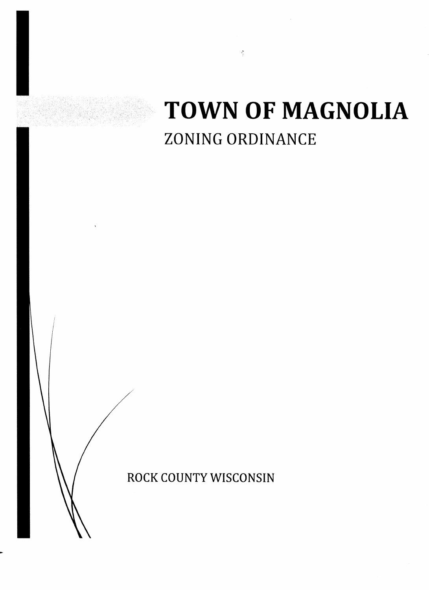# **TOWN OF MAGNOLIA**  ZONING ORDINANCE

ž

ROCK COUNTY WISCONSIN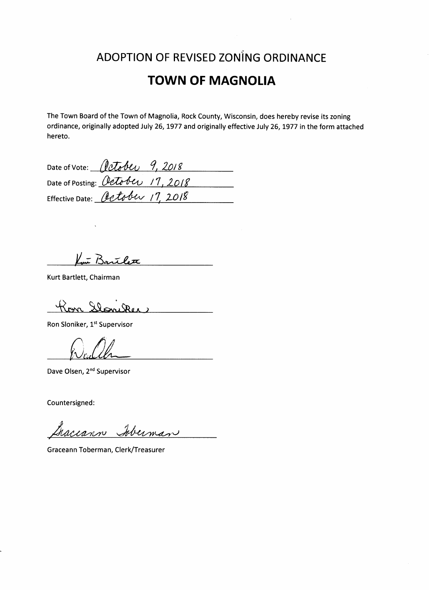# ADOPTION OF REVISED ZONING ORDINANCE

# **TOWN OF MAGNOLIA**

The Town Board of the Town of Magnolia, Rock County, Wisconsin, does hereby revise its zoning ordinance, originally adopted July 26,1977 and originally effective July 26,1977 in the form attached hereto.

| Date of Vote: <i>(letober 9, 2018</i> |  |
|---------------------------------------|--|
| Date of Posting: October 17, 2018     |  |
| Effective Date: October 17, 2018      |  |

Lui Bartlett

Kurt Bartlett, Chairman

Kon <u>Slaniker</u>

Ron Sloniker, 1<sup>st</sup> Supervisor

 $\bigcap$ 

Dave Olsen, 2<sup>nd</sup> Supervisor

Countersigned:

Gaccann Iberman

Graceann Toberman, Clerk/Treasurer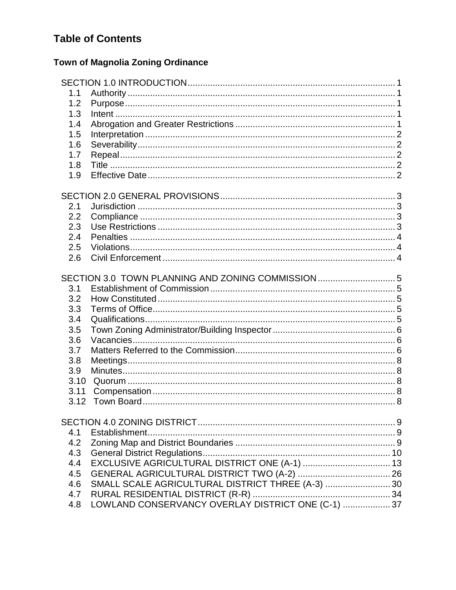# **Table of Contents**

# **Town of Magnolia Zoning Ordinance**

| 1.1  |                                                    |  |
|------|----------------------------------------------------|--|
| 1.2  |                                                    |  |
| 1.3  |                                                    |  |
| 1.4  |                                                    |  |
| 1.5  |                                                    |  |
| 1.6  |                                                    |  |
| 1.7  |                                                    |  |
| 1.8  |                                                    |  |
| 1.9  |                                                    |  |
|      |                                                    |  |
| 2.1  |                                                    |  |
| 2.2  |                                                    |  |
| 2.3  |                                                    |  |
| 2.4  |                                                    |  |
| 2.5  |                                                    |  |
| 2.6  |                                                    |  |
|      |                                                    |  |
|      | SECTION 3.0 TOWN PLANNING AND ZONING COMMISSION  5 |  |
| 3.1  |                                                    |  |
| 3.2  |                                                    |  |
| 3.3  |                                                    |  |
| 3.4  |                                                    |  |
| 3.5  |                                                    |  |
| 3.6  |                                                    |  |
| 3.7  |                                                    |  |
| 3.8  |                                                    |  |
| 3.9  |                                                    |  |
| 3.10 |                                                    |  |
| 3.11 |                                                    |  |
| 3.12 |                                                    |  |
|      |                                                    |  |
|      |                                                    |  |
| 4.1  |                                                    |  |
| 4.2  |                                                    |  |
| 4.3  |                                                    |  |
| 4.4  |                                                    |  |
| 4.5  |                                                    |  |
| 4.6  | SMALL SCALE AGRICULTURAL DISTRICT THREE (A-3)  30  |  |
| 4.7  |                                                    |  |
| 4.8  |                                                    |  |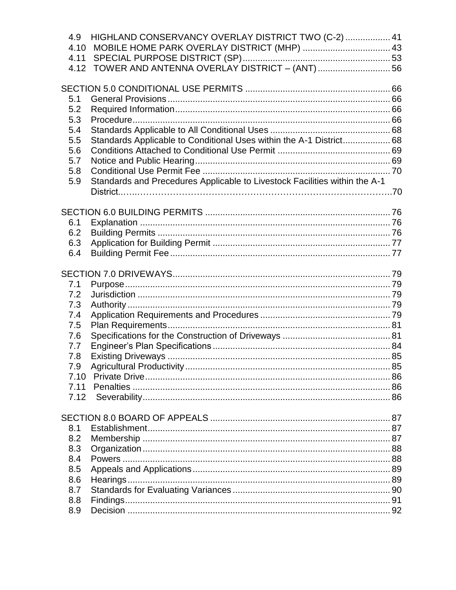| 4.9        | HIGHLAND CONSERVANCY OVERLAY DISTRICT TWO (C-2)  41                        |  |
|------------|----------------------------------------------------------------------------|--|
|            | 4.10 MOBILE HOME PARK OVERLAY DISTRICT (MHP)  43                           |  |
| 4.11       |                                                                            |  |
| 4.12       |                                                                            |  |
|            |                                                                            |  |
|            |                                                                            |  |
| 5.1        |                                                                            |  |
| 5.2        |                                                                            |  |
| 5.3        |                                                                            |  |
| 5.4        |                                                                            |  |
| 5.5<br>5.6 | Standards Applicable to Conditional Uses within the A-1 District 68        |  |
| 5.7        |                                                                            |  |
| 5.8        |                                                                            |  |
| 5.9        | Standards and Precedures Applicable to Livestock Facilities within the A-1 |  |
|            |                                                                            |  |
|            |                                                                            |  |
|            |                                                                            |  |
| 6.1        |                                                                            |  |
| 6.2        |                                                                            |  |
| 6.3        |                                                                            |  |
| 6.4        |                                                                            |  |
|            |                                                                            |  |
|            |                                                                            |  |
| 7.1        |                                                                            |  |
| 7.2        |                                                                            |  |
| 7.3        |                                                                            |  |
| 7.4        |                                                                            |  |
| 7.5        |                                                                            |  |
| 7.6        |                                                                            |  |
| 7.7        |                                                                            |  |
| 7.8        |                                                                            |  |
| 7.9        |                                                                            |  |
| 7.10       |                                                                            |  |
| 7.11       |                                                                            |  |
| 7.12       |                                                                            |  |
|            |                                                                            |  |
|            |                                                                            |  |
| 8.1        |                                                                            |  |
| 8.2        |                                                                            |  |
| 8.3        |                                                                            |  |
| 8.4        |                                                                            |  |
| 8.5        |                                                                            |  |
| 8.6        |                                                                            |  |
| 8.7        |                                                                            |  |
| 8.8        |                                                                            |  |
| 8.9        |                                                                            |  |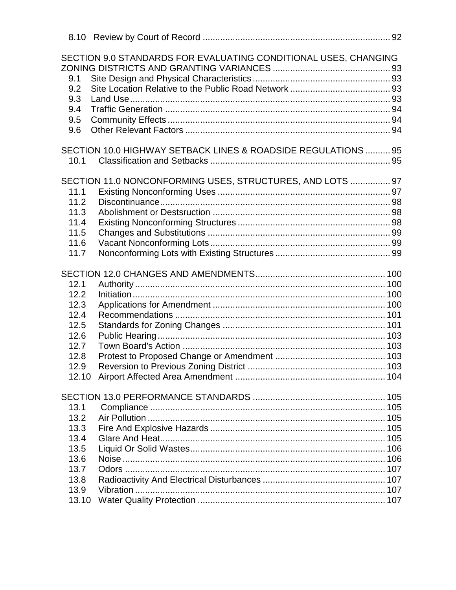|       | SECTION 9.0 STANDARDS FOR EVALUATING CONDITIONAL USES, CHANGING |  |
|-------|-----------------------------------------------------------------|--|
|       |                                                                 |  |
| 9.1   |                                                                 |  |
| 9.2   |                                                                 |  |
| 9.3   |                                                                 |  |
| 9.4   |                                                                 |  |
| 9.5   |                                                                 |  |
| 9.6   |                                                                 |  |
|       | SECTION 10.0 HIGHWAY SETBACK LINES & ROADSIDE REGULATIONS  95   |  |
| 10.1  |                                                                 |  |
|       |                                                                 |  |
|       | SECTION 11.0 NONCONFORMING USES, STRUCTURES, AND LOTS  97       |  |
| 11.1  |                                                                 |  |
| 11.2  |                                                                 |  |
| 11.3  |                                                                 |  |
| 11.4  |                                                                 |  |
| 11.5  |                                                                 |  |
| 11.6  |                                                                 |  |
| 11.7  |                                                                 |  |
|       |                                                                 |  |
| 12.1  |                                                                 |  |
| 12.2  |                                                                 |  |
| 12.3  |                                                                 |  |
| 12.4  |                                                                 |  |
| 12.5  |                                                                 |  |
| 12.6  |                                                                 |  |
| 12.7  |                                                                 |  |
| 12.8  |                                                                 |  |
| 12.9  |                                                                 |  |
| 12.10 |                                                                 |  |
|       |                                                                 |  |
|       |                                                                 |  |
| 13.1  |                                                                 |  |
| 13.2  |                                                                 |  |
| 13.3  |                                                                 |  |
| 13.4  |                                                                 |  |
| 13.5  |                                                                 |  |
| 13.6  |                                                                 |  |
| 13.7  |                                                                 |  |
| 13.8  |                                                                 |  |
| 13.9  |                                                                 |  |
| 13.10 |                                                                 |  |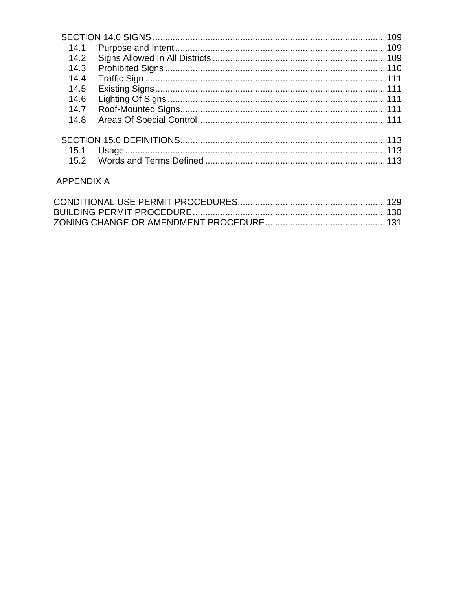| 14.1 |  |
|------|--|
| 14.2 |  |
| 14.3 |  |
| 14.4 |  |
| 14.5 |  |
| 14.6 |  |
| 14.7 |  |
| 14.8 |  |
|      |  |
| 15.1 |  |
|      |  |
|      |  |

## **APPENDIX A**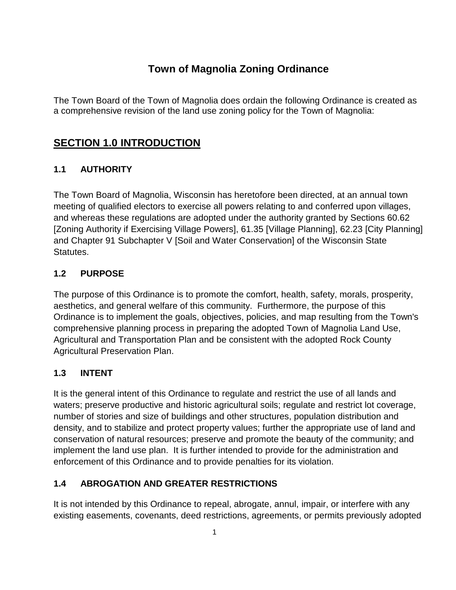# **Town of Magnolia Zoning Ordinance**

The Town Board of the Town of Magnolia does ordain the following Ordinance is created as a comprehensive revision of the land use zoning policy for the Town of Magnolia:

# **SECTION 1.0 INTRODUCTION**

## **1.1 AUTHORITY**

The Town Board of Magnolia, Wisconsin has heretofore been directed, at an annual town meeting of qualified electors to exercise all powers relating to and conferred upon villages, and whereas these regulations are adopted under the authority granted by Sections 60.62 [Zoning Authority if Exercising Village Powers], 61.35 [Village Planning], 62.23 [City Planning] and Chapter 91 Subchapter V [Soil and Water Conservation] of the Wisconsin State Statutes.

#### **1.2 PURPOSE**

The purpose of this Ordinance is to promote the comfort, health, safety, morals, prosperity, aesthetics, and general welfare of this community. Furthermore, the purpose of this Ordinance is to implement the goals, objectives, policies, and map resulting from the Town's comprehensive planning process in preparing the adopted Town of Magnolia Land Use, Agricultural and Transportation Plan and be consistent with the adopted Rock County Agricultural Preservation Plan.

#### **1.3 INTENT**

It is the general intent of this Ordinance to regulate and restrict the use of all lands and waters; preserve productive and historic agricultural soils; regulate and restrict lot coverage, number of stories and size of buildings and other structures, population distribution and density, and to stabilize and protect property values; further the appropriate use of land and conservation of natural resources; preserve and promote the beauty of the community; and implement the land use plan. It is further intended to provide for the administration and enforcement of this Ordinance and to provide penalties for its violation.

#### **1.4 ABROGATION AND GREATER RESTRICTIONS**

It is not intended by this Ordinance to repeal, abrogate, annul, impair, or interfere with any existing easements, covenants, deed restrictions, agreements, or permits previously adopted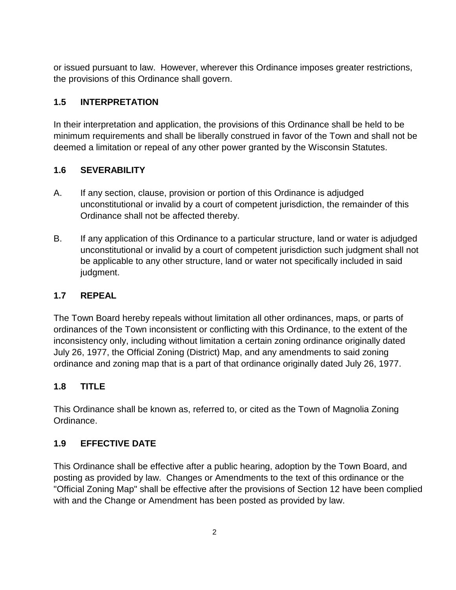or issued pursuant to law. However, wherever this Ordinance imposes greater restrictions, the provisions of this Ordinance shall govern.

#### **1.5 INTERPRETATION**

In their interpretation and application, the provisions of this Ordinance shall be held to be minimum requirements and shall be liberally construed in favor of the Town and shall not be deemed a limitation or repeal of any other power granted by the Wisconsin Statutes.

#### **1.6 SEVERABILITY**

- A. If any section, clause, provision or portion of this Ordinance is adjudged unconstitutional or invalid by a court of competent jurisdiction, the remainder of this Ordinance shall not be affected thereby.
- B. If any application of this Ordinance to a particular structure, land or water is adjudged unconstitutional or invalid by a court of competent jurisdiction such judgment shall not be applicable to any other structure, land or water not specifically included in said judgment.

#### **1.7 REPEAL**

The Town Board hereby repeals without limitation all other ordinances, maps, or parts of ordinances of the Town inconsistent or conflicting with this Ordinance, to the extent of the inconsistency only, including without limitation a certain zoning ordinance originally dated July 26, 1977, the Official Zoning (District) Map, and any amendments to said zoning ordinance and zoning map that is a part of that ordinance originally dated July 26, 1977.

#### **1.8 TITLE**

This Ordinance shall be known as, referred to, or cited as the Town of Magnolia Zoning Ordinance.

#### **1.9 EFFECTIVE DATE**

This Ordinance shall be effective after a public hearing, adoption by the Town Board, and posting as provided by law. Changes or Amendments to the text of this ordinance or the "Official Zoning Map" shall be effective after the provisions of Section 12 have been complied with and the Change or Amendment has been posted as provided by law.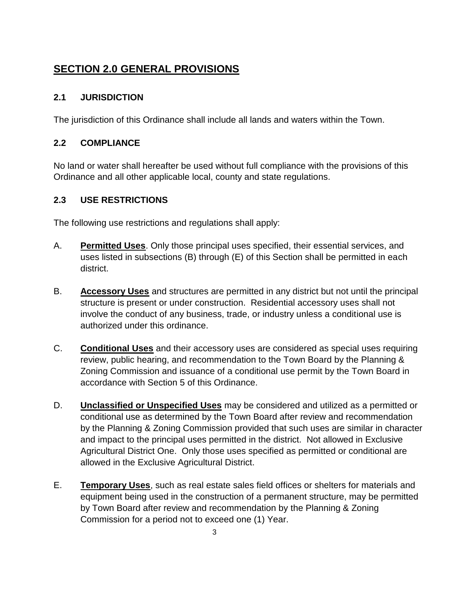# **SECTION 2.0 GENERAL PROVISIONS**

#### **2.1 JURISDICTION**

The jurisdiction of this Ordinance shall include all lands and waters within the Town.

#### **2.2 COMPLIANCE**

No land or water shall hereafter be used without full compliance with the provisions of this Ordinance and all other applicable local, county and state regulations.

#### **2.3 USE RESTRICTIONS**

The following use restrictions and regulations shall apply:

- A. **Permitted Uses**. Only those principal uses specified, their essential services, and uses listed in subsections (B) through (E) of this Section shall be permitted in each district.
- B. **Accessory Uses** and structures are permitted in any district but not until the principal structure is present or under construction. Residential accessory uses shall not involve the conduct of any business, trade, or industry unless a conditional use is authorized under this ordinance.
- C. **Conditional Uses** and their accessory uses are considered as special uses requiring review, public hearing, and recommendation to the Town Board by the Planning & Zoning Commission and issuance of a conditional use permit by the Town Board in accordance with Section 5 of this Ordinance.
- D. **Unclassified or Unspecified Uses** may be considered and utilized as a permitted or conditional use as determined by the Town Board after review and recommendation by the Planning & Zoning Commission provided that such uses are similar in character and impact to the principal uses permitted in the district. Not allowed in Exclusive Agricultural District One. Only those uses specified as permitted or conditional are allowed in the Exclusive Agricultural District.
- E. **Temporary Uses**, such as real estate sales field offices or shelters for materials and equipment being used in the construction of a permanent structure, may be permitted by Town Board after review and recommendation by the Planning & Zoning Commission for a period not to exceed one (1) Year.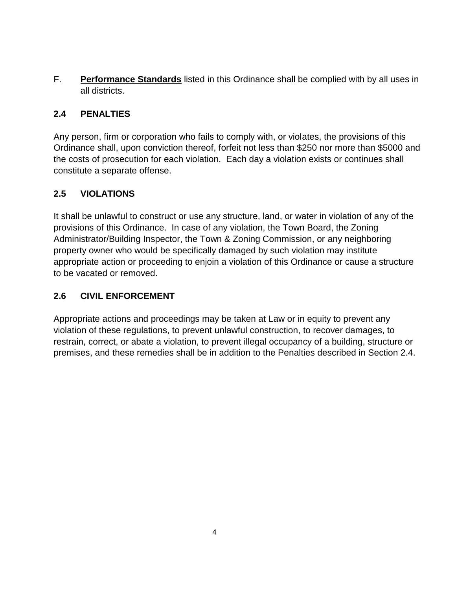F. **Performance Standards** listed in this Ordinance shall be complied with by all uses in all districts.

#### **2.4 PENALTIES**

Any person, firm or corporation who fails to comply with, or violates, the provisions of this Ordinance shall, upon conviction thereof, forfeit not less than \$250 nor more than \$5000 and the costs of prosecution for each violation. Each day a violation exists or continues shall constitute a separate offense.

#### **2.5 VIOLATIONS**

It shall be unlawful to construct or use any structure, land, or water in violation of any of the provisions of this Ordinance. In case of any violation, the Town Board, the Zoning Administrator/Building Inspector, the Town & Zoning Commission, or any neighboring property owner who would be specifically damaged by such violation may institute appropriate action or proceeding to enjoin a violation of this Ordinance or cause a structure to be vacated or removed.

#### **2.6 CIVIL ENFORCEMENT**

Appropriate actions and proceedings may be taken at Law or in equity to prevent any violation of these regulations, to prevent unlawful construction, to recover damages, to restrain, correct, or abate a violation, to prevent illegal occupancy of a building, structure or premises, and these remedies shall be in addition to the Penalties described in Section 2.4.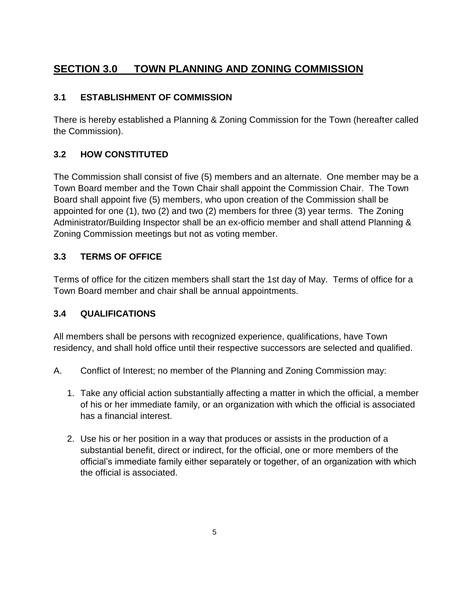# **SECTION 3.0 TOWN PLANNING AND ZONING COMMISSION**

#### **3.1 ESTABLISHMENT OF COMMISSION**

There is hereby established a Planning & Zoning Commission for the Town (hereafter called the Commission).

## **3.2 HOW CONSTITUTED**

The Commission shall consist of five (5) members and an alternate. One member may be a Town Board member and the Town Chair shall appoint the Commission Chair. The Town Board shall appoint five (5) members, who upon creation of the Commission shall be appointed for one (1), two (2) and two (2) members for three (3) year terms. The Zoning Administrator/Building Inspector shall be an ex-officio member and shall attend Planning & Zoning Commission meetings but not as voting member.

#### **3.3 TERMS OF OFFICE**

Terms of office for the citizen members shall start the 1st day of May. Terms of office for a Town Board member and chair shall be annual appointments.

#### **3.4 QUALIFICATIONS**

All members shall be persons with recognized experience, qualifications, have Town residency, and shall hold office until their respective successors are selected and qualified.

- A. Conflict of Interest; no member of the Planning and Zoning Commission may:
	- 1. Take any official action substantially affecting a matter in which the official, a member of his or her immediate family, or an organization with which the official is associated has a financial interest.
	- 2. Use his or her position in a way that produces or assists in the production of a substantial benefit, direct or indirect, for the official, one or more members of the official's immediate family either separately or together, of an organization with which the official is associated.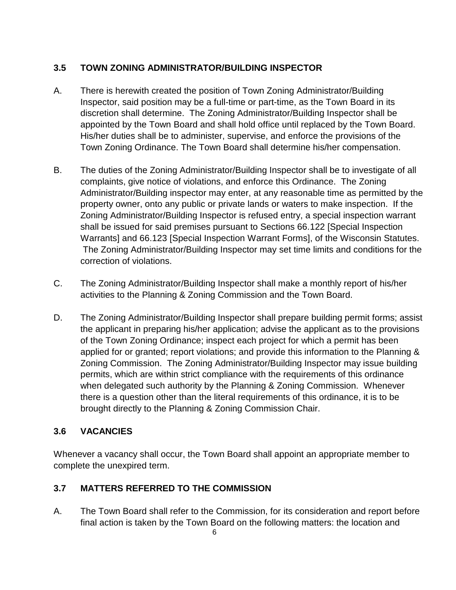#### **3.5 TOWN ZONING ADMINISTRATOR/BUILDING INSPECTOR**

- A. There is herewith created the position of Town Zoning Administrator/Building Inspector, said position may be a full-time or part-time, as the Town Board in its discretion shall determine. The Zoning Administrator/Building Inspector shall be appointed by the Town Board and shall hold office until replaced by the Town Board. His/her duties shall be to administer, supervise, and enforce the provisions of the Town Zoning Ordinance. The Town Board shall determine his/her compensation.
- B. The duties of the Zoning Administrator/Building Inspector shall be to investigate of all complaints, give notice of violations, and enforce this Ordinance. The Zoning Administrator/Building inspector may enter, at any reasonable time as permitted by the property owner, onto any public or private lands or waters to make inspection. If the Zoning Administrator/Building Inspector is refused entry, a special inspection warrant shall be issued for said premises pursuant to Sections 66.122 [Special Inspection Warrants] and 66.123 [Special Inspection Warrant Forms], of the Wisconsin Statutes. The Zoning Administrator/Building Inspector may set time limits and conditions for the correction of violations.
- C. The Zoning Administrator/Building Inspector shall make a monthly report of his/her activities to the Planning & Zoning Commission and the Town Board.
- D. The Zoning Administrator/Building Inspector shall prepare building permit forms; assist the applicant in preparing his/her application; advise the applicant as to the provisions of the Town Zoning Ordinance; inspect each project for which a permit has been applied for or granted; report violations; and provide this information to the Planning & Zoning Commission. The Zoning Administrator/Building Inspector may issue building permits, which are within strict compliance with the requirements of this ordinance when delegated such authority by the Planning & Zoning Commission. Whenever there is a question other than the literal requirements of this ordinance, it is to be brought directly to the Planning & Zoning Commission Chair.

#### **3.6 VACANCIES**

Whenever a vacancy shall occur, the Town Board shall appoint an appropriate member to complete the unexpired term.

#### **3.7 MATTERS REFERRED TO THE COMMISSION**

A. The Town Board shall refer to the Commission, for its consideration and report before final action is taken by the Town Board on the following matters: the location and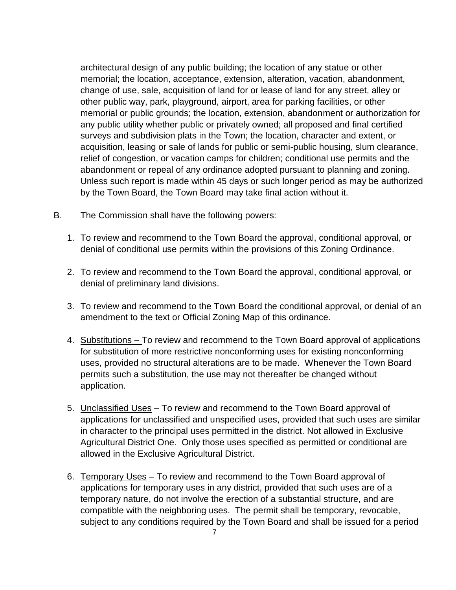architectural design of any public building; the location of any statue or other memorial; the location, acceptance, extension, alteration, vacation, abandonment, change of use, sale, acquisition of land for or lease of land for any street, alley or other public way, park, playground, airport, area for parking facilities, or other memorial or public grounds; the location, extension, abandonment or authorization for any public utility whether public or privately owned; all proposed and final certified surveys and subdivision plats in the Town; the location, character and extent, or acquisition, leasing or sale of lands for public or semi-public housing, slum clearance, relief of congestion, or vacation camps for children; conditional use permits and the abandonment or repeal of any ordinance adopted pursuant to planning and zoning. Unless such report is made within 45 days or such longer period as may be authorized by the Town Board, the Town Board may take final action without it.

- B. The Commission shall have the following powers:
	- 1. To review and recommend to the Town Board the approval, conditional approval, or denial of conditional use permits within the provisions of this Zoning Ordinance.
	- 2. To review and recommend to the Town Board the approval, conditional approval, or denial of preliminary land divisions.
	- 3. To review and recommend to the Town Board the conditional approval, or denial of an amendment to the text or Official Zoning Map of this ordinance.
	- 4. Substitutions To review and recommend to the Town Board approval of applications for substitution of more restrictive nonconforming uses for existing nonconforming uses, provided no structural alterations are to be made. Whenever the Town Board permits such a substitution, the use may not thereafter be changed without application.
	- 5. Unclassified Uses To review and recommend to the Town Board approval of applications for unclassified and unspecified uses, provided that such uses are similar in character to the principal uses permitted in the district. Not allowed in Exclusive Agricultural District One. Only those uses specified as permitted or conditional are allowed in the Exclusive Agricultural District.
	- 6. Temporary Uses To review and recommend to the Town Board approval of applications for temporary uses in any district, provided that such uses are of a temporary nature, do not involve the erection of a substantial structure, and are compatible with the neighboring uses. The permit shall be temporary, revocable, subject to any conditions required by the Town Board and shall be issued for a period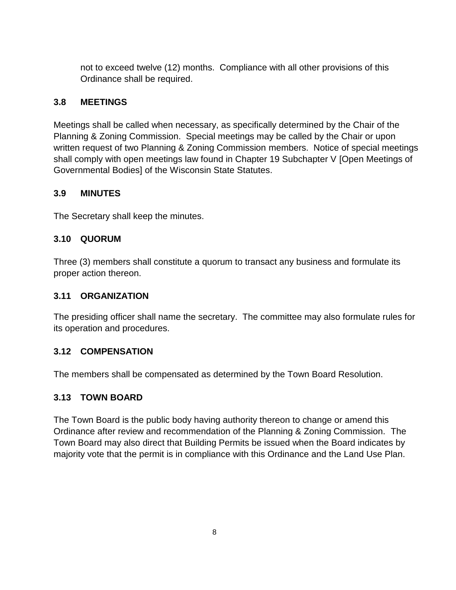not to exceed twelve (12) months. Compliance with all other provisions of this Ordinance shall be required.

#### **3.8 MEETINGS**

Meetings shall be called when necessary, as specifically determined by the Chair of the Planning & Zoning Commission. Special meetings may be called by the Chair or upon written request of two Planning & Zoning Commission members. Notice of special meetings shall comply with open meetings law found in Chapter 19 Subchapter V [Open Meetings of Governmental Bodies] of the Wisconsin State Statutes.

#### **3.9 MINUTES**

The Secretary shall keep the minutes.

#### **3.10 QUORUM**

Three (3) members shall constitute a quorum to transact any business and formulate its proper action thereon.

#### **3.11 ORGANIZATION**

The presiding officer shall name the secretary. The committee may also formulate rules for its operation and procedures.

#### **3.12 COMPENSATION**

The members shall be compensated as determined by the Town Board Resolution.

#### **3.13 TOWN BOARD**

The Town Board is the public body having authority thereon to change or amend this Ordinance after review and recommendation of the Planning & Zoning Commission. The Town Board may also direct that Building Permits be issued when the Board indicates by majority vote that the permit is in compliance with this Ordinance and the Land Use Plan.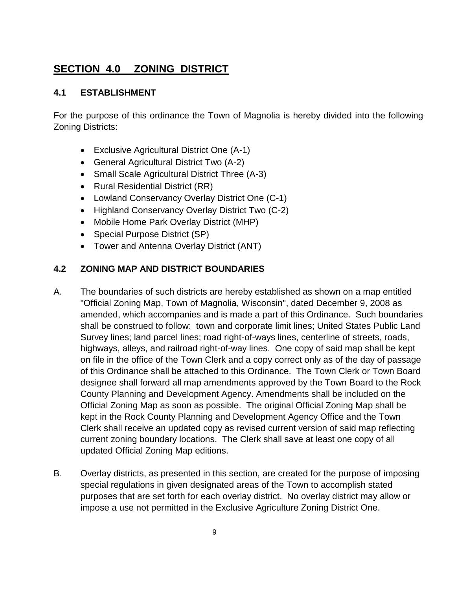# **SECTION 4.0 ZONING DISTRICT**

#### **4.1 ESTABLISHMENT**

For the purpose of this ordinance the Town of Magnolia is hereby divided into the following Zoning Districts:

- Exclusive Agricultural District One (A-1)
- General Agricultural District Two (A-2)
- Small Scale Agricultural District Three (A-3)
- Rural Residential District (RR)
- Lowland Conservancy Overlay District One (C-1)
- Highland Conservancy Overlay District Two (C-2)
- Mobile Home Park Overlay District (MHP)
- Special Purpose District (SP)
- Tower and Antenna Overlay District (ANT)

#### **4.2 ZONING MAP AND DISTRICT BOUNDARIES**

- A. The boundaries of such districts are hereby established as shown on a map entitled "Official Zoning Map, Town of Magnolia, Wisconsin", dated December 9, 2008 as amended, which accompanies and is made a part of this Ordinance. Such boundaries shall be construed to follow: town and corporate limit lines; United States Public Land Survey lines; land parcel lines; road right-of-ways lines, centerline of streets, roads, highways, alleys, and railroad right-of-way lines. One copy of said map shall be kept on file in the office of the Town Clerk and a copy correct only as of the day of passage of this Ordinance shall be attached to this Ordinance. The Town Clerk or Town Board designee shall forward all map amendments approved by the Town Board to the Rock County Planning and Development Agency. Amendments shall be included on the Official Zoning Map as soon as possible. The original Official Zoning Map shall be kept in the Rock County Planning and Development Agency Office and the Town Clerk shall receive an updated copy as revised current version of said map reflecting current zoning boundary locations. The Clerk shall save at least one copy of all updated Official Zoning Map editions.
- B. Overlay districts, as presented in this section, are created for the purpose of imposing special regulations in given designated areas of the Town to accomplish stated purposes that are set forth for each overlay district. No overlay district may allow or impose a use not permitted in the Exclusive Agriculture Zoning District One.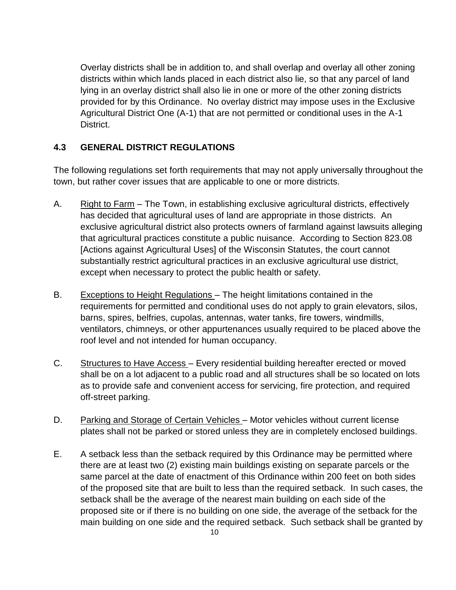Overlay districts shall be in addition to, and shall overlap and overlay all other zoning districts within which lands placed in each district also lie, so that any parcel of land lying in an overlay district shall also lie in one or more of the other zoning districts provided for by this Ordinance. No overlay district may impose uses in the Exclusive Agricultural District One (A-1) that are not permitted or conditional uses in the A-1 District.

#### **4.3 GENERAL DISTRICT REGULATIONS**

The following regulations set forth requirements that may not apply universally throughout the town, but rather cover issues that are applicable to one or more districts.

- A. Right to Farm The Town, in establishing exclusive agricultural districts, effectively has decided that agricultural uses of land are appropriate in those districts. An exclusive agricultural district also protects owners of farmland against lawsuits alleging that agricultural practices constitute a public nuisance. According to Section 823.08 [Actions against Agricultural Uses] of the Wisconsin Statutes, the court cannot substantially restrict agricultural practices in an exclusive agricultural use district, except when necessary to protect the public health or safety.
- B. Exceptions to Height Regulations The height limitations contained in the requirements for permitted and conditional uses do not apply to grain elevators, silos, barns, spires, belfries, cupolas, antennas, water tanks, fire towers, windmills, ventilators, chimneys, or other appurtenances usually required to be placed above the roof level and not intended for human occupancy.
- C. Structures to Have Access Every residential building hereafter erected or moved shall be on a lot adjacent to a public road and all structures shall be so located on lots as to provide safe and convenient access for servicing, fire protection, and required off-street parking.
- D. Parking and Storage of Certain Vehicles Motor vehicles without current license plates shall not be parked or stored unless they are in completely enclosed buildings.
- E. A setback less than the setback required by this Ordinance may be permitted where there are at least two (2) existing main buildings existing on separate parcels or the same parcel at the date of enactment of this Ordinance within 200 feet on both sides of the proposed site that are built to less than the required setback. In such cases, the setback shall be the average of the nearest main building on each side of the proposed site or if there is no building on one side, the average of the setback for the main building on one side and the required setback. Such setback shall be granted by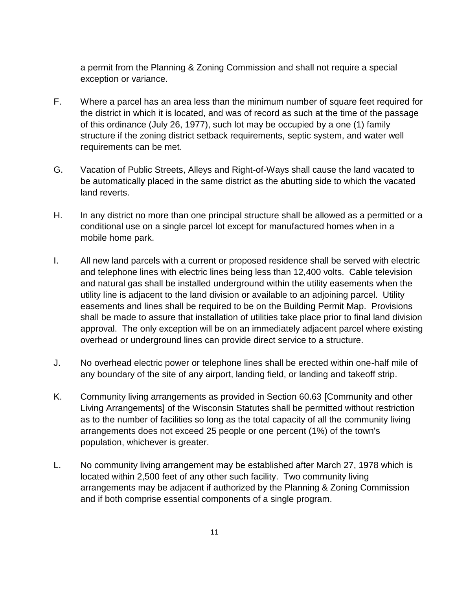a permit from the Planning & Zoning Commission and shall not require a special exception or variance.

- F. Where a parcel has an area less than the minimum number of square feet required for the district in which it is located, and was of record as such at the time of the passage of this ordinance (July 26, 1977), such lot may be occupied by a one (1) family structure if the zoning district setback requirements, septic system, and water well requirements can be met.
- G. Vacation of Public Streets, Alleys and Right-of-Ways shall cause the land vacated to be automatically placed in the same district as the abutting side to which the vacated land reverts.
- H. In any district no more than one principal structure shall be allowed as a permitted or a conditional use on a single parcel lot except for manufactured homes when in a mobile home park.
- I. All new land parcels with a current or proposed residence shall be served with electric and telephone lines with electric lines being less than 12,400 volts. Cable television and natural gas shall be installed underground within the utility easements when the utility line is adjacent to the land division or available to an adjoining parcel. Utility easements and lines shall be required to be on the Building Permit Map. Provisions shall be made to assure that installation of utilities take place prior to final land division approval. The only exception will be on an immediately adjacent parcel where existing overhead or underground lines can provide direct service to a structure.
- J. No overhead electric power or telephone lines shall be erected within one-half mile of any boundary of the site of any airport, landing field, or landing and takeoff strip.
- K. Community living arrangements as provided in Section 60.63 [Community and other Living Arrangements] of the Wisconsin Statutes shall be permitted without restriction as to the number of facilities so long as the total capacity of all the community living arrangements does not exceed 25 people or one percent (1%) of the town's population, whichever is greater.
- L. No community living arrangement may be established after March 27, 1978 which is located within 2,500 feet of any other such facility. Two community living arrangements may be adjacent if authorized by the Planning & Zoning Commission and if both comprise essential components of a single program.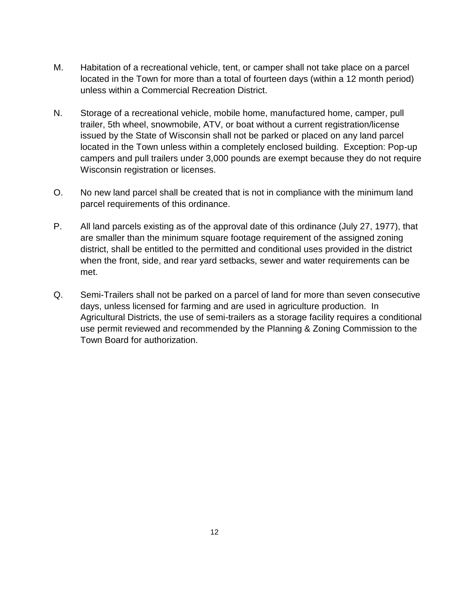- M. Habitation of a recreational vehicle, tent, or camper shall not take place on a parcel located in the Town for more than a total of fourteen days (within a 12 month period) unless within a Commercial Recreation District.
- N. Storage of a recreational vehicle, mobile home, manufactured home, camper, pull trailer, 5th wheel, snowmobile, ATV, or boat without a current registration/license issued by the State of Wisconsin shall not be parked or placed on any land parcel located in the Town unless within a completely enclosed building. Exception: Pop-up campers and pull trailers under 3,000 pounds are exempt because they do not require Wisconsin registration or licenses.
- O. No new land parcel shall be created that is not in compliance with the minimum land parcel requirements of this ordinance.
- P. All land parcels existing as of the approval date of this ordinance (July 27, 1977), that are smaller than the minimum square footage requirement of the assigned zoning district, shall be entitled to the permitted and conditional uses provided in the district when the front, side, and rear yard setbacks, sewer and water requirements can be met.
- Q. Semi-Trailers shall not be parked on a parcel of land for more than seven consecutive days, unless licensed for farming and are used in agriculture production. In Agricultural Districts, the use of semi-trailers as a storage facility requires a conditional use permit reviewed and recommended by the Planning & Zoning Commission to the Town Board for authorization.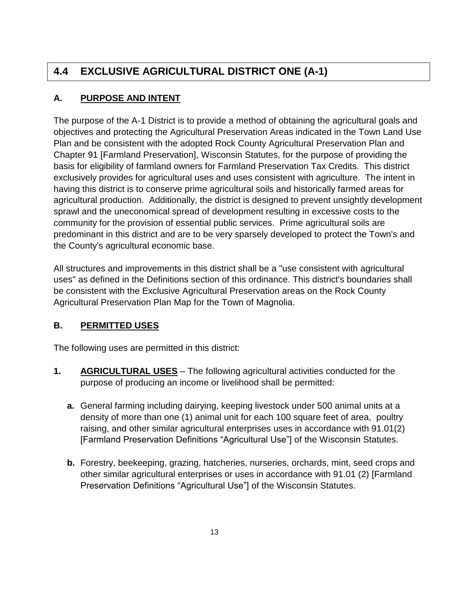# **4.4 EXCLUSIVE AGRICULTURAL DISTRICT ONE (A-1)**

## **A. PURPOSE AND INTENT**

The purpose of the A-1 District is to provide a method of obtaining the agricultural goals and objectives and protecting the Agricultural Preservation Areas indicated in the Town Land Use Plan and be consistent with the adopted Rock County Agricultural Preservation Plan and Chapter 91 [Farmland Preservation], Wisconsin Statutes, for the purpose of providing the basis for eligibility of farmland owners for Farmland Preservation Tax Credits. This district exclusively provides for agricultural uses and uses consistent with agriculture. The intent in having this district is to conserve prime agricultural soils and historically farmed areas for agricultural production. Additionally, the district is designed to prevent unsightly development sprawl and the uneconomical spread of development resulting in excessive costs to the community for the provision of essential public services. Prime agricultural soils are predominant in this district and are to be very sparsely developed to protect the Town's and the County's agricultural economic base.

All structures and improvements in this district shall be a "use consistent with agricultural uses" as defined in the Definitions section of this ordinance. This district's boundaries shall be consistent with the Exclusive Agricultural Preservation areas on the Rock County Agricultural Preservation Plan Map for the Town of Magnolia.

## **B. PERMITTED USES**

The following uses are permitted in this district:

- **1. AGRICULTURAL USES** The following agricultural activities conducted for the purpose of producing an income or livelihood shall be permitted:
	- **a.** General farming including dairying, keeping livestock under 500 animal units at a density of more than one (1) animal unit for each 100 square feet of area, poultry raising, and other similar agricultural enterprises uses in accordance with 91.01(2) [Farmland Preservation Definitions "Agricultural Use"] of the Wisconsin Statutes.
	- **b.** Forestry, beekeeping, grazing, hatcheries, nurseries, orchards, mint, seed crops and other similar agricultural enterprises or uses in accordance with 91.01 (2) [Farmland Preservation Definitions "Agricultural Use"] of the Wisconsin Statutes.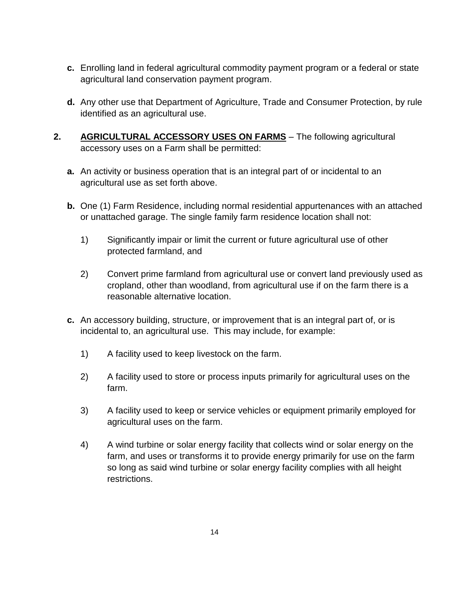- **c.** Enrolling land in federal agricultural commodity payment program or a federal or state agricultural land conservation payment program.
- **d.** Any other use that Department of Agriculture, Trade and Consumer Protection, by rule identified as an agricultural use.
- **2. AGRICULTURAL ACCESSORY USES ON FARMS** The following agricultural accessory uses on a Farm shall be permitted:
	- **a.** An activity or business operation that is an integral part of or incidental to an agricultural use as set forth above.
	- **b.** One (1) Farm Residence, including normal residential appurtenances with an attached or unattached garage. The single family farm residence location shall not:
		- 1) Significantly impair or limit the current or future agricultural use of other protected farmland, and
		- 2) Convert prime farmland from agricultural use or convert land previously used as cropland, other than woodland, from agricultural use if on the farm there is a reasonable alternative location.
	- **c.** An accessory building, structure, or improvement that is an integral part of, or is incidental to, an agricultural use. This may include, for example:
		- 1) A facility used to keep livestock on the farm.
		- 2) A facility used to store or process inputs primarily for agricultural uses on the farm.
		- 3) A facility used to keep or service vehicles or equipment primarily employed for agricultural uses on the farm.
		- 4) A wind turbine or solar energy facility that collects wind or solar energy on the farm, and uses or transforms it to provide energy primarily for use on the farm so long as said wind turbine or solar energy facility complies with all height restrictions.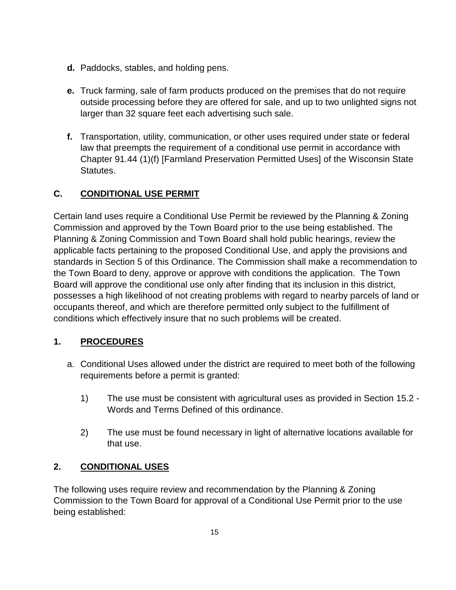- **d.** Paddocks, stables, and holding pens.
- **e.** Truck farming, sale of farm products produced on the premises that do not require outside processing before they are offered for sale, and up to two unlighted signs not larger than 32 square feet each advertising such sale.
- **f.** Transportation, utility, communication, or other uses required under state or federal law that preempts the requirement of a conditional use permit in accordance with Chapter 91.44 (1)(f) [Farmland Preservation Permitted Uses] of the Wisconsin State Statutes.

## **C. CONDITIONAL USE PERMIT**

Certain land uses require a Conditional Use Permit be reviewed by the Planning & Zoning Commission and approved by the Town Board prior to the use being established. The Planning & Zoning Commission and Town Board shall hold public hearings, review the applicable facts pertaining to the proposed Conditional Use, and apply the provisions and standards in Section 5 of this Ordinance. The Commission shall make a recommendation to the Town Board to deny, approve or approve with conditions the application. The Town Board will approve the conditional use only after finding that its inclusion in this district, possesses a high likelihood of not creating problems with regard to nearby parcels of land or occupants thereof, and which are therefore permitted only subject to the fulfillment of conditions which effectively insure that no such problems will be created.

#### **1. PROCEDURES**

- a. Conditional Uses allowed under the district are required to meet both of the following requirements before a permit is granted:
	- 1) The use must be consistent with agricultural uses as provided in Section 15.2 Words and Terms Defined of this ordinance.
	- 2) The use must be found necessary in light of alternative locations available for that use.

#### **2. CONDITIONAL USES**

The following uses require review and recommendation by the Planning & Zoning Commission to the Town Board for approval of a Conditional Use Permit prior to the use being established: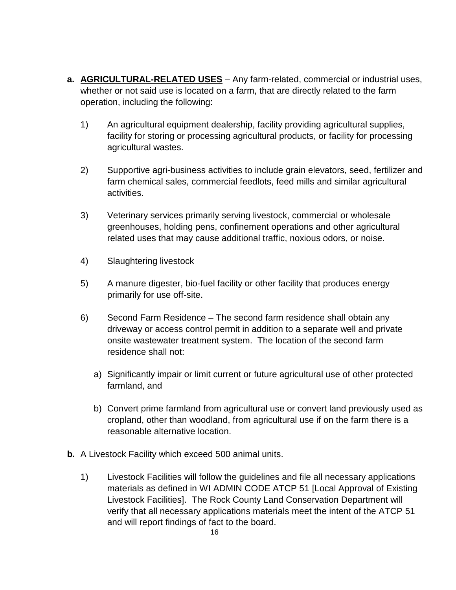- **a. AGRICULTURAL-RELATED USES** Any farm-related, commercial or industrial uses, whether or not said use is located on a farm, that are directly related to the farm operation, including the following:
	- 1) An agricultural equipment dealership, facility providing agricultural supplies, facility for storing or processing agricultural products, or facility for processing agricultural wastes.
	- 2) Supportive agri-business activities to include grain elevators, seed, fertilizer and farm chemical sales, commercial feedlots, feed mills and similar agricultural activities.
	- 3) Veterinary services primarily serving livestock, commercial or wholesale greenhouses, holding pens, confinement operations and other agricultural related uses that may cause additional traffic, noxious odors, or noise.
	- 4) Slaughtering livestock
	- 5) A manure digester, bio-fuel facility or other facility that produces energy primarily for use off-site.
	- 6) Second Farm Residence The second farm residence shall obtain any driveway or access control permit in addition to a separate well and private onsite wastewater treatment system. The location of the second farm residence shall not:
		- a) Significantly impair or limit current or future agricultural use of other protected farmland, and
		- b) Convert prime farmland from agricultural use or convert land previously used as cropland, other than woodland, from agricultural use if on the farm there is a reasonable alternative location.
- **b.** A Livestock Facility which exceed 500 animal units.
	- 1) Livestock Facilities will follow the guidelines and file all necessary applications materials as defined in WI ADMIN CODE ATCP 51 [Local Approval of Existing Livestock Facilities]. The Rock County Land Conservation Department will verify that all necessary applications materials meet the intent of the ATCP 51 and will report findings of fact to the board.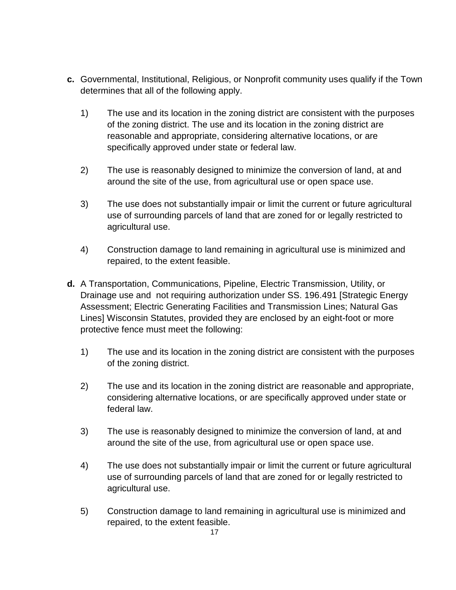- **c.** Governmental, Institutional, Religious, or Nonprofit community uses qualify if the Town determines that all of the following apply.
	- 1) The use and its location in the zoning district are consistent with the purposes of the zoning district. The use and its location in the zoning district are reasonable and appropriate, considering alternative locations, or are specifically approved under state or federal law.
	- 2) The use is reasonably designed to minimize the conversion of land, at and around the site of the use, from agricultural use or open space use.
	- 3) The use does not substantially impair or limit the current or future agricultural use of surrounding parcels of land that are zoned for or legally restricted to agricultural use.
	- 4) Construction damage to land remaining in agricultural use is minimized and repaired, to the extent feasible.
- **d.** A Transportation, Communications, Pipeline, Electric Transmission, Utility, or Drainage use and not requiring authorization under SS. 196.491 [Strategic Energy Assessment; Electric Generating Facilities and Transmission Lines; Natural Gas Lines] Wisconsin Statutes, provided they are enclosed by an eight-foot or more protective fence must meet the following:
	- 1) The use and its location in the zoning district are consistent with the purposes of the zoning district.
	- 2) The use and its location in the zoning district are reasonable and appropriate, considering alternative locations, or are specifically approved under state or federal law.
	- 3) The use is reasonably designed to minimize the conversion of land, at and around the site of the use, from agricultural use or open space use.
	- 4) The use does not substantially impair or limit the current or future agricultural use of surrounding parcels of land that are zoned for or legally restricted to agricultural use.
	- 5) Construction damage to land remaining in agricultural use is minimized and repaired, to the extent feasible.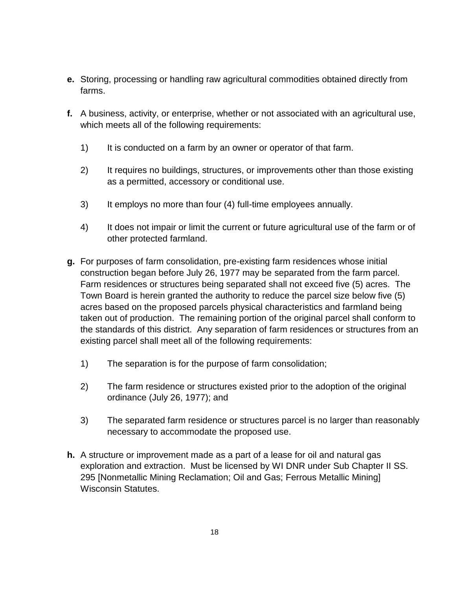- **e.** Storing, processing or handling raw agricultural commodities obtained directly from farms.
- **f.** A business, activity, or enterprise, whether or not associated with an agricultural use, which meets all of the following requirements:
	- 1) It is conducted on a farm by an owner or operator of that farm.
	- 2) It requires no buildings, structures, or improvements other than those existing as a permitted, accessory or conditional use.
	- 3) It employs no more than four (4) full-time employees annually.
	- 4) It does not impair or limit the current or future agricultural use of the farm or of other protected farmland.
- **g.** For purposes of farm consolidation, pre-existing farm residences whose initial construction began before July 26, 1977 may be separated from the farm parcel. Farm residences or structures being separated shall not exceed five (5) acres. The Town Board is herein granted the authority to reduce the parcel size below five (5) acres based on the proposed parcels physical characteristics and farmland being taken out of production. The remaining portion of the original parcel shall conform to the standards of this district. Any separation of farm residences or structures from an existing parcel shall meet all of the following requirements:
	- 1) The separation is for the purpose of farm consolidation;
	- 2) The farm residence or structures existed prior to the adoption of the original ordinance (July 26, 1977); and
	- 3) The separated farm residence or structures parcel is no larger than reasonably necessary to accommodate the proposed use.
- **h.** A structure or improvement made as a part of a lease for oil and natural gas exploration and extraction. Must be licensed by WI DNR under Sub Chapter II SS. 295 [Nonmetallic Mining Reclamation; Oil and Gas; Ferrous Metallic Mining] Wisconsin Statutes.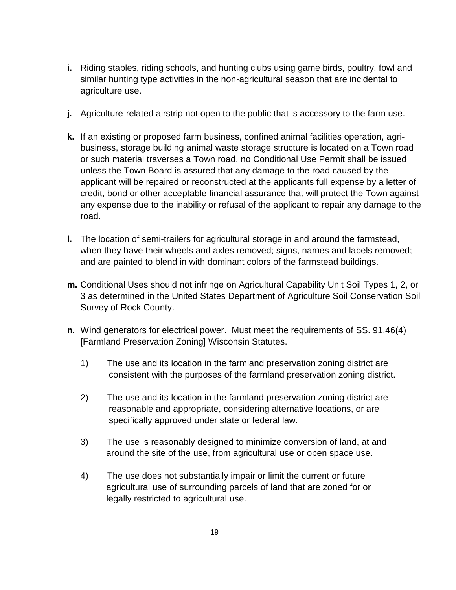- **i.** Riding stables, riding schools, and hunting clubs using game birds, poultry, fowl and similar hunting type activities in the non-agricultural season that are incidental to agriculture use.
- **j.** Agriculture-related airstrip not open to the public that is accessory to the farm use.
- **k.** If an existing or proposed farm business, confined animal facilities operation, agribusiness, storage building animal waste storage structure is located on a Town road or such material traverses a Town road, no Conditional Use Permit shall be issued unless the Town Board is assured that any damage to the road caused by the applicant will be repaired or reconstructed at the applicants full expense by a letter of credit, bond or other acceptable financial assurance that will protect the Town against any expense due to the inability or refusal of the applicant to repair any damage to the road.
- **l.** The location of semi-trailers for agricultural storage in and around the farmstead, when they have their wheels and axles removed; signs, names and labels removed; and are painted to blend in with dominant colors of the farmstead buildings.
- **m.** Conditional Uses should not infringe on Agricultural Capability Unit Soil Types 1, 2, or 3 as determined in the United States Department of Agriculture Soil Conservation Soil Survey of Rock County.
- **n.** Wind generators for electrical power. Must meet the requirements of SS. 91.46(4) [Farmland Preservation Zoning] Wisconsin Statutes.
	- 1) The use and its location in the farmland preservation zoning district are consistent with the purposes of the farmland preservation zoning district.
	- 2) The use and its location in the farmland preservation zoning district are reasonable and appropriate, considering alternative locations, or are specifically approved under state or federal law.
	- 3) The use is reasonably designed to minimize conversion of land, at and around the site of the use, from agricultural use or open space use.
	- 4) The use does not substantially impair or limit the current or future agricultural use of surrounding parcels of land that are zoned for or legally restricted to agricultural use.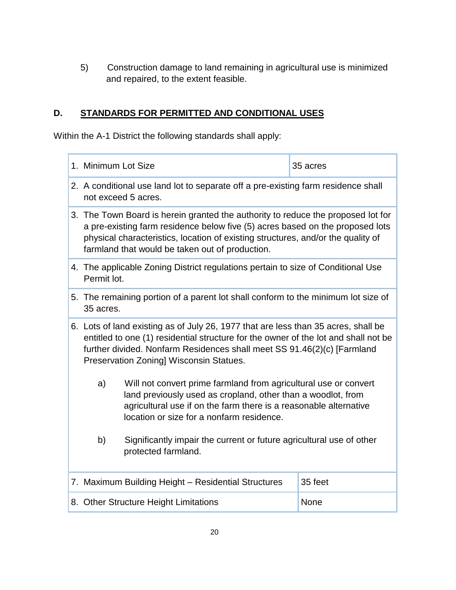5) Construction damage to land remaining in agricultural use is minimized and repaired, to the extent feasible.

#### **D. STANDARDS FOR PERMITTED AND CONDITIONAL USES**

Within the A-1 District the following standards shall apply:

| 1. Minimum Lot Size                                                                                                                                                                                                                                                                                      |                                                     | 35 acres |
|----------------------------------------------------------------------------------------------------------------------------------------------------------------------------------------------------------------------------------------------------------------------------------------------------------|-----------------------------------------------------|----------|
| 2. A conditional use land lot to separate off a pre-existing farm residence shall<br>not exceed 5 acres.                                                                                                                                                                                                 |                                                     |          |
| 3. The Town Board is herein granted the authority to reduce the proposed lot for<br>a pre-existing farm residence below five (5) acres based on the proposed lots<br>physical characteristics, location of existing structures, and/or the quality of<br>farmland that would be taken out of production. |                                                     |          |
| 4. The applicable Zoning District regulations pertain to size of Conditional Use<br>Permit lot.                                                                                                                                                                                                          |                                                     |          |
| 5. The remaining portion of a parent lot shall conform to the minimum lot size of<br>35 acres.                                                                                                                                                                                                           |                                                     |          |
| 6. Lots of land existing as of July 26, 1977 that are less than 35 acres, shall be<br>entitled to one (1) residential structure for the owner of the lot and shall not be<br>further divided. Nonfarm Residences shall meet SS 91.46(2)(c) [Farmland<br>Preservation Zoning] Wisconsin Statues.          |                                                     |          |
| Will not convert prime farmland from agricultural use or convert<br>a)<br>land previously used as cropland, other than a woodlot, from<br>agricultural use if on the farm there is a reasonable alternative<br>location or size for a nonfarm residence.                                                 |                                                     |          |
| b)<br>Significantly impair the current or future agricultural use of other<br>protected farmland.                                                                                                                                                                                                        |                                                     |          |
|                                                                                                                                                                                                                                                                                                          | 7. Maximum Building Height - Residential Structures | 35 feet  |
| 8. Other Structure Height Limitations<br>None                                                                                                                                                                                                                                                            |                                                     |          |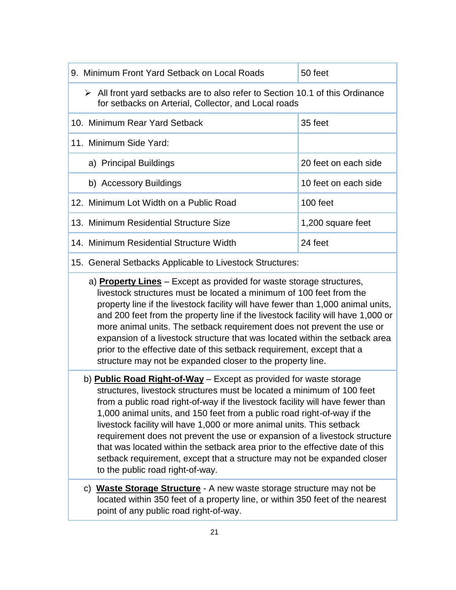| 9. Minimum Front Yard Setback on Local Roads                                                                                                         | 50 feet              |  |  |
|------------------------------------------------------------------------------------------------------------------------------------------------------|----------------------|--|--|
| $\triangleright$ All front yard setbacks are to also refer to Section 10.1 of this Ordinance<br>for setbacks on Arterial, Collector, and Local roads |                      |  |  |
| 10. Minimum Rear Yard Setback                                                                                                                        | 35 feet              |  |  |
| 11. Minimum Side Yard:                                                                                                                               |                      |  |  |
| a) Principal Buildings                                                                                                                               | 20 feet on each side |  |  |
| b) Accessory Buildings                                                                                                                               | 10 feet on each side |  |  |
| 12. Minimum Lot Width on a Public Road                                                                                                               | 100 feet             |  |  |
| 13. Minimum Residential Structure Size                                                                                                               | 1,200 square feet    |  |  |
| 14. Minimum Residential Structure Width                                                                                                              | 24 feet              |  |  |

#### 15. General Setbacks Applicable to Livestock Structures:

- a) **Property Lines** Except as provided for waste storage structures, livestock structures must be located a minimum of 100 feet from the property line if the livestock facility will have fewer than 1,000 animal units, and 200 feet from the property line if the livestock facility will have 1,000 or more animal units. The setback requirement does not prevent the use or expansion of a livestock structure that was located within the setback area prior to the effective date of this setback requirement, except that a structure may not be expanded closer to the property line.
- b) **Public Road Right-of-Way** Except as provided for waste storage structures, livestock structures must be located a minimum of 100 feet from a public road right-of-way if the livestock facility will have fewer than 1,000 animal units, and 150 feet from a public road right-of-way if the livestock facility will have 1,000 or more animal units. This setback requirement does not prevent the use or expansion of a livestock structure that was located within the setback area prior to the effective date of this setback requirement, except that a structure may not be expanded closer to the public road right-of-way.
- c) **Waste Storage Structure** A new waste storage structure may not be located within 350 feet of a property line, or within 350 feet of the nearest point of any public road right-of-way.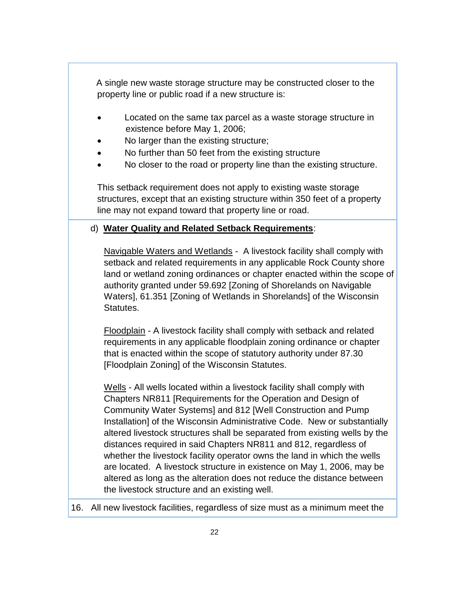A single new waste storage structure may be constructed closer to the property line or public road if a new structure is:

- Located on the same tax parcel as a waste storage structure in existence before May 1, 2006;
- No larger than the existing structure;
- No further than 50 feet from the existing structure
- No closer to the road or property line than the existing structure.

This setback requirement does not apply to existing waste storage structures, except that an existing structure within 350 feet of a property line may not expand toward that property line or road.

#### d) **Water Quality and Related Setback Requirements**:

Navigable Waters and Wetlands - A livestock facility shall comply with setback and related requirements in any applicable Rock County shore land or wetland zoning ordinances or chapter enacted within the scope of authority granted under 59.692 [Zoning of Shorelands on Navigable Waters], 61.351 [Zoning of Wetlands in Shorelands] of the Wisconsin Statutes.

Floodplain - A livestock facility shall comply with setback and related requirements in any applicable floodplain zoning ordinance or chapter that is enacted within the scope of statutory authority under 87.30 [Floodplain Zoning] of the Wisconsin Statutes.

Wells - All wells located within a livestock facility shall comply with Chapters NR811 [Requirements for the Operation and Design of Community Water Systems] and 812 [Well Construction and Pump Installation] of the Wisconsin Administrative Code. New or substantially altered livestock structures shall be separated from existing wells by the distances required in said Chapters NR811 and 812, regardless of whether the livestock facility operator owns the land in which the wells are located. A livestock structure in existence on May 1, 2006, may be altered as long as the alteration does not reduce the distance between the livestock structure and an existing well.

16. All new livestock facilities, regardless of size must as a minimum meet the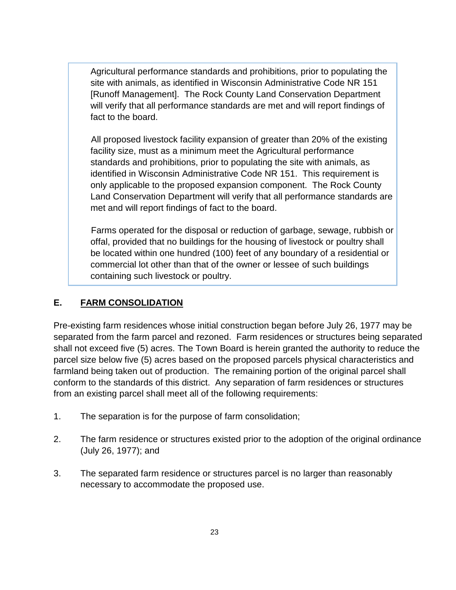Agricultural performance standards and prohibitions, prior to populating the site with animals, as identified in Wisconsin Administrative Code NR 151 [Runoff Management]. The Rock County Land Conservation Department will verify that all performance standards are met and will report findings of fact to the board.

 All proposed livestock facility expansion of greater than 20% of the existing facility size, must as a minimum meet the Agricultural performance standards and prohibitions, prior to populating the site with animals, as identified in Wisconsin Administrative Code NR 151. This requirement is only applicable to the proposed expansion component. The Rock County Land Conservation Department will verify that all performance standards are met and will report findings of fact to the board.

 Farms operated for the disposal or reduction of garbage, sewage, rubbish or offal, provided that no buildings for the housing of livestock or poultry shall be located within one hundred (100) feet of any boundary of a residential or commercial lot other than that of the owner or lessee of such buildings containing such livestock or poultry.

#### **E. FARM CONSOLIDATION**

Pre-existing farm residences whose initial construction began before July 26, 1977 may be separated from the farm parcel and rezoned. Farm residences or structures being separated shall not exceed five (5) acres. The Town Board is herein granted the authority to reduce the parcel size below five (5) acres based on the proposed parcels physical characteristics and farmland being taken out of production. The remaining portion of the original parcel shall conform to the standards of this district. Any separation of farm residences or structures from an existing parcel shall meet all of the following requirements:

- 1. The separation is for the purpose of farm consolidation;
- 2. The farm residence or structures existed prior to the adoption of the original ordinance (July 26, 1977); and
- 3. The separated farm residence or structures parcel is no larger than reasonably necessary to accommodate the proposed use.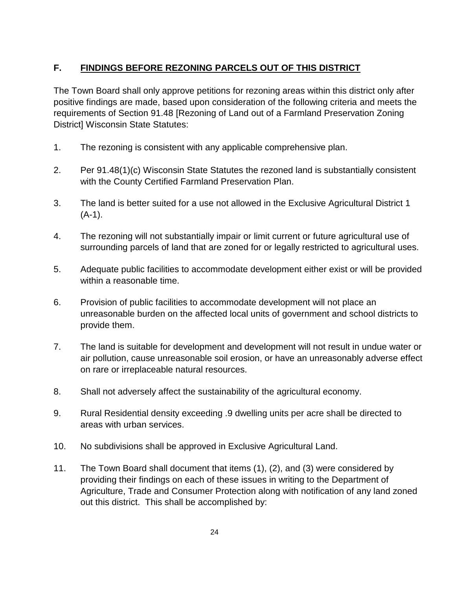#### **F. FINDINGS BEFORE REZONING PARCELS OUT OF THIS DISTRICT**

The Town Board shall only approve petitions for rezoning areas within this district only after positive findings are made, based upon consideration of the following criteria and meets the requirements of Section 91.48 [Rezoning of Land out of a Farmland Preservation Zoning District] Wisconsin State Statutes:

- 1. The rezoning is consistent with any applicable comprehensive plan.
- 2. Per 91.48(1)(c) Wisconsin State Statutes the rezoned land is substantially consistent with the County Certified Farmland Preservation Plan.
- 3. The land is better suited for a use not allowed in the Exclusive Agricultural District 1 (A-1).
- 4. The rezoning will not substantially impair or limit current or future agricultural use of surrounding parcels of land that are zoned for or legally restricted to agricultural uses.
- 5. Adequate public facilities to accommodate development either exist or will be provided within a reasonable time.
- 6. Provision of public facilities to accommodate development will not place an unreasonable burden on the affected local units of government and school districts to provide them.
- 7. The land is suitable for development and development will not result in undue water or air pollution, cause unreasonable soil erosion, or have an unreasonably adverse effect on rare or irreplaceable natural resources.
- 8. Shall not adversely affect the sustainability of the agricultural economy.
- 9. Rural Residential density exceeding .9 dwelling units per acre shall be directed to areas with urban services.
- 10. No subdivisions shall be approved in Exclusive Agricultural Land.
- 11. The Town Board shall document that items (1), (2), and (3) were considered by providing their findings on each of these issues in writing to the Department of Agriculture, Trade and Consumer Protection along with notification of any land zoned out this district. This shall be accomplished by: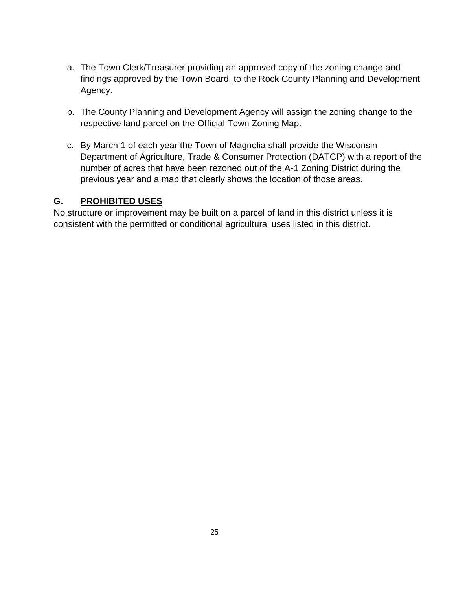- a. The Town Clerk/Treasurer providing an approved copy of the zoning change and findings approved by the Town Board, to the Rock County Planning and Development Agency.
- b. The County Planning and Development Agency will assign the zoning change to the respective land parcel on the Official Town Zoning Map.
- c. By March 1 of each year the Town of Magnolia shall provide the Wisconsin Department of Agriculture, Trade & Consumer Protection (DATCP) with a report of the number of acres that have been rezoned out of the A-1 Zoning District during the previous year and a map that clearly shows the location of those areas.

#### **G. PROHIBITED USES**

No structure or improvement may be built on a parcel of land in this district unless it is consistent with the permitted or conditional agricultural uses listed in this district.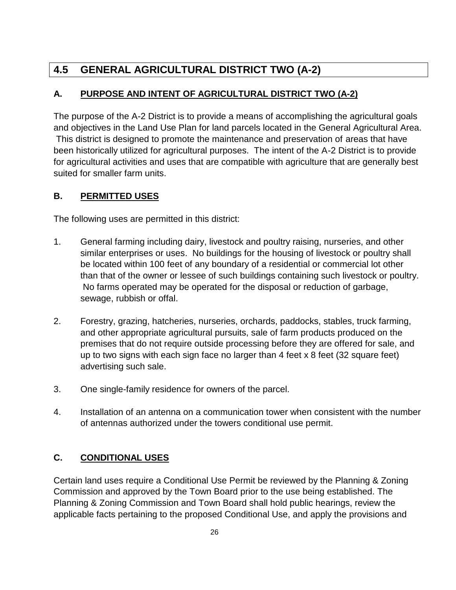# **4.5 GENERAL AGRICULTURAL DISTRICT TWO (A-2)**

## **A. PURPOSE AND INTENT OF AGRICULTURAL DISTRICT TWO (A-2)**

The purpose of the A-2 District is to provide a means of accomplishing the agricultural goals and objectives in the Land Use Plan for land parcels located in the General Agricultural Area. This district is designed to promote the maintenance and preservation of areas that have been historically utilized for agricultural purposes. The intent of the A-2 District is to provide for agricultural activities and uses that are compatible with agriculture that are generally best suited for smaller farm units.

#### **B. PERMITTED USES**

The following uses are permitted in this district:

- 1. General farming including dairy, livestock and poultry raising, nurseries, and other similar enterprises or uses. No buildings for the housing of livestock or poultry shall be located within 100 feet of any boundary of a residential or commercial lot other than that of the owner or lessee of such buildings containing such livestock or poultry. No farms operated may be operated for the disposal or reduction of garbage, sewage, rubbish or offal.
- 2. Forestry, grazing, hatcheries, nurseries, orchards, paddocks, stables, truck farming, and other appropriate agricultural pursuits, sale of farm products produced on the premises that do not require outside processing before they are offered for sale, and up to two signs with each sign face no larger than 4 feet x 8 feet (32 square feet) advertising such sale.
- 3. One single-family residence for owners of the parcel.
- 4. Installation of an antenna on a communication tower when consistent with the number of antennas authorized under the towers conditional use permit.

## **C. CONDITIONAL USES**

Certain land uses require a Conditional Use Permit be reviewed by the Planning & Zoning Commission and approved by the Town Board prior to the use being established. The Planning & Zoning Commission and Town Board shall hold public hearings, review the applicable facts pertaining to the proposed Conditional Use, and apply the provisions and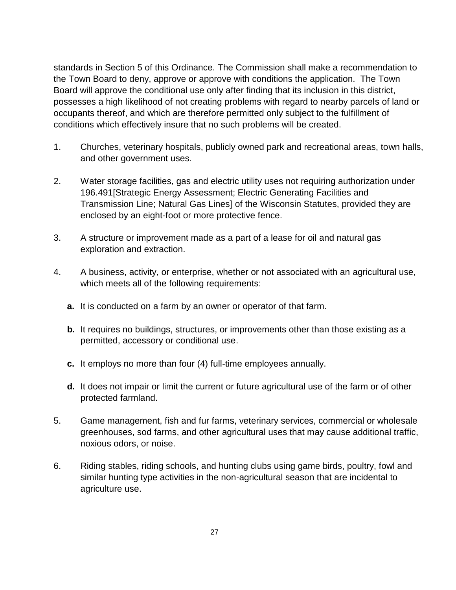standards in Section 5 of this Ordinance. The Commission shall make a recommendation to the Town Board to deny, approve or approve with conditions the application. The Town Board will approve the conditional use only after finding that its inclusion in this district, possesses a high likelihood of not creating problems with regard to nearby parcels of land or occupants thereof, and which are therefore permitted only subject to the fulfillment of conditions which effectively insure that no such problems will be created.

- 1. Churches, veterinary hospitals, publicly owned park and recreational areas, town halls, and other government uses.
- 2. Water storage facilities, gas and electric utility uses not requiring authorization under 196.491[Strategic Energy Assessment; Electric Generating Facilities and Transmission Line; Natural Gas Lines] of the Wisconsin Statutes, provided they are enclosed by an eight-foot or more protective fence.
- 3. A structure or improvement made as a part of a lease for oil and natural gas exploration and extraction.
- 4. A business, activity, or enterprise, whether or not associated with an agricultural use, which meets all of the following requirements:
	- **a.** It is conducted on a farm by an owner or operator of that farm.
	- **b.** It requires no buildings, structures, or improvements other than those existing as a permitted, accessory or conditional use.
	- **c.** It employs no more than four (4) full-time employees annually.
	- **d.** It does not impair or limit the current or future agricultural use of the farm or of other protected farmland.
- 5. Game management, fish and fur farms, veterinary services, commercial or wholesale greenhouses, sod farms, and other agricultural uses that may cause additional traffic, noxious odors, or noise.
- 6. Riding stables, riding schools, and hunting clubs using game birds, poultry, fowl and similar hunting type activities in the non-agricultural season that are incidental to agriculture use.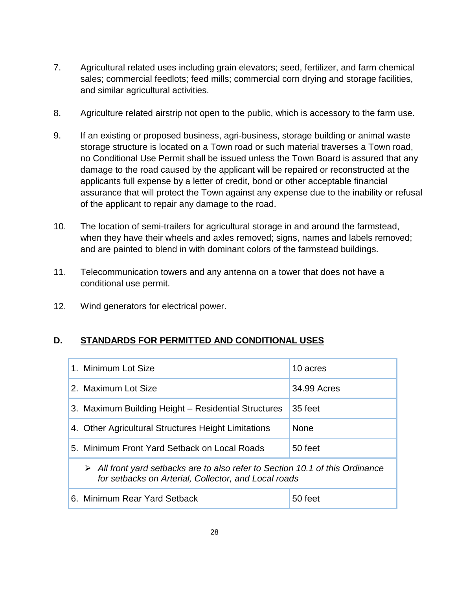- 7. Agricultural related uses including grain elevators; seed, fertilizer, and farm chemical sales; commercial feedlots; feed mills; commercial corn drying and storage facilities, and similar agricultural activities.
- 8. Agriculture related airstrip not open to the public, which is accessory to the farm use.
- 9. If an existing or proposed business, agri-business, storage building or animal waste storage structure is located on a Town road or such material traverses a Town road, no Conditional Use Permit shall be issued unless the Town Board is assured that any damage to the road caused by the applicant will be repaired or reconstructed at the applicants full expense by a letter of credit, bond or other acceptable financial assurance that will protect the Town against any expense due to the inability or refusal of the applicant to repair any damage to the road.
- 10. The location of semi-trailers for agricultural storage in and around the farmstead, when they have their wheels and axles removed; signs, names and labels removed; and are painted to blend in with dominant colors of the farmstead buildings.
- 11. Telecommunication towers and any antenna on a tower that does not have a conditional use permit.
- 12. Wind generators for electrical power.

#### **D. STANDARDS FOR PERMITTED AND CONDITIONAL USES**

| 1. Minimum Lot Size                                                                                                                                  | 10 acres    |  |
|------------------------------------------------------------------------------------------------------------------------------------------------------|-------------|--|
| 2. Maximum Lot Size                                                                                                                                  | 34.99 Acres |  |
| 3. Maximum Building Height – Residential Structures                                                                                                  | 35 feet     |  |
| 4. Other Agricultural Structures Height Limitations                                                                                                  | <b>None</b> |  |
| 5. Minimum Front Yard Setback on Local Roads                                                                                                         | 50 feet     |  |
| $\triangleright$ All front yard setbacks are to also refer to Section 10.1 of this Ordinance<br>for setbacks on Arterial, Collector, and Local roads |             |  |
| 6. Minimum Rear Yard Setback                                                                                                                         | 50 feet     |  |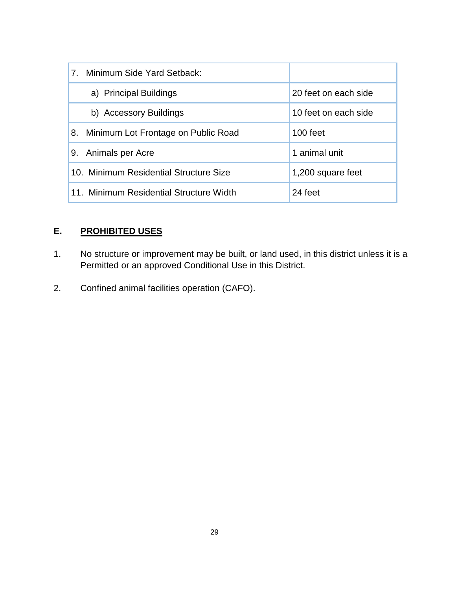| 7. Minimum Side Yard Setback:             |                      |
|-------------------------------------------|----------------------|
| a) Principal Buildings                    | 20 feet on each side |
| b) Accessory Buildings                    | 10 feet on each side |
| Minimum Lot Frontage on Public Road<br>8. | 100 feet             |
| Animals per Acre<br>9.                    | 1 animal unit        |
| 10. Minimum Residential Structure Size    | 1,200 square feet    |
| 11. Minimum Residential Structure Width   | 24 feet              |

## **E. PROHIBITED USES**

- 1. No structure or improvement may be built, or land used, in this district unless it is a Permitted or an approved Conditional Use in this District.
- 2. Confined animal facilities operation (CAFO).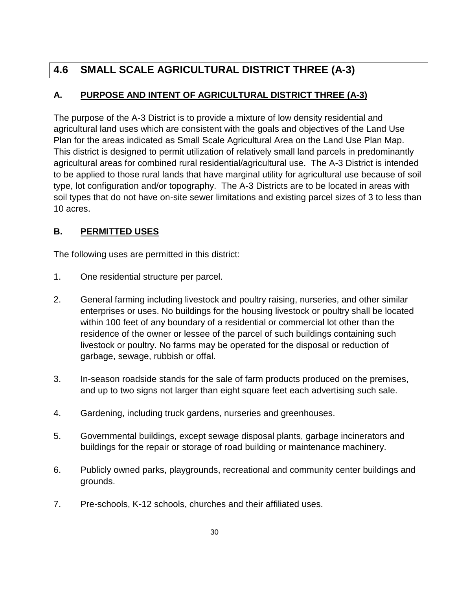# **4.6 SMALL SCALE AGRICULTURAL DISTRICT THREE (A-3)**

## **A. PURPOSE AND INTENT OF AGRICULTURAL DISTRICT THREE (A-3)**

The purpose of the A-3 District is to provide a mixture of low density residential and agricultural land uses which are consistent with the goals and objectives of the Land Use Plan for the areas indicated as Small Scale Agricultural Area on the Land Use Plan Map. This district is designed to permit utilization of relatively small land parcels in predominantly agricultural areas for combined rural residential/agricultural use. The A-3 District is intended to be applied to those rural lands that have marginal utility for agricultural use because of soil type, lot configuration and/or topography. The A-3 Districts are to be located in areas with soil types that do not have on-site sewer limitations and existing parcel sizes of 3 to less than 10 acres.

## **B. PERMITTED USES**

The following uses are permitted in this district:

- 1. One residential structure per parcel.
- 2. General farming including livestock and poultry raising, nurseries, and other similar enterprises or uses. No buildings for the housing livestock or poultry shall be located within 100 feet of any boundary of a residential or commercial lot other than the residence of the owner or lessee of the parcel of such buildings containing such livestock or poultry. No farms may be operated for the disposal or reduction of garbage, sewage, rubbish or offal.
- 3. In-season roadside stands for the sale of farm products produced on the premises, and up to two signs not larger than eight square feet each advertising such sale.
- 4. Gardening, including truck gardens, nurseries and greenhouses.
- 5. Governmental buildings, except sewage disposal plants, garbage incinerators and buildings for the repair or storage of road building or maintenance machinery.
- 6. Publicly owned parks, playgrounds, recreational and community center buildings and grounds.
- 7. Pre-schools, K-12 schools, churches and their affiliated uses.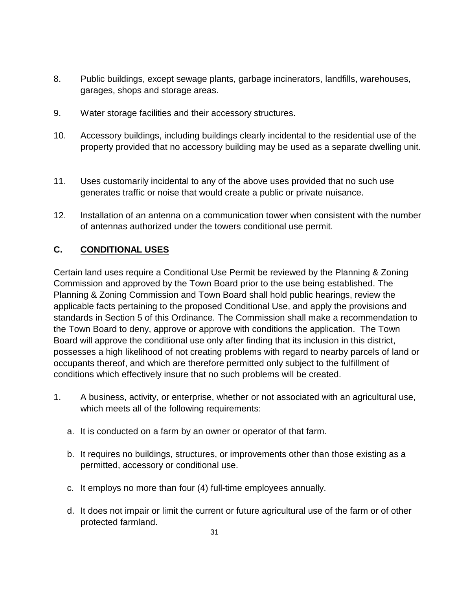- 8. Public buildings, except sewage plants, garbage incinerators, landfills, warehouses, garages, shops and storage areas.
- 9. Water storage facilities and their accessory structures.
- 10. Accessory buildings, including buildings clearly incidental to the residential use of the property provided that no accessory building may be used as a separate dwelling unit.
- 11. Uses customarily incidental to any of the above uses provided that no such use generates traffic or noise that would create a public or private nuisance.
- 12. Installation of an antenna on a communication tower when consistent with the number of antennas authorized under the towers conditional use permit.

## **C. CONDITIONAL USES**

Certain land uses require a Conditional Use Permit be reviewed by the Planning & Zoning Commission and approved by the Town Board prior to the use being established. The Planning & Zoning Commission and Town Board shall hold public hearings, review the applicable facts pertaining to the proposed Conditional Use, and apply the provisions and standards in Section 5 of this Ordinance. The Commission shall make a recommendation to the Town Board to deny, approve or approve with conditions the application. The Town Board will approve the conditional use only after finding that its inclusion in this district, possesses a high likelihood of not creating problems with regard to nearby parcels of land or occupants thereof, and which are therefore permitted only subject to the fulfillment of conditions which effectively insure that no such problems will be created.

- 1. A business, activity, or enterprise, whether or not associated with an agricultural use, which meets all of the following requirements:
	- a. It is conducted on a farm by an owner or operator of that farm.
	- b. It requires no buildings, structures, or improvements other than those existing as a permitted, accessory or conditional use.
	- c. It employs no more than four (4) full-time employees annually.
	- d. It does not impair or limit the current or future agricultural use of the farm or of other protected farmland.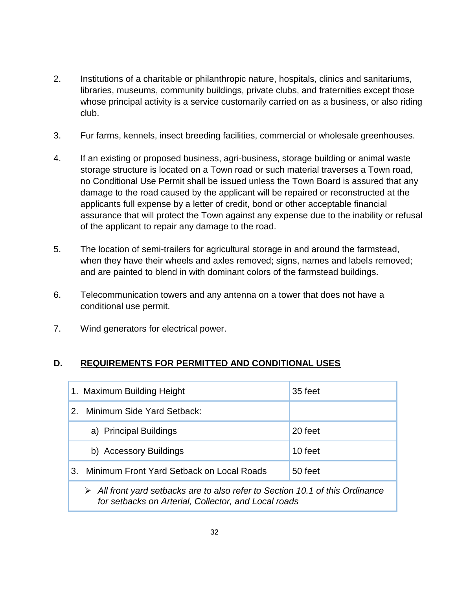- 2. Institutions of a charitable or philanthropic nature, hospitals, clinics and sanitariums, libraries, museums, community buildings, private clubs, and fraternities except those whose principal activity is a service customarily carried on as a business, or also riding club.
- 3. Fur farms, kennels, insect breeding facilities, commercial or wholesale greenhouses.
- 4. If an existing or proposed business, agri-business, storage building or animal waste storage structure is located on a Town road or such material traverses a Town road, no Conditional Use Permit shall be issued unless the Town Board is assured that any damage to the road caused by the applicant will be repaired or reconstructed at the applicants full expense by a letter of credit, bond or other acceptable financial assurance that will protect the Town against any expense due to the inability or refusal of the applicant to repair any damage to the road.
- 5. The location of semi-trailers for agricultural storage in and around the farmstead, when they have their wheels and axles removed; signs, names and labels removed; and are painted to blend in with dominant colors of the farmstead buildings.
- 6. Telecommunication towers and any antenna on a tower that does not have a conditional use permit.
- 7. Wind generators for electrical power.

#### **D. REQUIREMENTS FOR PERMITTED AND CONDITIONAL USES**

|               | 1. Maximum Building Height                                                                                                                           | 35 feet |
|---------------|------------------------------------------------------------------------------------------------------------------------------------------------------|---------|
| $\mathcal{P}$ | Minimum Side Yard Setback:                                                                                                                           |         |
|               | a) Principal Buildings                                                                                                                               | 20 feet |
|               | b) Accessory Buildings                                                                                                                               | 10 feet |
| 3.            | Minimum Front Yard Setback on Local Roads                                                                                                            | 50 feet |
|               | $\triangleright$ All front yard setbacks are to also refer to Section 10.1 of this Ordinance<br>for setbacks on Arterial, Collector, and Local roads |         |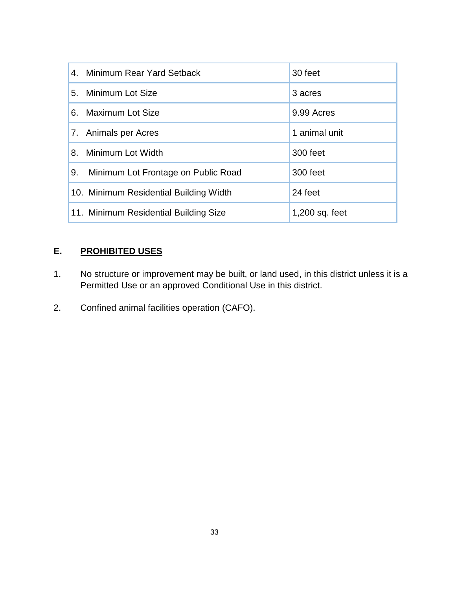| 4. Minimum Rear Yard Setback              | 30 feet          |
|-------------------------------------------|------------------|
| 5. Minimum Lot Size                       | 3 acres          |
| 6. Maximum Lot Size                       | 9.99 Acres       |
| 7. Animals per Acres                      | 1 animal unit    |
| Minimum Lot Width<br>8.                   | 300 feet         |
| 9.<br>Minimum Lot Frontage on Public Road | 300 feet         |
| 10. Minimum Residential Building Width    | 24 feet          |
| 11. Minimum Residential Building Size     | $1,200$ sq. feet |

## **E. PROHIBITED USES**

- 1. No structure or improvement may be built, or land used, in this district unless it is a Permitted Use or an approved Conditional Use in this district.
- 2. Confined animal facilities operation (CAFO).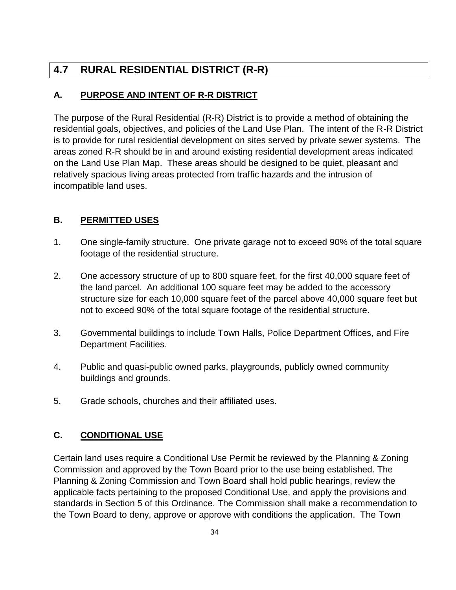# **4.7 RURAL RESIDENTIAL DISTRICT (R-R)**

## **A. PURPOSE AND INTENT OF R-R DISTRICT**

The purpose of the Rural Residential (R-R) District is to provide a method of obtaining the residential goals, objectives, and policies of the Land Use Plan. The intent of the R-R District is to provide for rural residential development on sites served by private sewer systems. The areas zoned R-R should be in and around existing residential development areas indicated on the Land Use Plan Map. These areas should be designed to be quiet, pleasant and relatively spacious living areas protected from traffic hazards and the intrusion of incompatible land uses.

## **B. PERMITTED USES**

- 1. One single-family structure. One private garage not to exceed 90% of the total square footage of the residential structure.
- 2. One accessory structure of up to 800 square feet, for the first 40,000 square feet of the land parcel. An additional 100 square feet may be added to the accessory structure size for each 10,000 square feet of the parcel above 40,000 square feet but not to exceed 90% of the total square footage of the residential structure.
- 3. Governmental buildings to include Town Halls, Police Department Offices, and Fire Department Facilities.
- 4. Public and quasi-public owned parks, playgrounds, publicly owned community buildings and grounds.
- 5. Grade schools, churches and their affiliated uses.

## **C. CONDITIONAL USE**

Certain land uses require a Conditional Use Permit be reviewed by the Planning & Zoning Commission and approved by the Town Board prior to the use being established. The Planning & Zoning Commission and Town Board shall hold public hearings, review the applicable facts pertaining to the proposed Conditional Use, and apply the provisions and standards in Section 5 of this Ordinance. The Commission shall make a recommendation to the Town Board to deny, approve or approve with conditions the application. The Town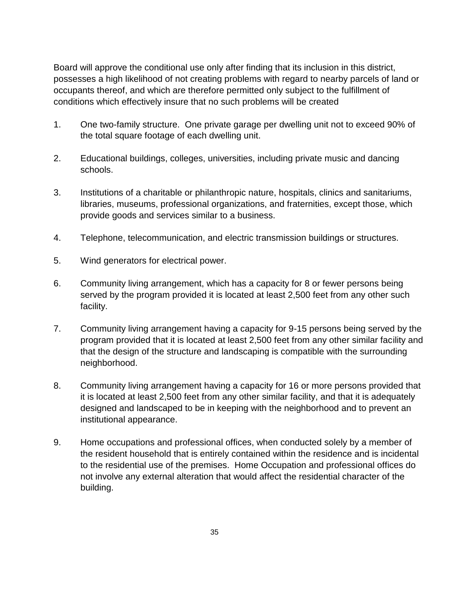Board will approve the conditional use only after finding that its inclusion in this district, possesses a high likelihood of not creating problems with regard to nearby parcels of land or occupants thereof, and which are therefore permitted only subject to the fulfillment of conditions which effectively insure that no such problems will be created

- 1. One two-family structure. One private garage per dwelling unit not to exceed 90% of the total square footage of each dwelling unit.
- 2. Educational buildings, colleges, universities, including private music and dancing schools.
- 3. Institutions of a charitable or philanthropic nature, hospitals, clinics and sanitariums, libraries, museums, professional organizations, and fraternities, except those, which provide goods and services similar to a business.
- 4. Telephone, telecommunication, and electric transmission buildings or structures.
- 5. Wind generators for electrical power.
- 6. Community living arrangement, which has a capacity for 8 or fewer persons being served by the program provided it is located at least 2,500 feet from any other such facility.
- 7. Community living arrangement having a capacity for 9-15 persons being served by the program provided that it is located at least 2,500 feet from any other similar facility and that the design of the structure and landscaping is compatible with the surrounding neighborhood.
- 8. Community living arrangement having a capacity for 16 or more persons provided that it is located at least 2,500 feet from any other similar facility, and that it is adequately designed and landscaped to be in keeping with the neighborhood and to prevent an institutional appearance.
- 9. Home occupations and professional offices, when conducted solely by a member of the resident household that is entirely contained within the residence and is incidental to the residential use of the premises. Home Occupation and professional offices do not involve any external alteration that would affect the residential character of the building.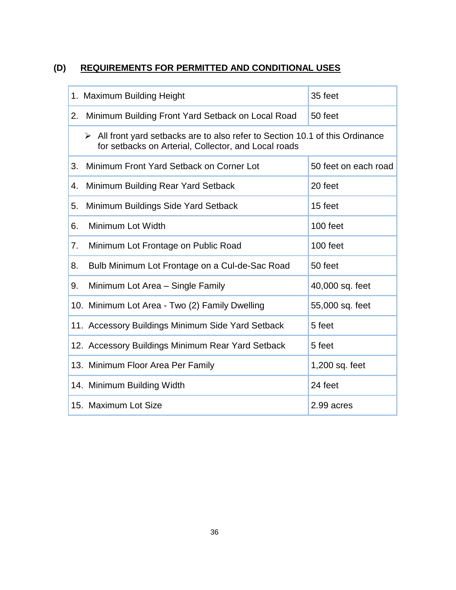# **(D) REQUIREMENTS FOR PERMITTED AND CONDITIONAL USES**

|    | 1. Maximum Building Height                                                                                                                           | 35 feet              |  |
|----|------------------------------------------------------------------------------------------------------------------------------------------------------|----------------------|--|
| 2. | Minimum Building Front Yard Setback on Local Road                                                                                                    | 50 feet              |  |
|    | $\triangleright$ All front yard setbacks are to also refer to Section 10.1 of this Ordinance<br>for setbacks on Arterial, Collector, and Local roads |                      |  |
| 3. | Minimum Front Yard Setback on Corner Lot                                                                                                             | 50 feet on each road |  |
| 4. | Minimum Building Rear Yard Setback                                                                                                                   | 20 feet              |  |
| 5. | Minimum Buildings Side Yard Setback                                                                                                                  | 15 feet              |  |
| 6. | Minimum Lot Width                                                                                                                                    | 100 feet             |  |
| 7. | Minimum Lot Frontage on Public Road                                                                                                                  | 100 feet             |  |
| 8. | Bulb Minimum Lot Frontage on a Cul-de-Sac Road                                                                                                       | 50 feet              |  |
| 9. | Minimum Lot Area - Single Family                                                                                                                     | 40,000 sq. feet      |  |
|    | 10. Minimum Lot Area - Two (2) Family Dwelling                                                                                                       | 55,000 sq. feet      |  |
|    | 11. Accessory Buildings Minimum Side Yard Setback                                                                                                    | 5 feet               |  |
|    | 12. Accessory Buildings Minimum Rear Yard Setback                                                                                                    | 5 feet               |  |
|    | 13. Minimum Floor Area Per Family                                                                                                                    | 1,200 sq. feet       |  |
|    | 14. Minimum Building Width                                                                                                                           | 24 feet              |  |
|    | 15. Maximum Lot Size                                                                                                                                 | 2.99 acres           |  |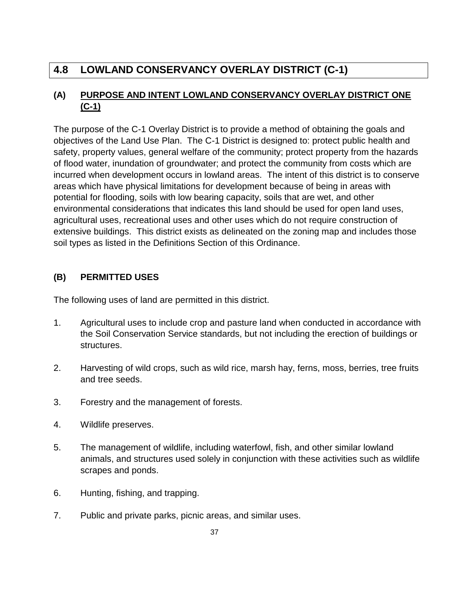# **4.8 LOWLAND CONSERVANCY OVERLAY DISTRICT (C-1)**

## **(A) PURPOSE AND INTENT LOWLAND CONSERVANCY OVERLAY DISTRICT ONE (C-1)**

The purpose of the C-1 Overlay District is to provide a method of obtaining the goals and objectives of the Land Use Plan. The C-1 District is designed to: protect public health and safety, property values, general welfare of the community; protect property from the hazards of flood water, inundation of groundwater; and protect the community from costs which are incurred when development occurs in lowland areas. The intent of this district is to conserve areas which have physical limitations for development because of being in areas with potential for flooding, soils with low bearing capacity, soils that are wet, and other environmental considerations that indicates this land should be used for open land uses, agricultural uses, recreational uses and other uses which do not require construction of extensive buildings. This district exists as delineated on the zoning map and includes those soil types as listed in the Definitions Section of this Ordinance.

## **(B) PERMITTED USES**

The following uses of land are permitted in this district.

- 1. Agricultural uses to include crop and pasture land when conducted in accordance with the Soil Conservation Service standards, but not including the erection of buildings or structures.
- 2. Harvesting of wild crops, such as wild rice, marsh hay, ferns, moss, berries, tree fruits and tree seeds.
- 3. Forestry and the management of forests.
- 4. Wildlife preserves.
- 5. The management of wildlife, including waterfowl, fish, and other similar lowland animals, and structures used solely in conjunction with these activities such as wildlife scrapes and ponds.
- 6. Hunting, fishing, and trapping.
- 7. Public and private parks, picnic areas, and similar uses.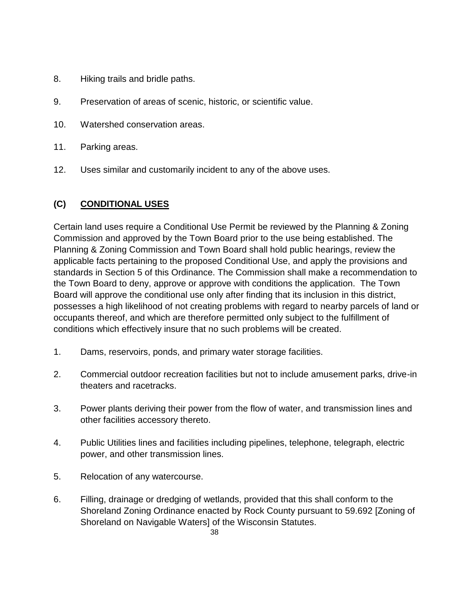- 8. Hiking trails and bridle paths.
- 9. Preservation of areas of scenic, historic, or scientific value.
- 10. Watershed conservation areas.
- 11. Parking areas.
- 12. Uses similar and customarily incident to any of the above uses.

### **(C) CONDITIONAL USES**

Certain land uses require a Conditional Use Permit be reviewed by the Planning & Zoning Commission and approved by the Town Board prior to the use being established. The Planning & Zoning Commission and Town Board shall hold public hearings, review the applicable facts pertaining to the proposed Conditional Use, and apply the provisions and standards in Section 5 of this Ordinance. The Commission shall make a recommendation to the Town Board to deny, approve or approve with conditions the application. The Town Board will approve the conditional use only after finding that its inclusion in this district, possesses a high likelihood of not creating problems with regard to nearby parcels of land or occupants thereof, and which are therefore permitted only subject to the fulfillment of conditions which effectively insure that no such problems will be created.

- 1. Dams, reservoirs, ponds, and primary water storage facilities.
- 2. Commercial outdoor recreation facilities but not to include amusement parks, drive-in theaters and racetracks.
- 3. Power plants deriving their power from the flow of water, and transmission lines and other facilities accessory thereto.
- 4. Public Utilities lines and facilities including pipelines, telephone, telegraph, electric power, and other transmission lines.
- 5. Relocation of any watercourse.
- 6. Filling, drainage or dredging of wetlands, provided that this shall conform to the Shoreland Zoning Ordinance enacted by Rock County pursuant to 59.692 [Zoning of Shoreland on Navigable Waters] of the Wisconsin Statutes.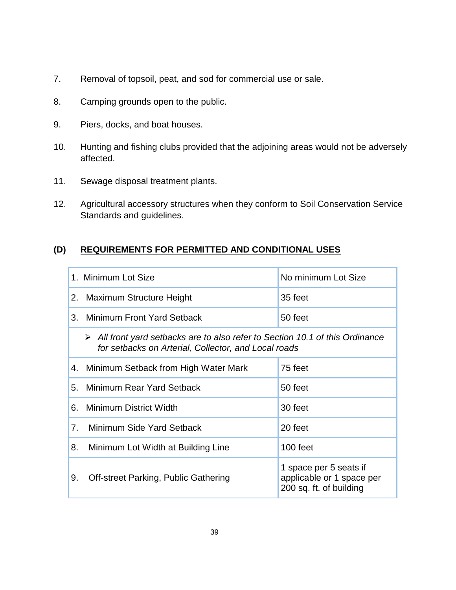- 7. Removal of topsoil, peat, and sod for commercial use or sale.
- 8. Camping grounds open to the public.
- 9. Piers, docks, and boat houses.
- 10. Hunting and fishing clubs provided that the adjoining areas would not be adversely affected.
- 11. Sewage disposal treatment plants.
- 12. Agricultural accessory structures when they conform to Soil Conservation Service Standards and guidelines.

## **(D) REQUIREMENTS FOR PERMITTED AND CONDITIONAL USES**

|    | 1. Minimum Lot Size                                                                                                                                  | No minimum Lot Size                                                            |
|----|------------------------------------------------------------------------------------------------------------------------------------------------------|--------------------------------------------------------------------------------|
|    | 2. Maximum Structure Height                                                                                                                          | 35 feet                                                                        |
|    | 3. Minimum Front Yard Setback                                                                                                                        | 50 feet                                                                        |
|    | $\triangleright$ All front yard setbacks are to also refer to Section 10.1 of this Ordinance<br>for setbacks on Arterial, Collector, and Local roads |                                                                                |
|    | 4. Minimum Setback from High Water Mark                                                                                                              | 75 feet                                                                        |
| 5. | Minimum Rear Yard Setback                                                                                                                            | 50 feet                                                                        |
| 6. | Minimum District Width                                                                                                                               | 30 feet                                                                        |
| 7. | Minimum Side Yard Setback                                                                                                                            | 20 feet                                                                        |
| 8. | Minimum Lot Width at Building Line                                                                                                                   | 100 feet                                                                       |
| 9. | Off-street Parking, Public Gathering                                                                                                                 | 1 space per 5 seats if<br>applicable or 1 space per<br>200 sq. ft. of building |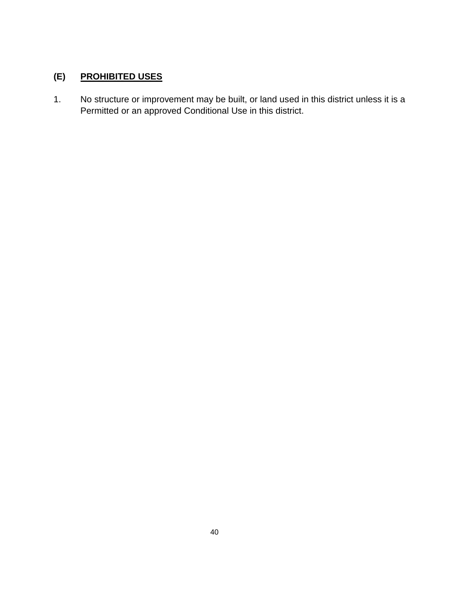## **(E) PROHIBITED USES**

1. No structure or improvement may be built, or land used in this district unless it is a Permitted or an approved Conditional Use in this district.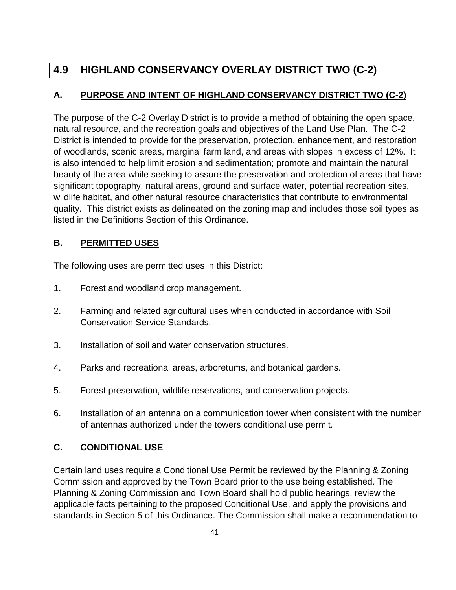# **4.9 HIGHLAND CONSERVANCY OVERLAY DISTRICT TWO (C-2)**

## **A. PURPOSE AND INTENT OF HIGHLAND CONSERVANCY DISTRICT TWO (C-2)**

The purpose of the C-2 Overlay District is to provide a method of obtaining the open space, natural resource, and the recreation goals and objectives of the Land Use Plan. The C-2 District is intended to provide for the preservation, protection, enhancement, and restoration of woodlands, scenic areas, marginal farm land, and areas with slopes in excess of 12%. It is also intended to help limit erosion and sedimentation; promote and maintain the natural beauty of the area while seeking to assure the preservation and protection of areas that have significant topography, natural areas, ground and surface water, potential recreation sites, wildlife habitat, and other natural resource characteristics that contribute to environmental quality. This district exists as delineated on the zoning map and includes those soil types as listed in the Definitions Section of this Ordinance.

## **B. PERMITTED USES**

The following uses are permitted uses in this District:

- 1. Forest and woodland crop management.
- 2. Farming and related agricultural uses when conducted in accordance with Soil Conservation Service Standards.
- 3. Installation of soil and water conservation structures.
- 4. Parks and recreational areas, arboretums, and botanical gardens.
- 5. Forest preservation, wildlife reservations, and conservation projects.
- 6. Installation of an antenna on a communication tower when consistent with the number of antennas authorized under the towers conditional use permit.

## **C. CONDITIONAL USE**

Certain land uses require a Conditional Use Permit be reviewed by the Planning & Zoning Commission and approved by the Town Board prior to the use being established. The Planning & Zoning Commission and Town Board shall hold public hearings, review the applicable facts pertaining to the proposed Conditional Use, and apply the provisions and standards in Section 5 of this Ordinance. The Commission shall make a recommendation to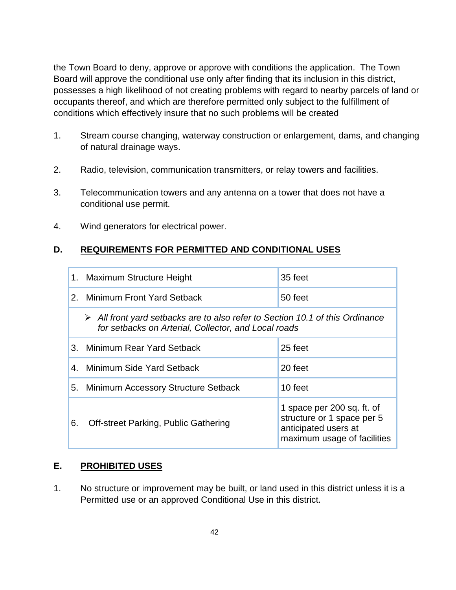the Town Board to deny, approve or approve with conditions the application. The Town Board will approve the conditional use only after finding that its inclusion in this district, possesses a high likelihood of not creating problems with regard to nearby parcels of land or occupants thereof, and which are therefore permitted only subject to the fulfillment of conditions which effectively insure that no such problems will be created

- 1. Stream course changing, waterway construction or enlargement, dams, and changing of natural drainage ways.
- 2. Radio, television, communication transmitters, or relay towers and facilities.
- 3. Telecommunication towers and any antenna on a tower that does not have a conditional use permit.
- 4. Wind generators for electrical power.

## **D. REQUIREMENTS FOR PERMITTED AND CONDITIONAL USES**

| 1.            | Maximum Structure Height                                                                                                                             | 35 feet                                                                                                         |
|---------------|------------------------------------------------------------------------------------------------------------------------------------------------------|-----------------------------------------------------------------------------------------------------------------|
| $\mathcal{P}$ | <b>Minimum Front Yard Setback</b>                                                                                                                    | 50 feet                                                                                                         |
|               | $\triangleright$ All front yard setbacks are to also refer to Section 10.1 of this Ordinance<br>for setbacks on Arterial, Collector, and Local roads |                                                                                                                 |
|               | 3. Minimum Rear Yard Setback                                                                                                                         | 25 feet                                                                                                         |
|               | 4. Minimum Side Yard Setback                                                                                                                         | 20 feet                                                                                                         |
|               | 5. Minimum Accessory Structure Setback                                                                                                               | 10 feet                                                                                                         |
| 6.            | Off-street Parking, Public Gathering                                                                                                                 | 1 space per 200 sq. ft. of<br>structure or 1 space per 5<br>anticipated users at<br>maximum usage of facilities |

#### **E. PROHIBITED USES**

1. No structure or improvement may be built, or land used in this district unless it is a Permitted use or an approved Conditional Use in this district.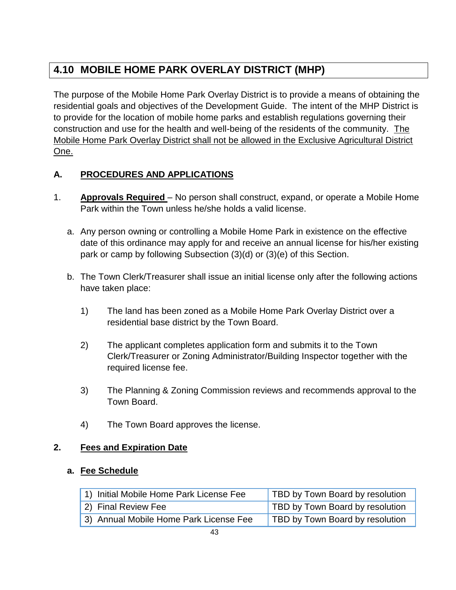# **4.10 MOBILE HOME PARK OVERLAY DISTRICT (MHP)**

The purpose of the Mobile Home Park Overlay District is to provide a means of obtaining the residential goals and objectives of the Development Guide. The intent of the MHP District is to provide for the location of mobile home parks and establish regulations governing their construction and use for the health and well-being of the residents of the community. The Mobile Home Park Overlay District shall not be allowed in the Exclusive Agricultural District One.

## **A. PROCEDURES AND APPLICATIONS**

- 1. **Approvals Required** No person shall construct, expand, or operate a Mobile Home Park within the Town unless he/she holds a valid license.
	- a. Any person owning or controlling a Mobile Home Park in existence on the effective date of this ordinance may apply for and receive an annual license for his/her existing park or camp by following Subsection (3)(d) or (3)(e) of this Section.
	- b. The Town Clerk/Treasurer shall issue an initial license only after the following actions have taken place:
		- 1) The land has been zoned as a Mobile Home Park Overlay District over a residential base district by the Town Board.
		- 2) The applicant completes application form and submits it to the Town Clerk/Treasurer or Zoning Administrator/Building Inspector together with the required license fee.
		- 3) The Planning & Zoning Commission reviews and recommends approval to the Town Board.
		- 4) The Town Board approves the license.

#### **2. Fees and Expiration Date**

#### **a. Fee Schedule**

| 1) Initial Mobile Home Park License Fee | TBD by Town Board by resolution |
|-----------------------------------------|---------------------------------|
| 2) Final Review Fee                     | TBD by Town Board by resolution |
| 3) Annual Mobile Home Park License Fee  | TBD by Town Board by resolution |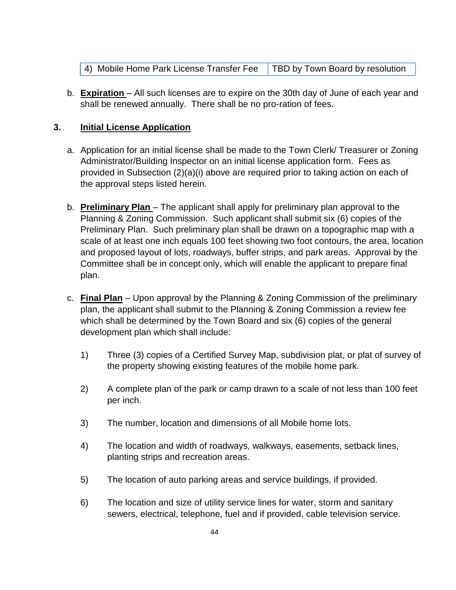| 4) Mobile Home Park License Transfer Fee   TBD by Town Board by resolution |  |
|----------------------------------------------------------------------------|--|
|----------------------------------------------------------------------------|--|

b. **Expiration** – All such licenses are to expire on the 30th day of June of each year and shall be renewed annually. There shall be no pro-ration of fees.

#### **3. Initial License Application**

- a. Application for an initial license shall be made to the Town Clerk/ Treasurer or Zoning Administrator/Building Inspector on an initial license application form. Fees as provided in Subsection (2)(a)(i) above are required prior to taking action on each of the approval steps listed herein.
- b. **Preliminary Plan** The applicant shall apply for preliminary plan approval to the Planning & Zoning Commission. Such applicant shall submit six (6) copies of the Preliminary Plan. Such preliminary plan shall be drawn on a topographic map with a scale of at least one inch equals 100 feet showing two foot contours, the area, location and proposed layout of lots, roadways, buffer strips, and park areas. Approval by the Committee shall be in concept only, which will enable the applicant to prepare final plan.
- c. **Final Plan** Upon approval by the Planning & Zoning Commission of the preliminary plan, the applicant shall submit to the Planning & Zoning Commission a review fee which shall be determined by the Town Board and six (6) copies of the general development plan which shall include:
	- 1) Three (3) copies of a Certified Survey Map, subdivision plat, or plat of survey of the property showing existing features of the mobile home park.
	- 2) A complete plan of the park or camp drawn to a scale of not less than 100 feet per inch.
	- 3) The number, location and dimensions of all Mobile home lots.
	- 4) The location and width of roadways, walkways, easements, setback lines, planting strips and recreation areas.
	- 5) The location of auto parking areas and service buildings, if provided.
	- 6) The location and size of utility service lines for water, storm and sanitary sewers, electrical, telephone, fuel and if provided, cable television service.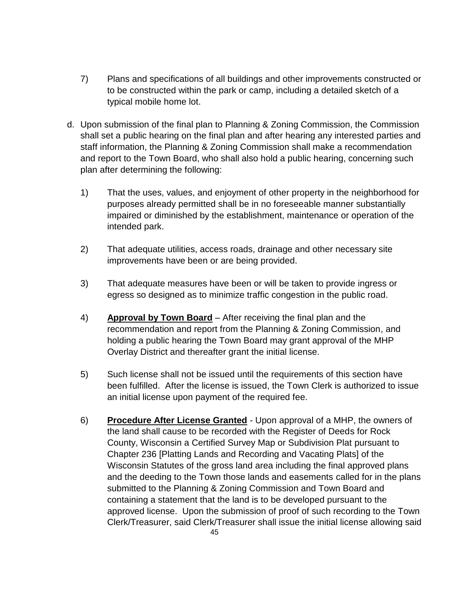- 7) Plans and specifications of all buildings and other improvements constructed or to be constructed within the park or camp, including a detailed sketch of a typical mobile home lot.
- d. Upon submission of the final plan to Planning & Zoning Commission, the Commission shall set a public hearing on the final plan and after hearing any interested parties and staff information, the Planning & Zoning Commission shall make a recommendation and report to the Town Board, who shall also hold a public hearing, concerning such plan after determining the following:
	- 1) That the uses, values, and enjoyment of other property in the neighborhood for purposes already permitted shall be in no foreseeable manner substantially impaired or diminished by the establishment, maintenance or operation of the intended park.
	- 2) That adequate utilities, access roads, drainage and other necessary site improvements have been or are being provided.
	- 3) That adequate measures have been or will be taken to provide ingress or egress so designed as to minimize traffic congestion in the public road.
	- 4) **Approval by Town Board** After receiving the final plan and the recommendation and report from the Planning & Zoning Commission, and holding a public hearing the Town Board may grant approval of the MHP Overlay District and thereafter grant the initial license.
	- 5) Such license shall not be issued until the requirements of this section have been fulfilled. After the license is issued, the Town Clerk is authorized to issue an initial license upon payment of the required fee.
	- 6) **Procedure After License Granted** Upon approval of a MHP, the owners of the land shall cause to be recorded with the Register of Deeds for Rock County, Wisconsin a Certified Survey Map or Subdivision Plat pursuant to Chapter 236 [Platting Lands and Recording and Vacating Plats] of the Wisconsin Statutes of the gross land area including the final approved plans and the deeding to the Town those lands and easements called for in the plans submitted to the Planning & Zoning Commission and Town Board and containing a statement that the land is to be developed pursuant to the approved license. Upon the submission of proof of such recording to the Town Clerk/Treasurer, said Clerk/Treasurer shall issue the initial license allowing said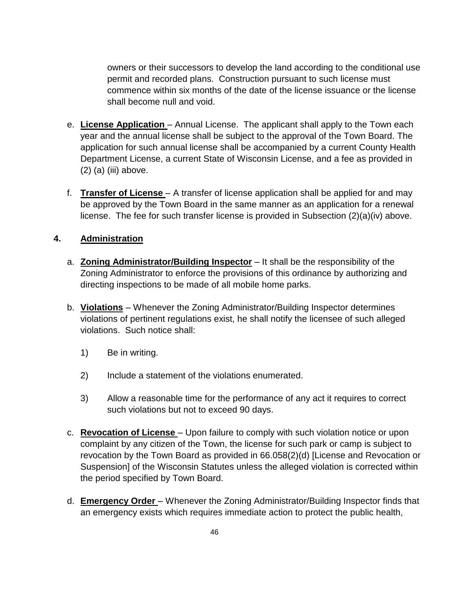owners or their successors to develop the land according to the conditional use permit and recorded plans. Construction pursuant to such license must commence within six months of the date of the license issuance or the license shall become null and void.

- e. **License Application** Annual License. The applicant shall apply to the Town each year and the annual license shall be subject to the approval of the Town Board. The application for such annual license shall be accompanied by a current County Health Department License, a current State of Wisconsin License, and a fee as provided in (2) (a) (iii) above.
- f. **Transfer of License** A transfer of license application shall be applied for and may be approved by the Town Board in the same manner as an application for a renewal license. The fee for such transfer license is provided in Subsection (2)(a)(iv) above.

#### **4. Administration**

- a. **Zoning Administrator/Building Inspector** It shall be the responsibility of the Zoning Administrator to enforce the provisions of this ordinance by authorizing and directing inspections to be made of all mobile home parks.
- b. **Violations** Whenever the Zoning Administrator/Building Inspector determines violations of pertinent regulations exist, he shall notify the licensee of such alleged violations. Such notice shall:
	- 1) Be in writing.
	- 2) Include a statement of the violations enumerated.
	- 3) Allow a reasonable time for the performance of any act it requires to correct such violations but not to exceed 90 days.
- c. **Revocation of License** Upon failure to comply with such violation notice or upon complaint by any citizen of the Town, the license for such park or camp is subject to revocation by the Town Board as provided in 66.058(2)(d) [License and Revocation or Suspension] of the Wisconsin Statutes unless the alleged violation is corrected within the period specified by Town Board.
- d. **Emergency Order** Whenever the Zoning Administrator/Building Inspector finds that an emergency exists which requires immediate action to protect the public health,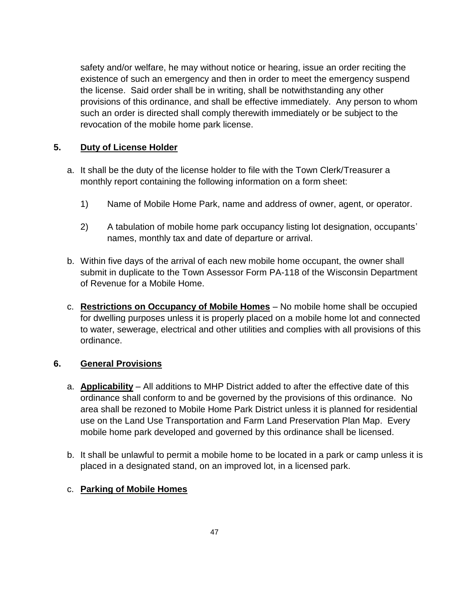safety and/or welfare, he may without notice or hearing, issue an order reciting the existence of such an emergency and then in order to meet the emergency suspend the license. Said order shall be in writing, shall be notwithstanding any other provisions of this ordinance, and shall be effective immediately. Any person to whom such an order is directed shall comply therewith immediately or be subject to the revocation of the mobile home park license.

#### **5. Duty of License Holder**

- a. It shall be the duty of the license holder to file with the Town Clerk/Treasurer a monthly report containing the following information on a form sheet:
	- 1) Name of Mobile Home Park, name and address of owner, agent, or operator.
	- 2) A tabulation of mobile home park occupancy listing lot designation, occupants' names, monthly tax and date of departure or arrival.
- b. Within five days of the arrival of each new mobile home occupant, the owner shall submit in duplicate to the Town Assessor Form PA-118 of the Wisconsin Department of Revenue for a Mobile Home.
- c. **Restrictions on Occupancy of Mobile Homes** No mobile home shall be occupied for dwelling purposes unless it is properly placed on a mobile home lot and connected to water, sewerage, electrical and other utilities and complies with all provisions of this ordinance.

#### **6. General Provisions**

- a. **Applicability** All additions to MHP District added to after the effective date of this ordinance shall conform to and be governed by the provisions of this ordinance. No area shall be rezoned to Mobile Home Park District unless it is planned for residential use on the Land Use Transportation and Farm Land Preservation Plan Map. Every mobile home park developed and governed by this ordinance shall be licensed.
- b. It shall be unlawful to permit a mobile home to be located in a park or camp unless it is placed in a designated stand, on an improved lot, in a licensed park.

#### c. **Parking of Mobile Homes**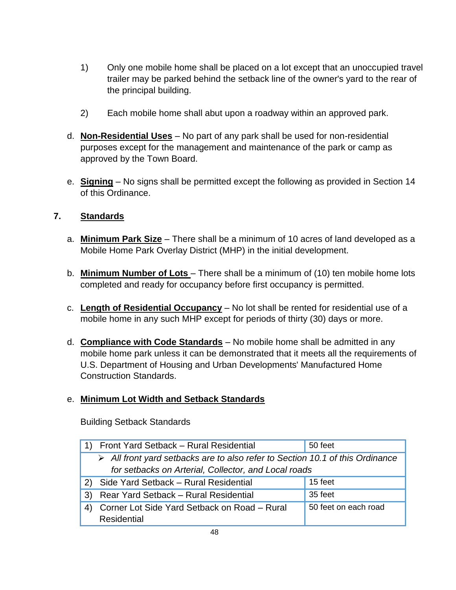- 1) Only one mobile home shall be placed on a lot except that an unoccupied travel trailer may be parked behind the setback line of the owner's yard to the rear of the principal building.
- 2) Each mobile home shall abut upon a roadway within an approved park.
- d. **Non-Residential Uses** No part of any park shall be used for non-residential purposes except for the management and maintenance of the park or camp as approved by the Town Board.
- e. **Signing** No signs shall be permitted except the following as provided in Section 14 of this Ordinance.

### **7. Standards**

- a. **Minimum Park Size** There shall be a minimum of 10 acres of land developed as a Mobile Home Park Overlay District (MHP) in the initial development.
- b. **Minimum Number of Lots** There shall be a minimum of (10) ten mobile home lots completed and ready for occupancy before first occupancy is permitted.
- c. **Length of Residential Occupancy** No lot shall be rented for residential use of a mobile home in any such MHP except for periods of thirty (30) days or more.
- d. **Compliance with Code Standards** No mobile home shall be admitted in any mobile home park unless it can be demonstrated that it meets all the requirements of U.S. Department of Housing and Urban Developments' Manufactured Home Construction Standards.

## e. **Minimum Lot Width and Setback Standards**

Building Setback Standards

|                   | Front Yard Setback - Rural Residential                                                       | 50 feet              |
|-------------------|----------------------------------------------------------------------------------------------|----------------------|
|                   | $\triangleright$ All front yard setbacks are to also refer to Section 10.1 of this Ordinance |                      |
|                   | for setbacks on Arterial, Collector, and Local roads                                         |                      |
|                   | Side Yard Setback - Rural Residential                                                        | 15 feet              |
| 3)                | Rear Yard Setback - Rural Residential                                                        | 35 feet              |
| $\vert 4 \rangle$ | Corner Lot Side Yard Setback on Road - Rural                                                 | 50 feet on each road |
|                   | <b>Residential</b>                                                                           |                      |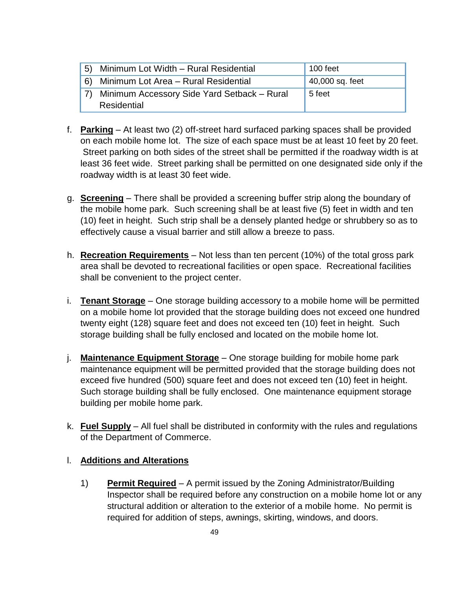| 5) | Minimum Lot Width - Rural Residential       | 100 feet        |
|----|---------------------------------------------|-----------------|
| 6) | Minimum Lot Area - Rural Residential        | 40,000 sq. feet |
|    | Minimum Accessory Side Yard Setback - Rural | 5 feet          |
|    | Residential                                 |                 |

- f. **Parking** At least two (2) off-street hard surfaced parking spaces shall be provided on each mobile home lot. The size of each space must be at least 10 feet by 20 feet. Street parking on both sides of the street shall be permitted if the roadway width is at least 36 feet wide. Street parking shall be permitted on one designated side only if the roadway width is at least 30 feet wide.
- g. **Screening** There shall be provided a screening buffer strip along the boundary of the mobile home park. Such screening shall be at least five (5) feet in width and ten (10) feet in height. Such strip shall be a densely planted hedge or shrubbery so as to effectively cause a visual barrier and still allow a breeze to pass.
- h. **Recreation Requirements** Not less than ten percent (10%) of the total gross park area shall be devoted to recreational facilities or open space. Recreational facilities shall be convenient to the project center.
- i. **Tenant Storage** One storage building accessory to a mobile home will be permitted on a mobile home lot provided that the storage building does not exceed one hundred twenty eight (128) square feet and does not exceed ten (10) feet in height. Such storage building shall be fully enclosed and located on the mobile home lot.
- j. **Maintenance Equipment Storage** One storage building for mobile home park maintenance equipment will be permitted provided that the storage building does not exceed five hundred (500) square feet and does not exceed ten (10) feet in height. Such storage building shall be fully enclosed. One maintenance equipment storage building per mobile home park.
- k. **Fuel Supply** All fuel shall be distributed in conformity with the rules and regulations of the Department of Commerce.

#### l. **Additions and Alterations**

1) **Permit Required** – A permit issued by the Zoning Administrator/Building Inspector shall be required before any construction on a mobile home lot or any structural addition or alteration to the exterior of a mobile home. No permit is required for addition of steps, awnings, skirting, windows, and doors.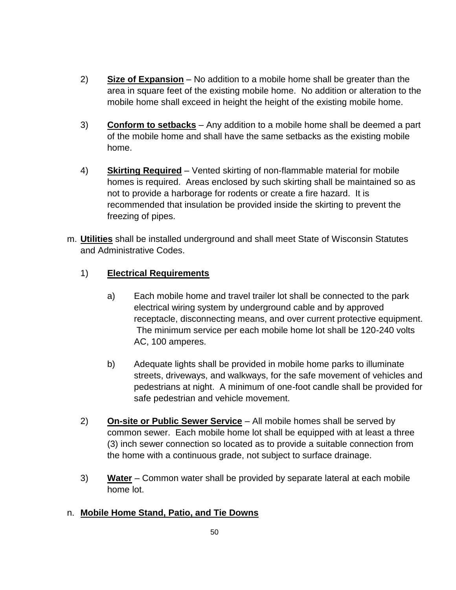- 2) **Size of Expansion** No addition to a mobile home shall be greater than the area in square feet of the existing mobile home. No addition or alteration to the mobile home shall exceed in height the height of the existing mobile home.
- 3) **Conform to setbacks** Any addition to a mobile home shall be deemed a part of the mobile home and shall have the same setbacks as the existing mobile home.
- 4) **Skirting Required** Vented skirting of non-flammable material for mobile homes is required. Areas enclosed by such skirting shall be maintained so as not to provide a harborage for rodents or create a fire hazard. It is recommended that insulation be provided inside the skirting to prevent the freezing of pipes.
- m. **Utilities** shall be installed underground and shall meet State of Wisconsin Statutes and Administrative Codes.

### 1) **Electrical Requirements**

- a) Each mobile home and travel trailer lot shall be connected to the park electrical wiring system by underground cable and by approved receptacle, disconnecting means, and over current protective equipment. The minimum service per each mobile home lot shall be 120-240 volts AC, 100 amperes.
- b) Adequate lights shall be provided in mobile home parks to illuminate streets, driveways, and walkways, for the safe movement of vehicles and pedestrians at night. A minimum of one-foot candle shall be provided for safe pedestrian and vehicle movement.
- 2) **On-site or Public Sewer Service** All mobile homes shall be served by common sewer. Each mobile home lot shall be equipped with at least a three (3) inch sewer connection so located as to provide a suitable connection from the home with a continuous grade, not subject to surface drainage.
- 3) **Water** Common water shall be provided by separate lateral at each mobile home lot.

#### n. **Mobile Home Stand, Patio, and Tie Downs**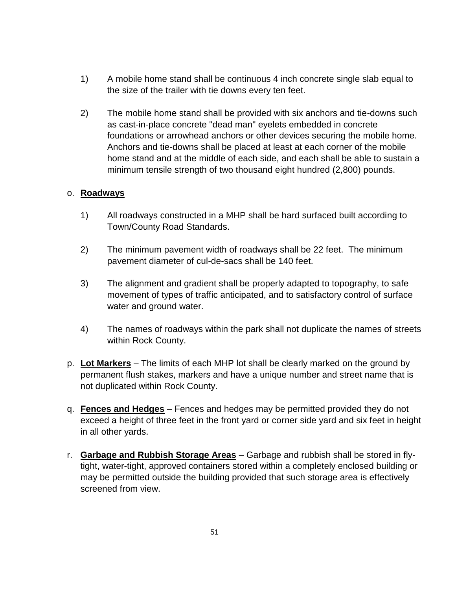- 1) A mobile home stand shall be continuous 4 inch concrete single slab equal to the size of the trailer with tie downs every ten feet.
- 2) The mobile home stand shall be provided with six anchors and tie-downs such as cast-in-place concrete "dead man" eyelets embedded in concrete foundations or arrowhead anchors or other devices securing the mobile home. Anchors and tie-downs shall be placed at least at each corner of the mobile home stand and at the middle of each side, and each shall be able to sustain a minimum tensile strength of two thousand eight hundred (2,800) pounds.

#### o. **Roadways**

- 1) All roadways constructed in a MHP shall be hard surfaced built according to Town/County Road Standards.
- 2) The minimum pavement width of roadways shall be 22 feet. The minimum pavement diameter of cul-de-sacs shall be 140 feet.
- 3) The alignment and gradient shall be properly adapted to topography, to safe movement of types of traffic anticipated, and to satisfactory control of surface water and ground water.
- 4) The names of roadways within the park shall not duplicate the names of streets within Rock County.
- p. **Lot Markers** The limits of each MHP lot shall be clearly marked on the ground by permanent flush stakes, markers and have a unique number and street name that is not duplicated within Rock County.
- q. **Fences and Hedges** Fences and hedges may be permitted provided they do not exceed a height of three feet in the front yard or corner side yard and six feet in height in all other yards.
- r. **Garbage and Rubbish Storage Areas** Garbage and rubbish shall be stored in flytight, water-tight, approved containers stored within a completely enclosed building or may be permitted outside the building provided that such storage area is effectively screened from view.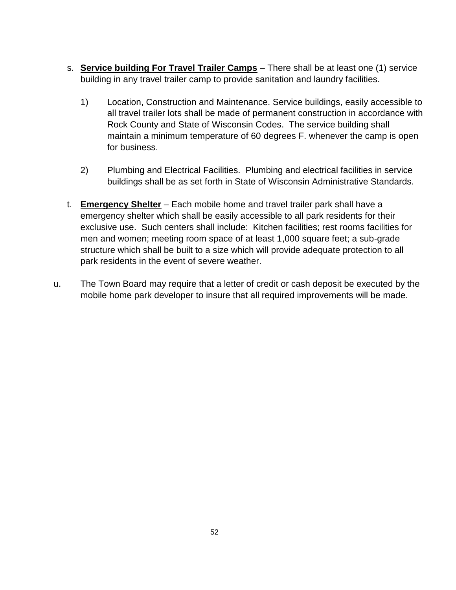- s. **Service building For Travel Trailer Camps** There shall be at least one (1) service building in any travel trailer camp to provide sanitation and laundry facilities.
	- 1) Location, Construction and Maintenance. Service buildings, easily accessible to all travel trailer lots shall be made of permanent construction in accordance with Rock County and State of Wisconsin Codes. The service building shall maintain a minimum temperature of 60 degrees F. whenever the camp is open for business.
	- 2) Plumbing and Electrical Facilities. Plumbing and electrical facilities in service buildings shall be as set forth in State of Wisconsin Administrative Standards.
- t. **Emergency Shelter** Each mobile home and travel trailer park shall have a emergency shelter which shall be easily accessible to all park residents for their exclusive use. Such centers shall include: Kitchen facilities; rest rooms facilities for men and women; meeting room space of at least 1,000 square feet; a sub-grade structure which shall be built to a size which will provide adequate protection to all park residents in the event of severe weather.
- u. The Town Board may require that a letter of credit or cash deposit be executed by the mobile home park developer to insure that all required improvements will be made.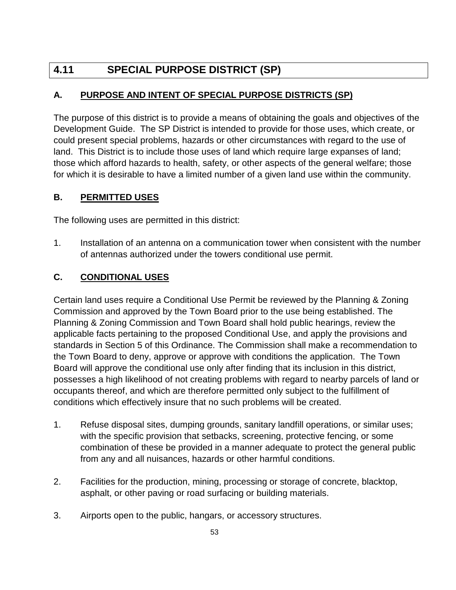# **4.11 SPECIAL PURPOSE DISTRICT (SP)**

## **A. PURPOSE AND INTENT OF SPECIAL PURPOSE DISTRICTS (SP)**

The purpose of this district is to provide a means of obtaining the goals and objectives of the Development Guide. The SP District is intended to provide for those uses, which create, or could present special problems, hazards or other circumstances with regard to the use of land. This District is to include those uses of land which require large expanses of land; those which afford hazards to health, safety, or other aspects of the general welfare; those for which it is desirable to have a limited number of a given land use within the community.

### **B. PERMITTED USES**

The following uses are permitted in this district:

1. Installation of an antenna on a communication tower when consistent with the number of antennas authorized under the towers conditional use permit.

## **C. CONDITIONAL USES**

Certain land uses require a Conditional Use Permit be reviewed by the Planning & Zoning Commission and approved by the Town Board prior to the use being established. The Planning & Zoning Commission and Town Board shall hold public hearings, review the applicable facts pertaining to the proposed Conditional Use, and apply the provisions and standards in Section 5 of this Ordinance. The Commission shall make a recommendation to the Town Board to deny, approve or approve with conditions the application. The Town Board will approve the conditional use only after finding that its inclusion in this district, possesses a high likelihood of not creating problems with regard to nearby parcels of land or occupants thereof, and which are therefore permitted only subject to the fulfillment of conditions which effectively insure that no such problems will be created.

- 1. Refuse disposal sites, dumping grounds, sanitary landfill operations, or similar uses; with the specific provision that setbacks, screening, protective fencing, or some combination of these be provided in a manner adequate to protect the general public from any and all nuisances, hazards or other harmful conditions.
- 2. Facilities for the production, mining, processing or storage of concrete, blacktop, asphalt, or other paving or road surfacing or building materials.
- 3. Airports open to the public, hangars, or accessory structures.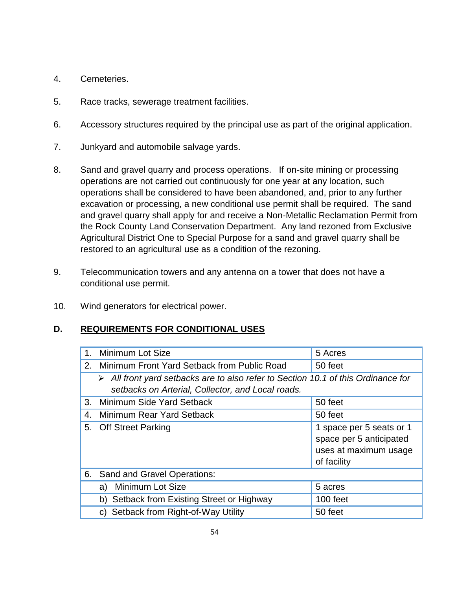- 4. Cemeteries.
- 5. Race tracks, sewerage treatment facilities.
- 6. Accessory structures required by the principal use as part of the original application.
- 7. Junkyard and automobile salvage yards.
- 8. Sand and gravel quarry and process operations. If on-site mining or processing operations are not carried out continuously for one year at any location, such operations shall be considered to have been abandoned, and, prior to any further excavation or processing, a new conditional use permit shall be required. The sand and gravel quarry shall apply for and receive a Non-Metallic Reclamation Permit from the Rock County Land Conservation Department. Any land rezoned from Exclusive Agricultural District One to Special Purpose for a sand and gravel quarry shall be restored to an agricultural use as a condition of the rezoning.
- 9. Telecommunication towers and any antenna on a tower that does not have a conditional use permit.
- 10. Wind generators for electrical power.

#### **D. REQUIREMENTS FOR CONDITIONAL USES**

| 1 <sub>1</sub> | Minimum Lot Size                                                                                                                                      | 5 Acres                                                                                     |
|----------------|-------------------------------------------------------------------------------------------------------------------------------------------------------|---------------------------------------------------------------------------------------------|
| 2.             | Minimum Front Yard Setback from Public Road                                                                                                           | 50 feet                                                                                     |
|                | $\triangleright$ All front yard setbacks are to also refer to Section 10.1 of this Ordinance for<br>setbacks on Arterial, Collector, and Local roads. |                                                                                             |
| 3.             | Minimum Side Yard Setback                                                                                                                             | 50 feet                                                                                     |
| 4.             | Minimum Rear Yard Setback                                                                                                                             | 50 feet                                                                                     |
| 5.             | <b>Off Street Parking</b>                                                                                                                             | 1 space per 5 seats or 1<br>space per 5 anticipated<br>uses at maximum usage<br>of facility |
| 6.             | Sand and Gravel Operations:                                                                                                                           |                                                                                             |
|                | <b>Minimum Lot Size</b><br>a)                                                                                                                         | 5 acres                                                                                     |
|                | Setback from Existing Street or Highway<br>b)                                                                                                         | 100 feet                                                                                    |
|                | c) Setback from Right-of-Way Utility                                                                                                                  | 50 feet                                                                                     |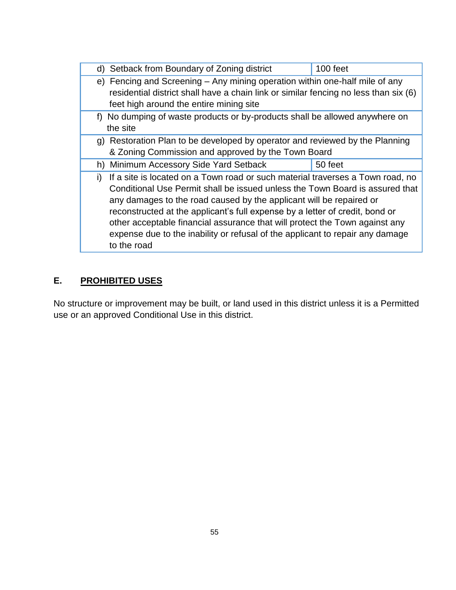|              | d) Setback from Boundary of Zoning district                                          | 100 feet |  |
|--------------|--------------------------------------------------------------------------------------|----------|--|
|              | e) Fencing and Screening – Any mining operation within one-half mile of any          |          |  |
|              | residential district shall have a chain link or similar fencing no less than six (6) |          |  |
|              | feet high around the entire mining site                                              |          |  |
|              | f) No dumping of waste products or by-products shall be allowed anywhere on          |          |  |
|              | the site                                                                             |          |  |
|              | g) Restoration Plan to be developed by operator and reviewed by the Planning         |          |  |
|              | & Zoning Commission and approved by the Town Board                                   |          |  |
|              | h) Minimum Accessory Side Yard Setback                                               | 50 feet  |  |
| $\mathbf{I}$ | If a site is located on a Town road or such material traverses a Town road, no       |          |  |
|              | Conditional Use Permit shall be issued unless the Town Board is assured that         |          |  |
|              | any damages to the road caused by the applicant will be repaired or                  |          |  |
|              | reconstructed at the applicant's full expense by a letter of credit, bond or         |          |  |
|              | other acceptable financial assurance that will protect the Town against any          |          |  |
|              | expense due to the inability or refusal of the applicant to repair any damage        |          |  |
|              | to the road                                                                          |          |  |
|              |                                                                                      |          |  |

## **E. PROHIBITED USES**

No structure or improvement may be built, or land used in this district unless it is a Permitted use or an approved Conditional Use in this district.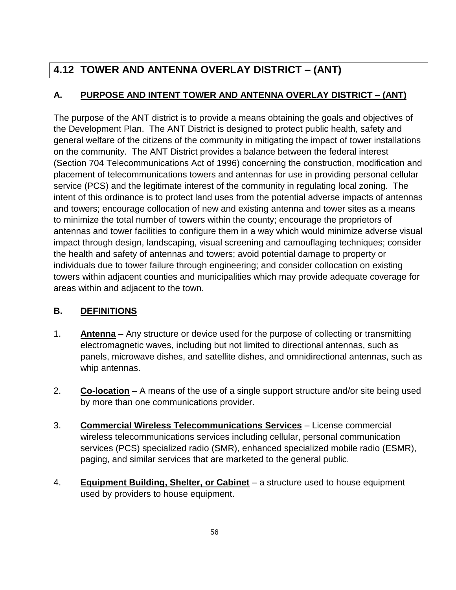# **4.12 TOWER AND ANTENNA OVERLAY DISTRICT – (ANT)**

## **A. PURPOSE AND INTENT TOWER AND ANTENNA OVERLAY DISTRICT – (ANT)**

The purpose of the ANT district is to provide a means obtaining the goals and objectives of the Development Plan. The ANT District is designed to protect public health, safety and general welfare of the citizens of the community in mitigating the impact of tower installations on the community. The ANT District provides a balance between the federal interest (Section 704 Telecommunications Act of 1996) concerning the construction, modification and placement of telecommunications towers and antennas for use in providing personal cellular service (PCS) and the legitimate interest of the community in regulating local zoning. The intent of this ordinance is to protect land uses from the potential adverse impacts of antennas and towers; encourage collocation of new and existing antenna and tower sites as a means to minimize the total number of towers within the county; encourage the proprietors of antennas and tower facilities to configure them in a way which would minimize adverse visual impact through design, landscaping, visual screening and camouflaging techniques; consider the health and safety of antennas and towers; avoid potential damage to property or individuals due to tower failure through engineering; and consider collocation on existing towers within adjacent counties and municipalities which may provide adequate coverage for areas within and adjacent to the town.

## **B. DEFINITIONS**

- 1. **Antenna** Any structure or device used for the purpose of collecting or transmitting electromagnetic waves, including but not limited to directional antennas, such as panels, microwave dishes, and satellite dishes, and omnidirectional antennas, such as whip antennas.
- 2. **Co-location** A means of the use of a single support structure and/or site being used by more than one communications provider.
- 3. **Commercial Wireless Telecommunications Services** License commercial wireless telecommunications services including cellular, personal communication services (PCS) specialized radio (SMR), enhanced specialized mobile radio (ESMR), paging, and similar services that are marketed to the general public.
- 4. **Equipment Building, Shelter, or Cabinet** a structure used to house equipment used by providers to house equipment.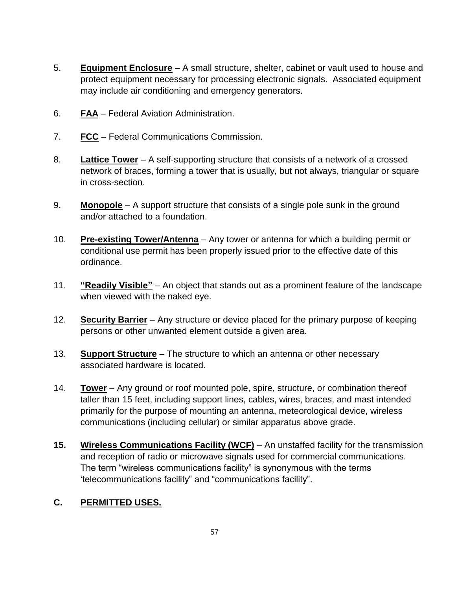- 5. **Equipment Enclosure** A small structure, shelter, cabinet or vault used to house and protect equipment necessary for processing electronic signals. Associated equipment may include air conditioning and emergency generators.
- 6. **FAA** Federal Aviation Administration.
- 7. **FCC** Federal Communications Commission.
- 8. **Lattice Tower** A self-supporting structure that consists of a network of a crossed network of braces, forming a tower that is usually, but not always, triangular or square in cross-section.
- 9. **Monopole** A support structure that consists of a single pole sunk in the ground and/or attached to a foundation.
- 10. **Pre-existing Tower/Antenna** Any tower or antenna for which a building permit or conditional use permit has been properly issued prior to the effective date of this ordinance.
- 11. **"Readily Visible"** An object that stands out as a prominent feature of the landscape when viewed with the naked eye.
- 12. **Security Barrier** Any structure or device placed for the primary purpose of keeping persons or other unwanted element outside a given area.
- 13. **Support Structure** The structure to which an antenna or other necessary associated hardware is located.
- 14. **Tower** Any ground or roof mounted pole, spire, structure, or combination thereof taller than 15 feet, including support lines, cables, wires, braces, and mast intended primarily for the purpose of mounting an antenna, meteorological device, wireless communications (including cellular) or similar apparatus above grade.
- **15. Wireless Communications Facility (WCF)** An unstaffed facility for the transmission and reception of radio or microwave signals used for commercial communications. The term "wireless communications facility" is synonymous with the terms 'telecommunications facility" and "communications facility".

#### **C. PERMITTED USES.**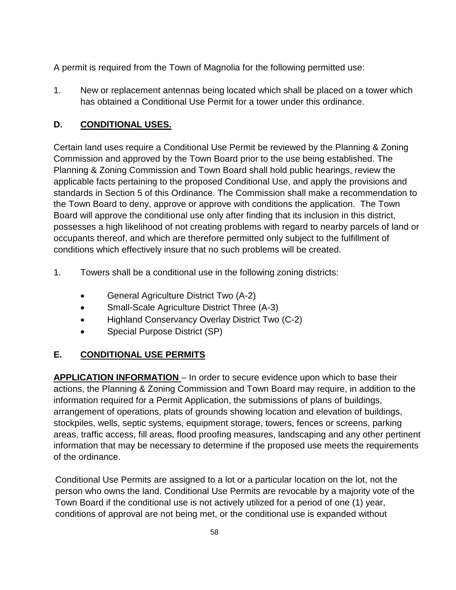A permit is required from the Town of Magnolia for the following permitted use:

1. New or replacement antennas being located which shall be placed on a tower which has obtained a Conditional Use Permit for a tower under this ordinance.

### **D. CONDITIONAL USES.**

Certain land uses require a Conditional Use Permit be reviewed by the Planning & Zoning Commission and approved by the Town Board prior to the use being established. The Planning & Zoning Commission and Town Board shall hold public hearings, review the applicable facts pertaining to the proposed Conditional Use, and apply the provisions and standards in Section 5 of this Ordinance. The Commission shall make a recommendation to the Town Board to deny, approve or approve with conditions the application. The Town Board will approve the conditional use only after finding that its inclusion in this district, possesses a high likelihood of not creating problems with regard to nearby parcels of land or occupants thereof, and which are therefore permitted only subject to the fulfillment of conditions which effectively insure that no such problems will be created.

- 1. Towers shall be a conditional use in the following zoning districts:
	- General Agriculture District Two (A-2)
	- Small-Scale Agriculture District Three (A-3)
	- Highland Conservancy Overlay District Two (C-2)
	- Special Purpose District (SP)

## **E. CONDITIONAL USE PERMITS**

**APPLICATION INFORMATION** – In order to secure evidence upon which to base their actions, the Planning & Zoning Commission and Town Board may require, in addition to the information required for a Permit Application, the submissions of plans of buildings, arrangement of operations, plats of grounds showing location and elevation of buildings, stockpiles, wells, septic systems, equipment storage, towers, fences or screens, parking areas, traffic access, fill areas, flood proofing measures, landscaping and any other pertinent information that may be necessary to determine if the proposed use meets the requirements of the ordinance.

Conditional Use Permits are assigned to a lot or a particular location on the lot, not the person who owns the land. Conditional Use Permits are revocable by a majority vote of the Town Board if the conditional use is not actively utilized for a period of one (1) year, conditions of approval are not being met, or the conditional use is expanded without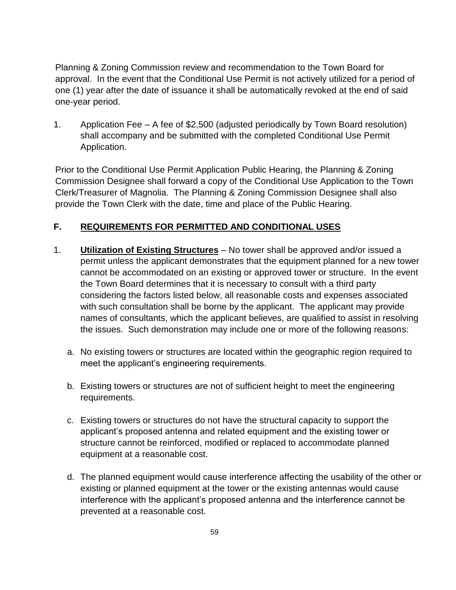Planning & Zoning Commission review and recommendation to the Town Board for approval. In the event that the Conditional Use Permit is not actively utilized for a period of one (1) year after the date of issuance it shall be automatically revoked at the end of said one-year period.

1. Application Fee – A fee of \$2,500 (adjusted periodically by Town Board resolution) shall accompany and be submitted with the completed Conditional Use Permit Application.

Prior to the Conditional Use Permit Application Public Hearing, the Planning & Zoning Commission Designee shall forward a copy of the Conditional Use Application to the Town Clerk/Treasurer of Magnolia. The Planning & Zoning Commission Designee shall also provide the Town Clerk with the date, time and place of the Public Hearing.

### **F. REQUIREMENTS FOR PERMITTED AND CONDITIONAL USES**

- 1. **Utilization of Existing Structures** No tower shall be approved and/or issued a permit unless the applicant demonstrates that the equipment planned for a new tower cannot be accommodated on an existing or approved tower or structure. In the event the Town Board determines that it is necessary to consult with a third party considering the factors listed below, all reasonable costs and expenses associated with such consultation shall be borne by the applicant. The applicant may provide names of consultants, which the applicant believes, are qualified to assist in resolving the issues. Such demonstration may include one or more of the following reasons:
	- a. No existing towers or structures are located within the geographic region required to meet the applicant's engineering requirements.
	- b. Existing towers or structures are not of sufficient height to meet the engineering requirements.
	- c. Existing towers or structures do not have the structural capacity to support the applicant's proposed antenna and related equipment and the existing tower or structure cannot be reinforced, modified or replaced to accommodate planned equipment at a reasonable cost.
	- d. The planned equipment would cause interference affecting the usability of the other or existing or planned equipment at the tower or the existing antennas would cause interference with the applicant's proposed antenna and the interference cannot be prevented at a reasonable cost.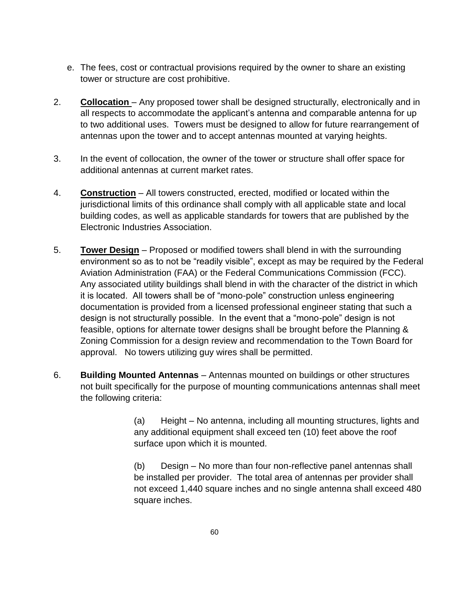- e. The fees, cost or contractual provisions required by the owner to share an existing tower or structure are cost prohibitive.
- 2. **Collocation**  Any proposed tower shall be designed structurally, electronically and in all respects to accommodate the applicant's antenna and comparable antenna for up to two additional uses. Towers must be designed to allow for future rearrangement of antennas upon the tower and to accept antennas mounted at varying heights.
- 3. In the event of collocation, the owner of the tower or structure shall offer space for additional antennas at current market rates.
- 4. **Construction** All towers constructed, erected, modified or located within the jurisdictional limits of this ordinance shall comply with all applicable state and local building codes, as well as applicable standards for towers that are published by the Electronic Industries Association.
- 5. **Tower Design** Proposed or modified towers shall blend in with the surrounding environment so as to not be "readily visible", except as may be required by the Federal Aviation Administration (FAA) or the Federal Communications Commission (FCC). Any associated utility buildings shall blend in with the character of the district in which it is located. All towers shall be of "mono-pole" construction unless engineering documentation is provided from a licensed professional engineer stating that such a design is not structurally possible. In the event that a "mono-pole" design is not feasible, options for alternate tower designs shall be brought before the Planning & Zoning Commission for a design review and recommendation to the Town Board for approval. No towers utilizing guy wires shall be permitted.
- 6. **Building Mounted Antennas** Antennas mounted on buildings or other structures not built specifically for the purpose of mounting communications antennas shall meet the following criteria:

(a) Height – No antenna, including all mounting structures, lights and any additional equipment shall exceed ten (10) feet above the roof surface upon which it is mounted.

(b) Design – No more than four non-reflective panel antennas shall be installed per provider. The total area of antennas per provider shall not exceed 1,440 square inches and no single antenna shall exceed 480 square inches.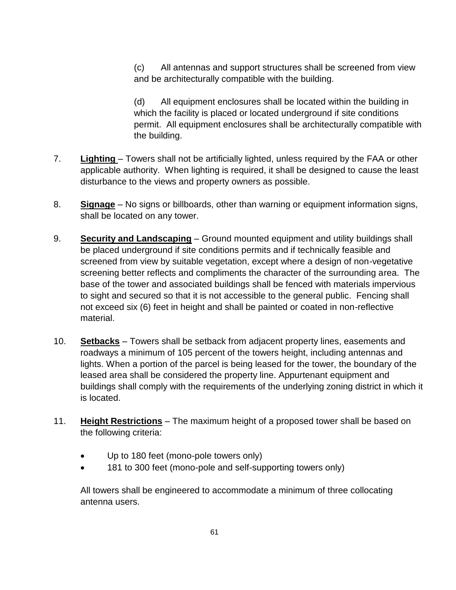(c) All antennas and support structures shall be screened from view and be architecturally compatible with the building.

(d) All equipment enclosures shall be located within the building in which the facility is placed or located underground if site conditions permit. All equipment enclosures shall be architecturally compatible with the building.

- 7. **Lighting**  Towers shall not be artificially lighted, unless required by the FAA or other applicable authority. When lighting is required, it shall be designed to cause the least disturbance to the views and property owners as possible.
- 8. **Signage** No signs or billboards, other than warning or equipment information signs, shall be located on any tower.
- 9. **Security and Landscaping** Ground mounted equipment and utility buildings shall be placed underground if site conditions permits and if technically feasible and screened from view by suitable vegetation, except where a design of non-vegetative screening better reflects and compliments the character of the surrounding area. The base of the tower and associated buildings shall be fenced with materials impervious to sight and secured so that it is not accessible to the general public. Fencing shall not exceed six (6) feet in height and shall be painted or coated in non-reflective material.
- 10. **Setbacks** Towers shall be setback from adjacent property lines, easements and roadways a minimum of 105 percent of the towers height, including antennas and lights. When a portion of the parcel is being leased for the tower, the boundary of the leased area shall be considered the property line. Appurtenant equipment and buildings shall comply with the requirements of the underlying zoning district in which it is located.
- 11. **Height Restrictions** The maximum height of a proposed tower shall be based on the following criteria:
	- Up to 180 feet (mono-pole towers only)
	- 181 to 300 feet (mono-pole and self-supporting towers only)

All towers shall be engineered to accommodate a minimum of three collocating antenna users.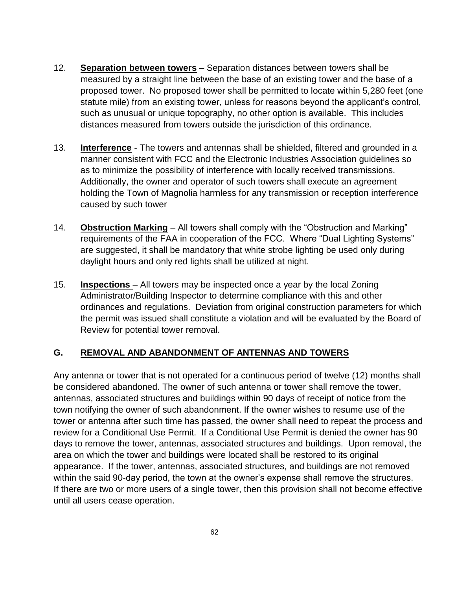- 12. **Separation between towers** Separation distances between towers shall be measured by a straight line between the base of an existing tower and the base of a proposed tower. No proposed tower shall be permitted to locate within 5,280 feet (one statute mile) from an existing tower, unless for reasons beyond the applicant's control, such as unusual or unique topography, no other option is available. This includes distances measured from towers outside the jurisdiction of this ordinance.
- 13. **Interference** The towers and antennas shall be shielded, filtered and grounded in a manner consistent with FCC and the Electronic Industries Association guidelines so as to minimize the possibility of interference with locally received transmissions. Additionally, the owner and operator of such towers shall execute an agreement holding the Town of Magnolia harmless for any transmission or reception interference caused by such tower
- 14. **Obstruction Marking** All towers shall comply with the "Obstruction and Marking" requirements of the FAA in cooperation of the FCC. Where "Dual Lighting Systems" are suggested, it shall be mandatory that white strobe lighting be used only during daylight hours and only red lights shall be utilized at night.
- 15. **Inspections**  All towers may be inspected once a year by the local Zoning Administrator/Building Inspector to determine compliance with this and other ordinances and regulations. Deviation from original construction parameters for which the permit was issued shall constitute a violation and will be evaluated by the Board of Review for potential tower removal.

## **G. REMOVAL AND ABANDONMENT OF ANTENNAS AND TOWERS**

Any antenna or tower that is not operated for a continuous period of twelve (12) months shall be considered abandoned. The owner of such antenna or tower shall remove the tower, antennas, associated structures and buildings within 90 days of receipt of notice from the town notifying the owner of such abandonment. If the owner wishes to resume use of the tower or antenna after such time has passed, the owner shall need to repeat the process and review for a Conditional Use Permit. If a Conditional Use Permit is denied the owner has 90 days to remove the tower, antennas, associated structures and buildings. Upon removal, the area on which the tower and buildings were located shall be restored to its original appearance. If the tower, antennas, associated structures, and buildings are not removed within the said 90-day period, the town at the owner's expense shall remove the structures. If there are two or more users of a single tower, then this provision shall not become effective until all users cease operation.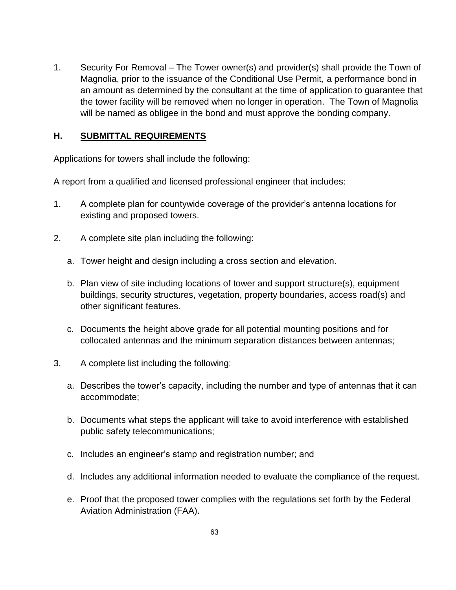1. Security For Removal – The Tower owner(s) and provider(s) shall provide the Town of Magnolia, prior to the issuance of the Conditional Use Permit, a performance bond in an amount as determined by the consultant at the time of application to guarantee that the tower facility will be removed when no longer in operation. The Town of Magnolia will be named as obligee in the bond and must approve the bonding company.

#### **H. SUBMITTAL REQUIREMENTS**

Applications for towers shall include the following:

A report from a qualified and licensed professional engineer that includes:

- 1. A complete plan for countywide coverage of the provider's antenna locations for existing and proposed towers.
- 2. A complete site plan including the following:
	- a. Tower height and design including a cross section and elevation.
	- b. Plan view of site including locations of tower and support structure(s), equipment buildings, security structures, vegetation, property boundaries, access road(s) and other significant features.
	- c. Documents the height above grade for all potential mounting positions and for collocated antennas and the minimum separation distances between antennas;
- 3. A complete list including the following:
	- a. Describes the tower's capacity, including the number and type of antennas that it can accommodate;
	- b. Documents what steps the applicant will take to avoid interference with established public safety telecommunications;
	- c. Includes an engineer's stamp and registration number; and
	- d. Includes any additional information needed to evaluate the compliance of the request.
	- e. Proof that the proposed tower complies with the regulations set forth by the Federal Aviation Administration (FAA).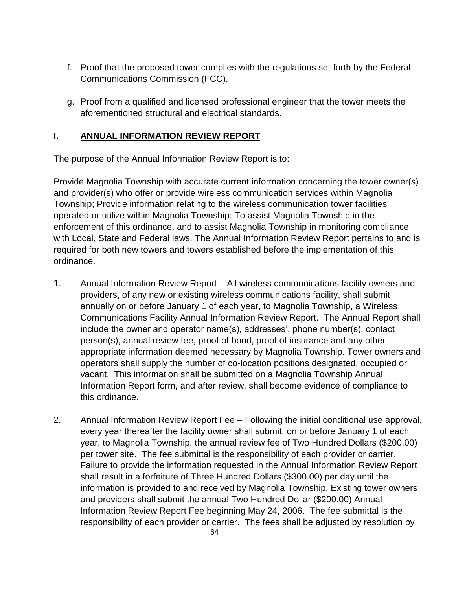- f. Proof that the proposed tower complies with the regulations set forth by the Federal Communications Commission (FCC).
- g. Proof from a qualified and licensed professional engineer that the tower meets the aforementioned structural and electrical standards.

#### **I. ANNUAL INFORMATION REVIEW REPORT**

The purpose of the Annual Information Review Report is to:

Provide Magnolia Township with accurate current information concerning the tower owner(s) and provider(s) who offer or provide wireless communication services within Magnolia Township; Provide information relating to the wireless communication tower facilities operated or utilize within Magnolia Township; To assist Magnolia Township in the enforcement of this ordinance, and to assist Magnolia Township in monitoring compliance with Local, State and Federal laws. The Annual Information Review Report pertains to and is required for both new towers and towers established before the implementation of this ordinance.

- 1. Annual Information Review Report All wireless communications facility owners and providers, of any new or existing wireless communications facility, shall submit annually on or before January 1 of each year, to Magnolia Township, a Wireless Communications Facility Annual Information Review Report. The Annual Report shall include the owner and operator name(s), addresses', phone number(s), contact person(s), annual review fee, proof of bond, proof of insurance and any other appropriate information deemed necessary by Magnolia Township. Tower owners and operators shall supply the number of co-location positions designated, occupied or vacant. This information shall be submitted on a Magnolia Township Annual Information Report form, and after review, shall become evidence of compliance to this ordinance.
- 2. Annual Information Review Report Fee Following the initial conditional use approval, every year thereafter the facility owner shall submit, on or before January 1 of each year, to Magnolia Township, the annual review fee of Two Hundred Dollars (\$200.00) per tower site. The fee submittal is the responsibility of each provider or carrier. Failure to provide the information requested in the Annual Information Review Report shall result in a forfeiture of Three Hundred Dollars (\$300.00) per day until the information is provided to and received by Magnolia Township. Existing tower owners and providers shall submit the annual Two Hundred Dollar (\$200.00) Annual Information Review Report Fee beginning May 24, 2006. The fee submittal is the responsibility of each provider or carrier. The fees shall be adjusted by resolution by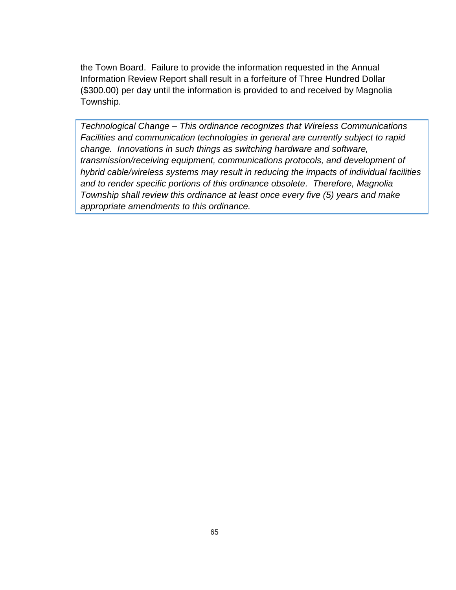the Town Board. Failure to provide the information requested in the Annual Information Review Report shall result in a forfeiture of Three Hundred Dollar (\$300.00) per day until the information is provided to and received by Magnolia Township.

*Technological Change – This ordinance recognizes that Wireless Communications Facilities and communication technologies in general are currently subject to rapid change. Innovations in such things as switching hardware and software, transmission/receiving equipment, communications protocols, and development of hybrid cable/wireless systems may result in reducing the impacts of individual facilities and to render specific portions of this ordinance obsolete. Therefore, Magnolia Township shall review this ordinance at least once every five (5) years and make appropriate amendments to this ordinance.*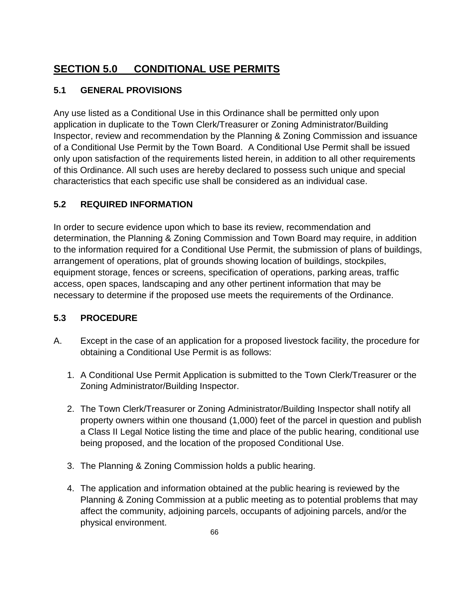# **SECTION 5.0 CONDITIONAL USE PERMITS**

# **5.1 GENERAL PROVISIONS**

Any use listed as a Conditional Use in this Ordinance shall be permitted only upon application in duplicate to the Town Clerk/Treasurer or Zoning Administrator/Building Inspector, review and recommendation by the Planning & Zoning Commission and issuance of a Conditional Use Permit by the Town Board. A Conditional Use Permit shall be issued only upon satisfaction of the requirements listed herein, in addition to all other requirements of this Ordinance. All such uses are hereby declared to possess such unique and special characteristics that each specific use shall be considered as an individual case.

# **5.2 REQUIRED INFORMATION**

In order to secure evidence upon which to base its review, recommendation and determination, the Planning & Zoning Commission and Town Board may require, in addition to the information required for a Conditional Use Permit, the submission of plans of buildings, arrangement of operations, plat of grounds showing location of buildings, stockpiles, equipment storage, fences or screens, specification of operations, parking areas, traffic access, open spaces, landscaping and any other pertinent information that may be necessary to determine if the proposed use meets the requirements of the Ordinance.

# **5.3 PROCEDURE**

- A. Except in the case of an application for a proposed livestock facility, the procedure for obtaining a Conditional Use Permit is as follows:
	- 1. A Conditional Use Permit Application is submitted to the Town Clerk/Treasurer or the Zoning Administrator/Building Inspector.
	- 2. The Town Clerk/Treasurer or Zoning Administrator/Building Inspector shall notify all property owners within one thousand (1,000) feet of the parcel in question and publish a Class II Legal Notice listing the time and place of the public hearing, conditional use being proposed, and the location of the proposed Conditional Use.
	- 3. The Planning & Zoning Commission holds a public hearing.
	- 4. The application and information obtained at the public hearing is reviewed by the Planning & Zoning Commission at a public meeting as to potential problems that may affect the community, adjoining parcels, occupants of adjoining parcels, and/or the physical environment.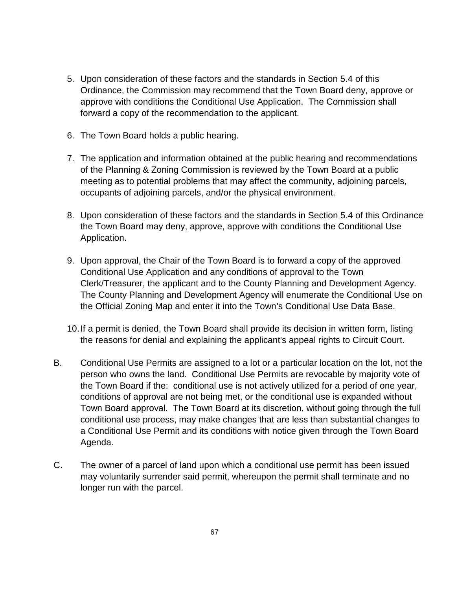- 5. Upon consideration of these factors and the standards in Section 5.4 of this Ordinance, the Commission may recommend that the Town Board deny, approve or approve with conditions the Conditional Use Application. The Commission shall forward a copy of the recommendation to the applicant.
- 6. The Town Board holds a public hearing.
- 7. The application and information obtained at the public hearing and recommendations of the Planning & Zoning Commission is reviewed by the Town Board at a public meeting as to potential problems that may affect the community, adjoining parcels, occupants of adjoining parcels, and/or the physical environment.
- 8. Upon consideration of these factors and the standards in Section 5.4 of this Ordinance the Town Board may deny, approve, approve with conditions the Conditional Use Application.
- 9. Upon approval, the Chair of the Town Board is to forward a copy of the approved Conditional Use Application and any conditions of approval to the Town Clerk/Treasurer, the applicant and to the County Planning and Development Agency. The County Planning and Development Agency will enumerate the Conditional Use on the Official Zoning Map and enter it into the Town's Conditional Use Data Base.
- 10.If a permit is denied, the Town Board shall provide its decision in written form, listing the reasons for denial and explaining the applicant's appeal rights to Circuit Court.
- B. Conditional Use Permits are assigned to a lot or a particular location on the lot, not the person who owns the land. Conditional Use Permits are revocable by majority vote of the Town Board if the: conditional use is not actively utilized for a period of one year, conditions of approval are not being met, or the conditional use is expanded without Town Board approval. The Town Board at its discretion, without going through the full conditional use process, may make changes that are less than substantial changes to a Conditional Use Permit and its conditions with notice given through the Town Board Agenda.
- C. The owner of a parcel of land upon which a conditional use permit has been issued may voluntarily surrender said permit, whereupon the permit shall terminate and no longer run with the parcel.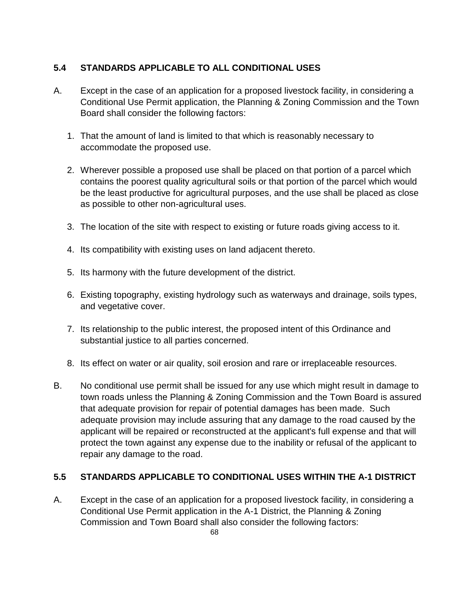### **5.4 STANDARDS APPLICABLE TO ALL CONDITIONAL USES**

- A. Except in the case of an application for a proposed livestock facility, in considering a Conditional Use Permit application, the Planning & Zoning Commission and the Town Board shall consider the following factors:
	- 1. That the amount of land is limited to that which is reasonably necessary to accommodate the proposed use.
	- 2. Wherever possible a proposed use shall be placed on that portion of a parcel which contains the poorest quality agricultural soils or that portion of the parcel which would be the least productive for agricultural purposes, and the use shall be placed as close as possible to other non-agricultural uses.
	- 3. The location of the site with respect to existing or future roads giving access to it.
	- 4. Its compatibility with existing uses on land adjacent thereto.
	- 5. Its harmony with the future development of the district.
	- 6. Existing topography, existing hydrology such as waterways and drainage, soils types, and vegetative cover.
	- 7. Its relationship to the public interest, the proposed intent of this Ordinance and substantial justice to all parties concerned.
	- 8. Its effect on water or air quality, soil erosion and rare or irreplaceable resources.
- B. No conditional use permit shall be issued for any use which might result in damage to town roads unless the Planning & Zoning Commission and the Town Board is assured that adequate provision for repair of potential damages has been made. Such adequate provision may include assuring that any damage to the road caused by the applicant will be repaired or reconstructed at the applicant's full expense and that will protect the town against any expense due to the inability or refusal of the applicant to repair any damage to the road.

#### **5.5 STANDARDS APPLICABLE TO CONDITIONAL USES WITHIN THE A-1 DISTRICT**

A. Except in the case of an application for a proposed livestock facility, in considering a Conditional Use Permit application in the A-1 District, the Planning & Zoning Commission and Town Board shall also consider the following factors: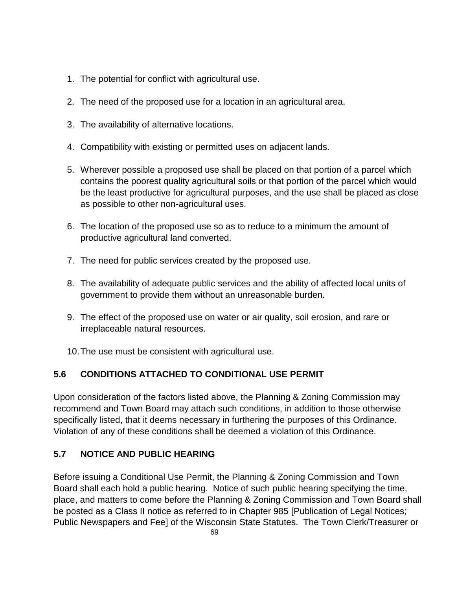- 1. The potential for conflict with agricultural use.
- 2. The need of the proposed use for a location in an agricultural area.
- 3. The availability of alternative locations.
- 4. Compatibility with existing or permitted uses on adjacent lands.
- 5. Wherever possible a proposed use shall be placed on that portion of a parcel which contains the poorest quality agricultural soils or that portion of the parcel which would be the least productive for agricultural purposes, and the use shall be placed as close as possible to other non-agricultural uses.
- 6. The location of the proposed use so as to reduce to a minimum the amount of productive agricultural land converted.
- 7. The need for public services created by the proposed use.
- 8. The availability of adequate public services and the ability of affected local units of government to provide them without an unreasonable burden.
- 9. The effect of the proposed use on water or air quality, soil erosion, and rare or irreplaceable natural resources.
- 10.The use must be consistent with agricultural use.

# **5.6 CONDITIONS ATTACHED TO CONDITIONAL USE PERMIT**

Upon consideration of the factors listed above, the Planning & Zoning Commission may recommend and Town Board may attach such conditions, in addition to those otherwise specifically listed, that it deems necessary in furthering the purposes of this Ordinance. Violation of any of these conditions shall be deemed a violation of this Ordinance.

# **5.7 NOTICE AND PUBLIC HEARING**

Before issuing a Conditional Use Permit, the Planning & Zoning Commission and Town Board shall each hold a public hearing. Notice of such public hearing specifying the time, place, and matters to come before the Planning & Zoning Commission and Town Board shall be posted as a Class II notice as referred to in Chapter 985 [Publication of Legal Notices; Public Newspapers and Fee] of the Wisconsin State Statutes. The Town Clerk/Treasurer or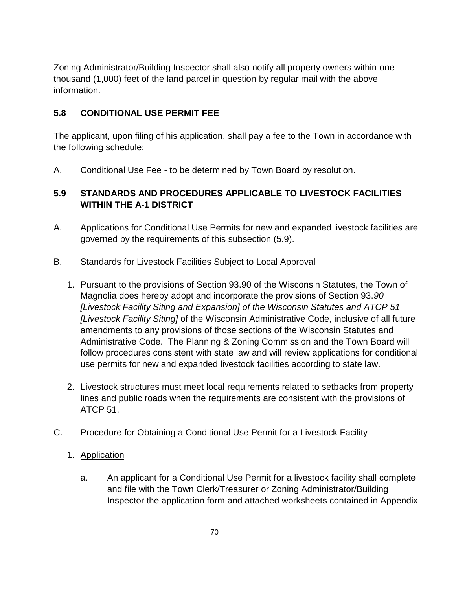Zoning Administrator/Building Inspector shall also notify all property owners within one thousand (1,000) feet of the land parcel in question by regular mail with the above information.

# **5.8 CONDITIONAL USE PERMIT FEE**

The applicant, upon filing of his application, shall pay a fee to the Town in accordance with the following schedule:

A. Conditional Use Fee - to be determined by Town Board by resolution.

# **5.9 STANDARDS AND PROCEDURES APPLICABLE TO LIVESTOCK FACILITIES WITHIN THE A-1 DISTRICT**

- A. Applications for Conditional Use Permits for new and expanded livestock facilities are governed by the requirements of this subsection (5.9).
- B. Standards for Livestock Facilities Subject to Local Approval
	- 1. Pursuant to the provisions of Section 93.90 of the Wisconsin Statutes, the Town of Magnolia does hereby adopt and incorporate the provisions of Section 93.*90 [Livestock Facility Siting and Expansion] of the Wisconsin Statutes and ATCP 51 [Livestock Facility Siting]* of the Wisconsin Administrative Code, inclusive of all future amendments to any provisions of those sections of the Wisconsin Statutes and Administrative Code. The Planning & Zoning Commission and the Town Board will follow procedures consistent with state law and will review applications for conditional use permits for new and expanded livestock facilities according to state law.
	- 2. Livestock structures must meet local requirements related to setbacks from property lines and public roads when the requirements are consistent with the provisions of ATCP 51.
- C. Procedure for Obtaining a Conditional Use Permit for a Livestock Facility
	- 1. Application
		- a. An applicant for a Conditional Use Permit for a livestock facility shall complete and file with the Town Clerk/Treasurer or Zoning Administrator/Building Inspector the application form and attached worksheets contained in Appendix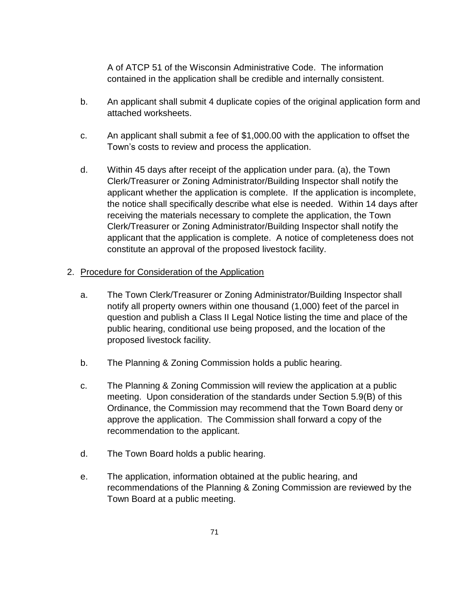A of ATCP 51 of the Wisconsin Administrative Code. The information contained in the application shall be credible and internally consistent.

- b. An applicant shall submit 4 duplicate copies of the original application form and attached worksheets.
- c. An applicant shall submit a fee of \$1,000.00 with the application to offset the Town's costs to review and process the application.
- d. Within 45 days after receipt of the application under para. (a), the Town Clerk/Treasurer or Zoning Administrator/Building Inspector shall notify the applicant whether the application is complete. If the application is incomplete, the notice shall specifically describe what else is needed. Within 14 days after receiving the materials necessary to complete the application, the Town Clerk/Treasurer or Zoning Administrator/Building Inspector shall notify the applicant that the application is complete. A notice of completeness does not constitute an approval of the proposed livestock facility.

#### 2. Procedure for Consideration of the Application

- a. The Town Clerk/Treasurer or Zoning Administrator/Building Inspector shall notify all property owners within one thousand (1,000) feet of the parcel in question and publish a Class II Legal Notice listing the time and place of the public hearing, conditional use being proposed, and the location of the proposed livestock facility.
- b. The Planning & Zoning Commission holds a public hearing.
- c. The Planning & Zoning Commission will review the application at a public meeting. Upon consideration of the standards under Section 5.9(B) of this Ordinance, the Commission may recommend that the Town Board deny or approve the application. The Commission shall forward a copy of the recommendation to the applicant.
- d. The Town Board holds a public hearing.
- e. The application, information obtained at the public hearing, and recommendations of the Planning & Zoning Commission are reviewed by the Town Board at a public meeting.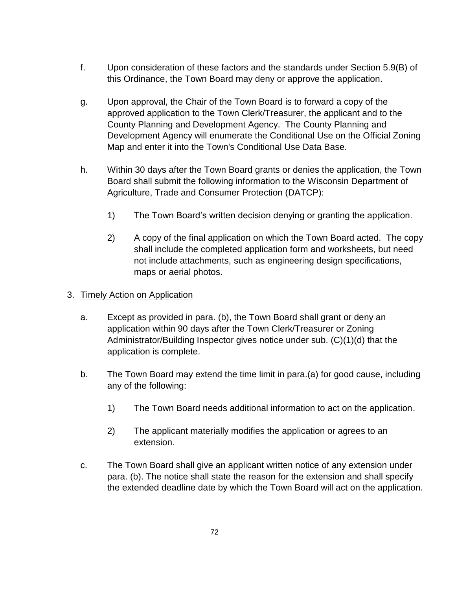- f. Upon consideration of these factors and the standards under Section 5.9(B) of this Ordinance, the Town Board may deny or approve the application.
- g. Upon approval, the Chair of the Town Board is to forward a copy of the approved application to the Town Clerk/Treasurer, the applicant and to the County Planning and Development Agency. The County Planning and Development Agency will enumerate the Conditional Use on the Official Zoning Map and enter it into the Town's Conditional Use Data Base.
- h. Within 30 days after the Town Board grants or denies the application, the Town Board shall submit the following information to the Wisconsin Department of Agriculture, Trade and Consumer Protection (DATCP):
	- 1) The Town Board's written decision denying or granting the application.
	- 2) A copy of the final application on which the Town Board acted. The copy shall include the completed application form and worksheets, but need not include attachments, such as engineering design specifications, maps or aerial photos.

#### 3. Timely Action on Application

- a. Except as provided in para. (b), the Town Board shall grant or deny an application within 90 days after the Town Clerk/Treasurer or Zoning Administrator/Building Inspector gives notice under sub. (C)(1)(d) that the application is complete.
- b. The Town Board may extend the time limit in para.(a) for good cause, including any of the following:
	- 1) The Town Board needs additional information to act on the application.
	- 2) The applicant materially modifies the application or agrees to an extension.
- c. The Town Board shall give an applicant written notice of any extension under para. (b). The notice shall state the reason for the extension and shall specify the extended deadline date by which the Town Board will act on the application.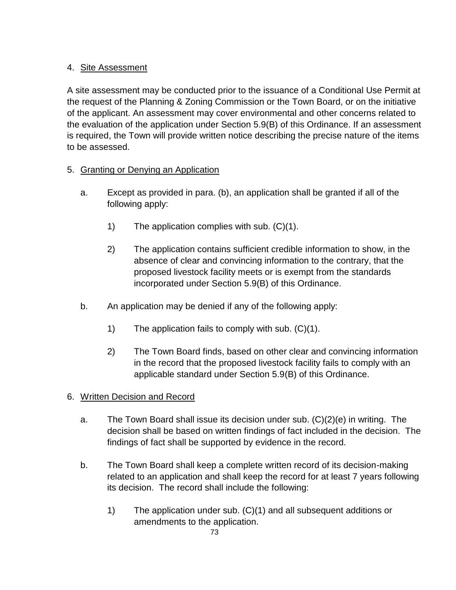# 4. Site Assessment

A site assessment may be conducted prior to the issuance of a Conditional Use Permit at the request of the Planning & Zoning Commission or the Town Board, or on the initiative of the applicant. An assessment may cover environmental and other concerns related to the evaluation of the application under Section 5.9(B) of this Ordinance. If an assessment is required, the Town will provide written notice describing the precise nature of the items to be assessed.

# 5. Granting or Denying an Application

- a. Except as provided in para. (b), an application shall be granted if all of the following apply:
	- 1) The application complies with sub. (C)(1).
	- 2) The application contains sufficient credible information to show, in the absence of clear and convincing information to the contrary, that the proposed livestock facility meets or is exempt from the standards incorporated under Section 5.9(B) of this Ordinance.
- b. An application may be denied if any of the following apply:
	- 1) The application fails to comply with sub. (C)(1).
	- 2) The Town Board finds, based on other clear and convincing information in the record that the proposed livestock facility fails to comply with an applicable standard under Section 5.9(B) of this Ordinance.

# 6. Written Decision and Record

- a. The Town Board shall issue its decision under sub. (C)(2)(e) in writing. The decision shall be based on written findings of fact included in the decision. The findings of fact shall be supported by evidence in the record.
- b. The Town Board shall keep a complete written record of its decision-making related to an application and shall keep the record for at least 7 years following its decision. The record shall include the following:
	- 1) The application under sub. (C)(1) and all subsequent additions or amendments to the application.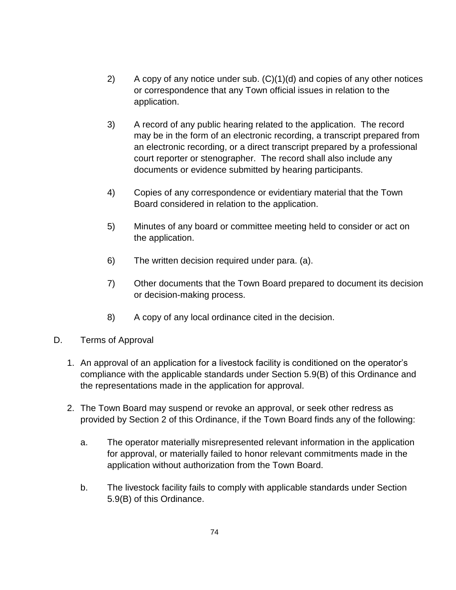- 2) A copy of any notice under sub. (C)(1)(d) and copies of any other notices or correspondence that any Town official issues in relation to the application.
- 3) A record of any public hearing related to the application. The record may be in the form of an electronic recording, a transcript prepared from an electronic recording, or a direct transcript prepared by a professional court reporter or stenographer. The record shall also include any documents or evidence submitted by hearing participants.
- 4) Copies of any correspondence or evidentiary material that the Town Board considered in relation to the application.
- 5) Minutes of any board or committee meeting held to consider or act on the application.
- 6) The written decision required under para. (a).
- 7) Other documents that the Town Board prepared to document its decision or decision-making process.
- 8) A copy of any local ordinance cited in the decision.
- D. Terms of Approval
	- 1. An approval of an application for a livestock facility is conditioned on the operator's compliance with the applicable standards under Section 5.9(B) of this Ordinance and the representations made in the application for approval.
	- 2. The Town Board may suspend or revoke an approval, or seek other redress as provided by Section 2 of this Ordinance, if the Town Board finds any of the following:
		- a. The operator materially misrepresented relevant information in the application for approval, or materially failed to honor relevant commitments made in the application without authorization from the Town Board.
		- b. The livestock facility fails to comply with applicable standards under Section 5.9(B) of this Ordinance.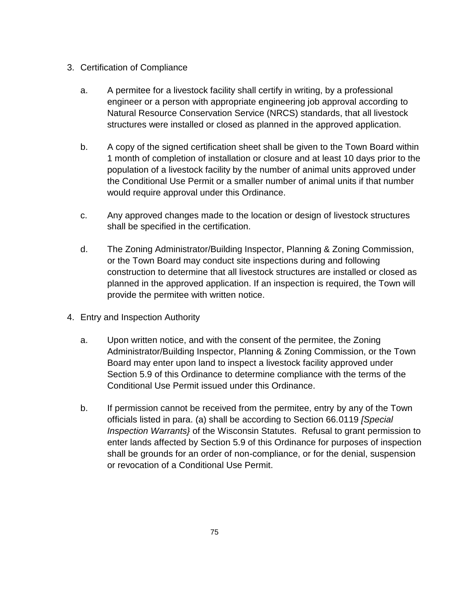- 3. Certification of Compliance
	- a. A permitee for a livestock facility shall certify in writing, by a professional engineer or a person with appropriate engineering job approval according to Natural Resource Conservation Service (NRCS) standards, that all livestock structures were installed or closed as planned in the approved application.
	- b. A copy of the signed certification sheet shall be given to the Town Board within 1 month of completion of installation or closure and at least 10 days prior to the population of a livestock facility by the number of animal units approved under the Conditional Use Permit or a smaller number of animal units if that number would require approval under this Ordinance.
	- c. Any approved changes made to the location or design of livestock structures shall be specified in the certification.
	- d. The Zoning Administrator/Building Inspector, Planning & Zoning Commission, or the Town Board may conduct site inspections during and following construction to determine that all livestock structures are installed or closed as planned in the approved application. If an inspection is required, the Town will provide the permitee with written notice.
- 4. Entry and Inspection Authority
	- a. Upon written notice, and with the consent of the permitee, the Zoning Administrator/Building Inspector, Planning & Zoning Commission, or the Town Board may enter upon land to inspect a livestock facility approved under Section 5.9 of this Ordinance to determine compliance with the terms of the Conditional Use Permit issued under this Ordinance.
	- b. If permission cannot be received from the permitee, entry by any of the Town officials listed in para. (a) shall be according to Section 66.0119 *[Special Inspection Warrants}* of the Wisconsin Statutes. Refusal to grant permission to enter lands affected by Section 5.9 of this Ordinance for purposes of inspection shall be grounds for an order of non-compliance, or for the denial, suspension or revocation of a Conditional Use Permit.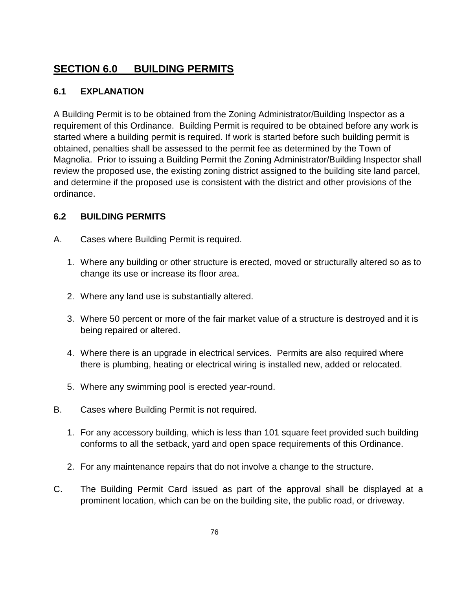# **SECTION 6.0 BUILDING PERMITS**

### **6.1 EXPLANATION**

A Building Permit is to be obtained from the Zoning Administrator/Building Inspector as a requirement of this Ordinance. Building Permit is required to be obtained before any work is started where a building permit is required. If work is started before such building permit is obtained, penalties shall be assessed to the permit fee as determined by the Town of Magnolia.Prior to issuing a Building Permit the Zoning Administrator/Building Inspector shall review the proposed use, the existing zoning district assigned to the building site land parcel, and determine if the proposed use is consistent with the district and other provisions of the ordinance.

#### **6.2 BUILDING PERMITS**

- A. Cases where Building Permit is required.
	- 1. Where any building or other structure is erected, moved or structurally altered so as to change its use or increase its floor area.
	- 2. Where any land use is substantially altered.
	- 3. Where 50 percent or more of the fair market value of a structure is destroyed and it is being repaired or altered.
	- 4. Where there is an upgrade in electrical services. Permits are also required where there is plumbing, heating or electrical wiring is installed new, added or relocated.
	- 5. Where any swimming pool is erected year-round.
- B. Cases where Building Permit is not required.
	- 1. For any accessory building, which is less than 101 square feet provided such building conforms to all the setback, yard and open space requirements of this Ordinance.
	- 2. For any maintenance repairs that do not involve a change to the structure.
- C. The Building Permit Card issued as part of the approval shall be displayed at a prominent location, which can be on the building site, the public road, or driveway.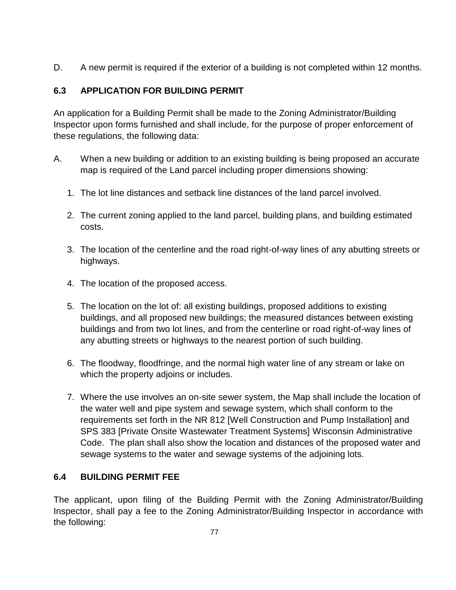D. A new permit is required if the exterior of a building is not completed within 12 months.

# **6.3 APPLICATION FOR BUILDING PERMIT**

An application for a Building Permit shall be made to the Zoning Administrator/Building Inspector upon forms furnished and shall include, for the purpose of proper enforcement of these regulations, the following data:

- A. When a new building or addition to an existing building is being proposed an accurate map is required of the Land parcel including proper dimensions showing:
	- 1. The lot line distances and setback line distances of the land parcel involved.
	- 2. The current zoning applied to the land parcel, building plans, and building estimated costs.
	- 3. The location of the centerline and the road right-of-way lines of any abutting streets or highways.
	- 4. The location of the proposed access.
	- 5. The location on the lot of: all existing buildings, proposed additions to existing buildings, and all proposed new buildings; the measured distances between existing buildings and from two lot lines, and from the centerline or road right-of-way lines of any abutting streets or highways to the nearest portion of such building.
	- 6. The floodway, floodfringe, and the normal high water line of any stream or lake on which the property adjoins or includes.
	- 7. Where the use involves an on-site sewer system, the Map shall include the location of the water well and pipe system and sewage system, which shall conform to the requirements set forth in the NR 812 [Well Construction and Pump Installation] and SPS 383 [Private Onsite Wastewater Treatment Systems] Wisconsin Administrative Code. The plan shall also show the location and distances of the proposed water and sewage systems to the water and sewage systems of the adjoining lots.

# **6.4 BUILDING PERMIT FEE**

The applicant, upon filing of the Building Permit with the Zoning Administrator/Building Inspector, shall pay a fee to the Zoning Administrator/Building Inspector in accordance with the following: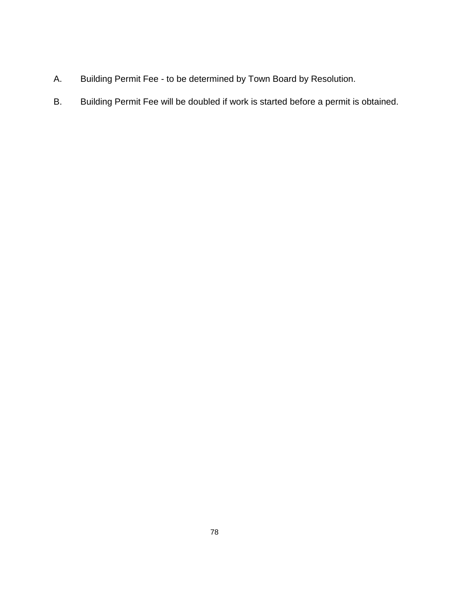- A. Building Permit Fee to be determined by Town Board by Resolution.
- B. Building Permit Fee will be doubled if work is started before a permit is obtained.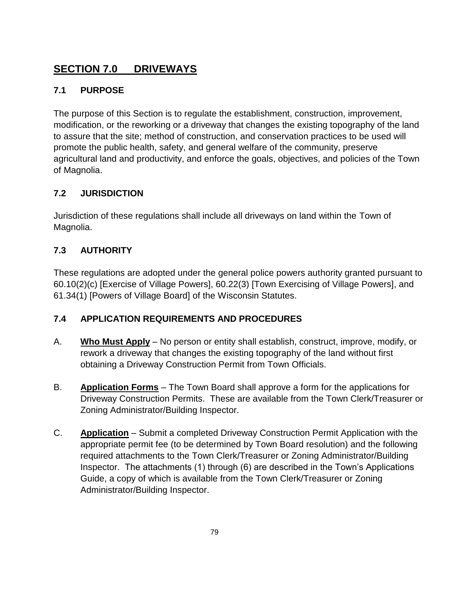# **SECTION 7.0 DRIVEWAYS**

# **7.1 PURPOSE**

The purpose of this Section is to regulate the establishment, construction, improvement, modification, or the reworking or a driveway that changes the existing topography of the land to assure that the site; method of construction, and conservation practices to be used will promote the public health, safety, and general welfare of the community, preserve agricultural land and productivity, and enforce the goals, objectives, and policies of the Town of Magnolia.

# **7.2 JURISDICTION**

Jurisdiction of these regulations shall include all driveways on land within the Town of Magnolia.

# **7.3 AUTHORITY**

These regulations are adopted under the general police powers authority granted pursuant to 60.10(2)(c) [Exercise of Village Powers], 60.22(3) [Town Exercising of Village Powers], and 61.34(1) [Powers of Village Board] of the Wisconsin Statutes.

# **7.4 APPLICATION REQUIREMENTS AND PROCEDURES**

- A. **Who Must Apply** No person or entity shall establish, construct, improve, modify, or rework a driveway that changes the existing topography of the land without first obtaining a Driveway Construction Permit from Town Officials.
- B. **Application Forms** The Town Board shall approve a form for the applications for Driveway Construction Permits. These are available from the Town Clerk/Treasurer or Zoning Administrator/Building Inspector.
- C. **Application** Submit a completed Driveway Construction Permit Application with the appropriate permit fee (to be determined by Town Board resolution) and the following required attachments to the Town Clerk/Treasurer or Zoning Administrator/Building Inspector. The attachments (1) through (6) are described in the Town's Applications Guide, a copy of which is available from the Town Clerk/Treasurer or Zoning Administrator/Building Inspector.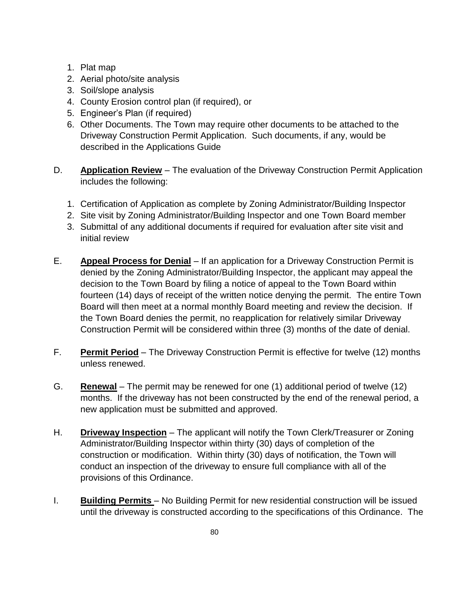- 1. Plat map
- 2. Aerial photo/site analysis
- 3. Soil/slope analysis
- 4. County Erosion control plan (if required), or
- 5. Engineer's Plan (if required)
- 6. Other Documents. The Town may require other documents to be attached to the Driveway Construction Permit Application. Such documents, if any, would be described in the Applications Guide
- D. **Application Review** The evaluation of the Driveway Construction Permit Application includes the following:
	- 1. Certification of Application as complete by Zoning Administrator/Building Inspector
	- 2. Site visit by Zoning Administrator/Building Inspector and one Town Board member
	- 3. Submittal of any additional documents if required for evaluation after site visit and initial review
- E. **Appeal Process for Denial** If an application for a Driveway Construction Permit is denied by the Zoning Administrator/Building Inspector, the applicant may appeal the decision to the Town Board by filing a notice of appeal to the Town Board within fourteen (14) days of receipt of the written notice denying the permit. The entire Town Board will then meet at a normal monthly Board meeting and review the decision. If the Town Board denies the permit, no reapplication for relatively similar Driveway Construction Permit will be considered within three (3) months of the date of denial.
- F. **Permit Period** The Driveway Construction Permit is effective for twelve (12) months unless renewed.
- G. **Renewal** The permit may be renewed for one (1) additional period of twelve (12) months. If the driveway has not been constructed by the end of the renewal period, a new application must be submitted and approved.
- H. **Driveway Inspection** The applicant will notify the Town Clerk/Treasurer or Zoning Administrator/Building Inspector within thirty (30) days of completion of the construction or modification. Within thirty (30) days of notification, the Town will conduct an inspection of the driveway to ensure full compliance with all of the provisions of this Ordinance.
- I. **Building Permits** No Building Permit for new residential construction will be issued until the driveway is constructed according to the specifications of this Ordinance. The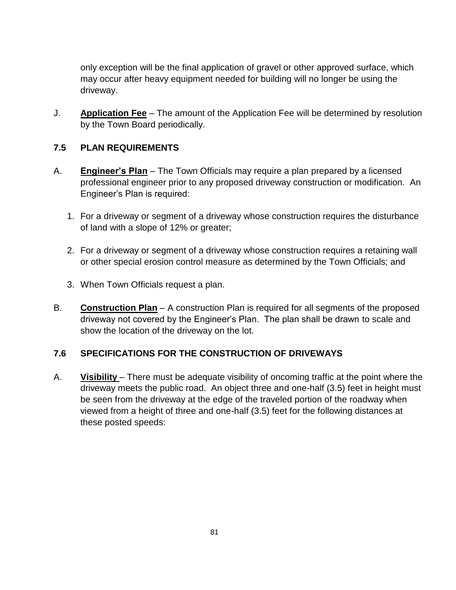only exception will be the final application of gravel or other approved surface, which may occur after heavy equipment needed for building will no longer be using the driveway.

J. **Application Fee** – The amount of the Application Fee will be determined by resolution by the Town Board periodically.

#### **7.5 PLAN REQUIREMENTS**

- A. **Engineer's Plan** The Town Officials may require a plan prepared by a licensed professional engineer prior to any proposed driveway construction or modification. An Engineer's Plan is required:
	- 1. For a driveway or segment of a driveway whose construction requires the disturbance of land with a slope of 12% or greater;
	- 2. For a driveway or segment of a driveway whose construction requires a retaining wall or other special erosion control measure as determined by the Town Officials; and
	- 3. When Town Officials request a plan.
- B. **Construction Plan** A construction Plan is required for all segments of the proposed driveway not covered by the Engineer's Plan. The plan shall be drawn to scale and show the location of the driveway on the lot.

#### **7.6 SPECIFICATIONS FOR THE CONSTRUCTION OF DRIVEWAYS**

A. **Visibility** – There must be adequate visibility of oncoming traffic at the point where the driveway meets the public road. An object three and one-half (3.5) feet in height must be seen from the driveway at the edge of the traveled portion of the roadway when viewed from a height of three and one-half (3.5) feet for the following distances at these posted speeds: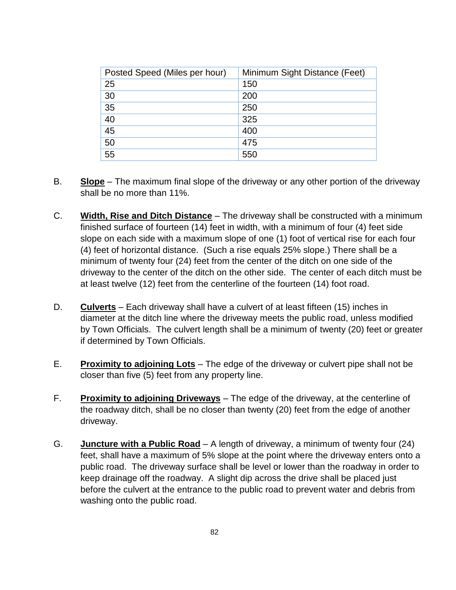| Posted Speed (Miles per hour) | Minimum Sight Distance (Feet) |
|-------------------------------|-------------------------------|
| 25                            | 150                           |
| 30                            | 200                           |
| 35                            | 250                           |
| 40                            | 325                           |
| 45                            | 400                           |
| 50                            | 475                           |
| 55                            | 550                           |

- B. **Slope** The maximum final slope of the driveway or any other portion of the driveway shall be no more than 11%.
- C. **Width, Rise and Ditch Distance** The driveway shall be constructed with a minimum finished surface of fourteen (14) feet in width, with a minimum of four (4) feet side slope on each side with a maximum slope of one (1) foot of vertical rise for each four (4) feet of horizontal distance. (Such a rise equals 25% slope.) There shall be a minimum of twenty four (24) feet from the center of the ditch on one side of the driveway to the center of the ditch on the other side. The center of each ditch must be at least twelve (12) feet from the centerline of the fourteen (14) foot road.
- D. **Culverts** Each driveway shall have a culvert of at least fifteen (15) inches in diameter at the ditch line where the driveway meets the public road, unless modified by Town Officials. The culvert length shall be a minimum of twenty (20) feet or greater if determined by Town Officials.
- E. **Proximity to adjoining Lots** The edge of the driveway or culvert pipe shall not be closer than five (5) feet from any property line.
- F. **Proximity to adjoining Driveways** The edge of the driveway, at the centerline of the roadway ditch, shall be no closer than twenty (20) feet from the edge of another driveway.
- G. **Juncture with a Public Road** A length of driveway, a minimum of twenty four (24) feet, shall have a maximum of 5% slope at the point where the driveway enters onto a public road. The driveway surface shall be level or lower than the roadway in order to keep drainage off the roadway. A slight dip across the drive shall be placed just before the culvert at the entrance to the public road to prevent water and debris from washing onto the public road.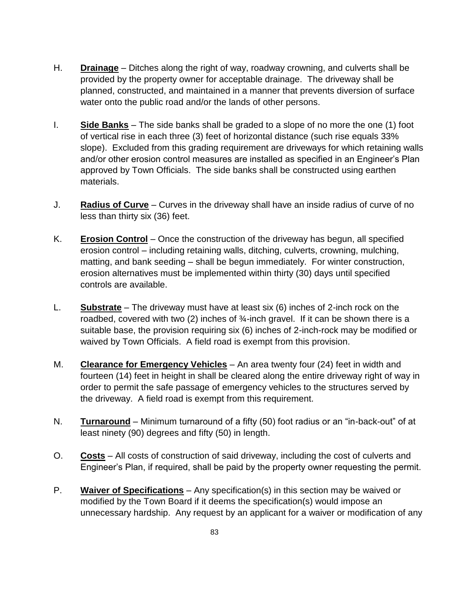- H. **Drainage** Ditches along the right of way, roadway crowning, and culverts shall be provided by the property owner for acceptable drainage. The driveway shall be planned, constructed, and maintained in a manner that prevents diversion of surface water onto the public road and/or the lands of other persons.
- I. **Side Banks** The side banks shall be graded to a slope of no more the one (1) foot of vertical rise in each three (3) feet of horizontal distance (such rise equals 33% slope). Excluded from this grading requirement are driveways for which retaining walls and/or other erosion control measures are installed as specified in an Engineer's Plan approved by Town Officials. The side banks shall be constructed using earthen materials.
- J. **Radius of Curve** Curves in the driveway shall have an inside radius of curve of no less than thirty six (36) feet.
- K. **Erosion Control** Once the construction of the driveway has begun, all specified erosion control – including retaining walls, ditching, culverts, crowning, mulching, matting, and bank seeding – shall be begun immediately. For winter construction, erosion alternatives must be implemented within thirty (30) days until specified controls are available.
- L. **Substrate** The driveway must have at least six (6) inches of 2-inch rock on the roadbed, covered with two (2) inches of  $\frac{3}{4}$ -inch gravel. If it can be shown there is a suitable base, the provision requiring six (6) inches of 2-inch-rock may be modified or waived by Town Officials. A field road is exempt from this provision.
- M. **Clearance for Emergency Vehicles** An area twenty four (24) feet in width and fourteen (14) feet in height in shall be cleared along the entire driveway right of way in order to permit the safe passage of emergency vehicles to the structures served by the driveway. A field road is exempt from this requirement.
- N. **Turnaround** Minimum turnaround of a fifty (50) foot radius or an "in-back-out" of at least ninety (90) degrees and fifty (50) in length.
- O. **Costs** All costs of construction of said driveway, including the cost of culverts and Engineer's Plan, if required, shall be paid by the property owner requesting the permit.
- P. **Waiver of Specifications** Any specification(s) in this section may be waived or modified by the Town Board if it deems the specification(s) would impose an unnecessary hardship. Any request by an applicant for a waiver or modification of any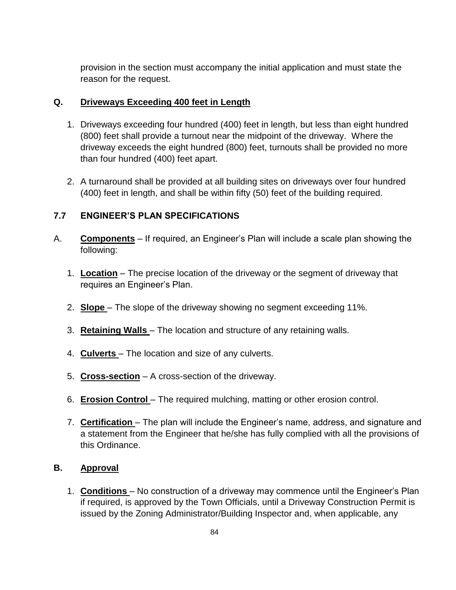provision in the section must accompany the initial application and must state the reason for the request.

#### **Q. Driveways Exceeding 400 feet in Length**

- 1. Driveways exceeding four hundred (400) feet in length, but less than eight hundred (800) feet shall provide a turnout near the midpoint of the driveway. Where the driveway exceeds the eight hundred (800) feet, turnouts shall be provided no more than four hundred (400) feet apart.
- 2. A turnaround shall be provided at all building sites on driveways over four hundred (400) feet in length, and shall be within fifty (50) feet of the building required.

#### **7.7 ENGINEER'S PLAN SPECIFICATIONS**

- A. **Components** If required, an Engineer's Plan will include a scale plan showing the following:
	- 1. **Location** The precise location of the driveway or the segment of driveway that requires an Engineer's Plan.
	- 2. **Slope** The slope of the driveway showing no segment exceeding 11%.
	- 3. **Retaining Walls** The location and structure of any retaining walls.
	- 4. **Culverts** The location and size of any culverts.
	- 5. **Cross-section** A cross-section of the driveway.
	- 6. **Erosion Control** The required mulching, matting or other erosion control.
	- 7. **Certification** The plan will include the Engineer's name, address, and signature and a statement from the Engineer that he/she has fully complied with all the provisions of this Ordinance.

#### **B. Approval**

1. **Conditions** – No construction of a driveway may commence until the Engineer's Plan if required, is approved by the Town Officials, until a Driveway Construction Permit is issued by the Zoning Administrator/Building Inspector and, when applicable, any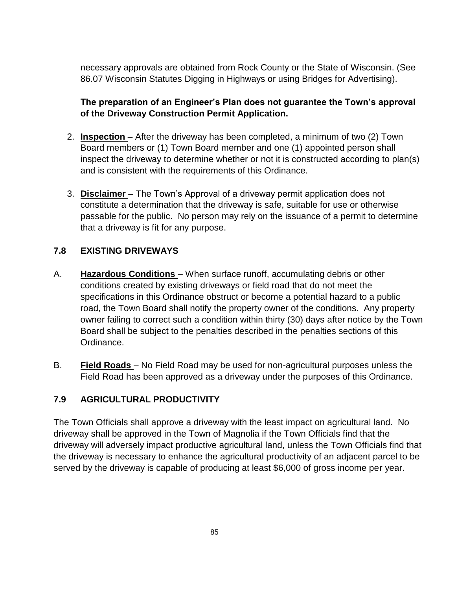necessary approvals are obtained from Rock County or the State of Wisconsin. (See 86.07 Wisconsin Statutes Digging in Highways or using Bridges for Advertising).

# **The preparation of an Engineer's Plan does not guarantee the Town's approval of the Driveway Construction Permit Application.**

- 2. **Inspection** After the driveway has been completed, a minimum of two (2) Town Board members or (1) Town Board member and one (1) appointed person shall inspect the driveway to determine whether or not it is constructed according to plan(s) and is consistent with the requirements of this Ordinance.
- 3. **Disclaimer** The Town's Approval of a driveway permit application does not constitute a determination that the driveway is safe, suitable for use or otherwise passable for the public. No person may rely on the issuance of a permit to determine that a driveway is fit for any purpose.

#### **7.8 EXISTING DRIVEWAYS**

- A. **Hazardous Conditions** When surface runoff, accumulating debris or other conditions created by existing driveways or field road that do not meet the specifications in this Ordinance obstruct or become a potential hazard to a public road, the Town Board shall notify the property owner of the conditions. Any property owner failing to correct such a condition within thirty (30) days after notice by the Town Board shall be subject to the penalties described in the penalties sections of this Ordinance.
- B. **Field Roads** No Field Road may be used for non-agricultural purposes unless the Field Road has been approved as a driveway under the purposes of this Ordinance.

#### **7.9 AGRICULTURAL PRODUCTIVITY**

The Town Officials shall approve a driveway with the least impact on agricultural land. No driveway shall be approved in the Town of Magnolia if the Town Officials find that the driveway will adversely impact productive agricultural land, unless the Town Officials find that the driveway is necessary to enhance the agricultural productivity of an adjacent parcel to be served by the driveway is capable of producing at least \$6,000 of gross income per year.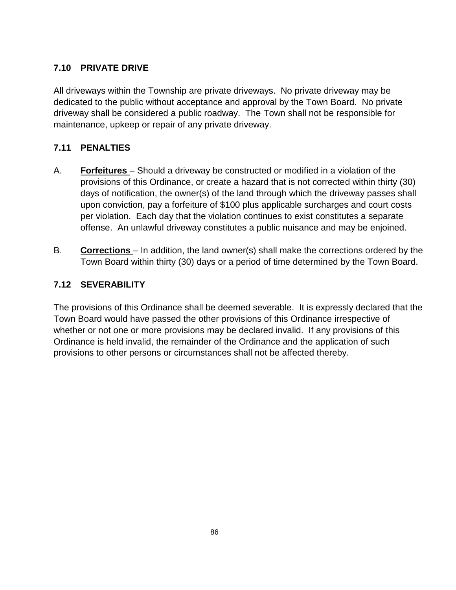# **7.10 PRIVATE DRIVE**

All driveways within the Township are private driveways. No private driveway may be dedicated to the public without acceptance and approval by the Town Board. No private driveway shall be considered a public roadway. The Town shall not be responsible for maintenance, upkeep or repair of any private driveway.

#### **7.11 PENALTIES**

- A. **Forfeitures** Should a driveway be constructed or modified in a violation of the provisions of this Ordinance, or create a hazard that is not corrected within thirty (30) days of notification, the owner(s) of the land through which the driveway passes shall upon conviction, pay a forfeiture of \$100 plus applicable surcharges and court costs per violation. Each day that the violation continues to exist constitutes a separate offense. An unlawful driveway constitutes a public nuisance and may be enjoined.
- B. **Corrections** In addition, the land owner(s) shall make the corrections ordered by the Town Board within thirty (30) days or a period of time determined by the Town Board.

#### **7.12 SEVERABILITY**

The provisions of this Ordinance shall be deemed severable. It is expressly declared that the Town Board would have passed the other provisions of this Ordinance irrespective of whether or not one or more provisions may be declared invalid. If any provisions of this Ordinance is held invalid, the remainder of the Ordinance and the application of such provisions to other persons or circumstances shall not be affected thereby.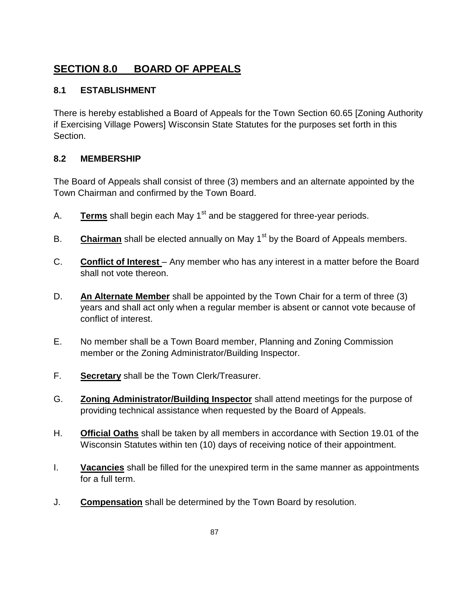# **SECTION 8.0 BOARD OF APPEALS**

### **8.1 ESTABLISHMENT**

There is hereby established a Board of Appeals for the Town Section 60.65 [Zoning Authority if Exercising Village Powers] Wisconsin State Statutes for the purposes set forth in this Section.

#### **8.2 MEMBERSHIP**

The Board of Appeals shall consist of three (3) members and an alternate appointed by the Town Chairman and confirmed by the Town Board.

- A. **Terms** shall begin each May 1<sup>st</sup> and be staggered for three-year periods.
- B. **Chairman** shall be elected annually on May 1<sup>st</sup> by the Board of Appeals members.
- C. **Conflict of Interest** Any member who has any interest in a matter before the Board shall not vote thereon.
- D. **An Alternate Member** shall be appointed by the Town Chair for a term of three (3) years and shall act only when a regular member is absent or cannot vote because of conflict of interest.
- E. No member shall be a Town Board member, Planning and Zoning Commission member or the Zoning Administrator/Building Inspector.
- F. **Secretary** shall be the Town Clerk/Treasurer.
- G. **Zoning Administrator/Building Inspector** shall attend meetings for the purpose of providing technical assistance when requested by the Board of Appeals.
- H. **Official Oaths** shall be taken by all members in accordance with Section 19.01 of the Wisconsin Statutes within ten (10) days of receiving notice of their appointment.
- I. **Vacancies** shall be filled for the unexpired term in the same manner as appointments for a full term.
- J. **Compensation** shall be determined by the Town Board by resolution.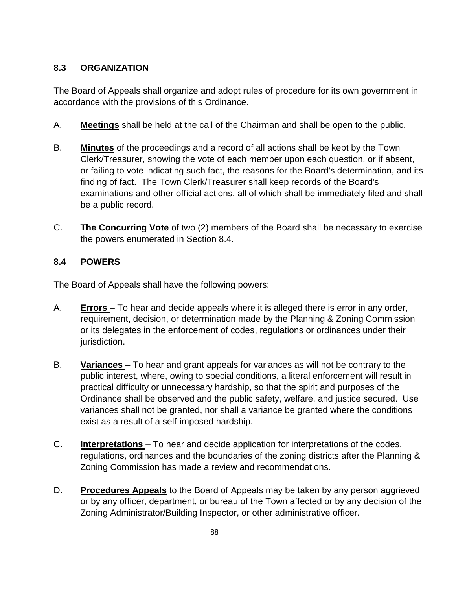## **8.3 ORGANIZATION**

The Board of Appeals shall organize and adopt rules of procedure for its own government in accordance with the provisions of this Ordinance.

- A. **Meetings** shall be held at the call of the Chairman and shall be open to the public.
- B. **Minutes** of the proceedings and a record of all actions shall be kept by the Town Clerk/Treasurer, showing the vote of each member upon each question, or if absent, or failing to vote indicating such fact, the reasons for the Board's determination, and its finding of fact. The Town Clerk/Treasurer shall keep records of the Board's examinations and other official actions, all of which shall be immediately filed and shall be a public record.
- C. **The Concurring Vote** of two (2) members of the Board shall be necessary to exercise the powers enumerated in Section 8.4.

#### **8.4 POWERS**

The Board of Appeals shall have the following powers:

- A. **Errors** To hear and decide appeals where it is alleged there is error in any order, requirement, decision, or determination made by the Planning & Zoning Commission or its delegates in the enforcement of codes, regulations or ordinances under their jurisdiction.
- B. **Variances** To hear and grant appeals for variances as will not be contrary to the public interest, where, owing to special conditions, a literal enforcement will result in practical difficulty or unnecessary hardship, so that the spirit and purposes of the Ordinance shall be observed and the public safety, welfare, and justice secured. Use variances shall not be granted, nor shall a variance be granted where the conditions exist as a result of a self-imposed hardship.
- C. **Interpretations** To hear and decide application for interpretations of the codes, regulations, ordinances and the boundaries of the zoning districts after the Planning & Zoning Commission has made a review and recommendations.
- D. **Procedures Appeals** to the Board of Appeals may be taken by any person aggrieved or by any officer, department, or bureau of the Town affected or by any decision of the Zoning Administrator/Building Inspector, or other administrative officer.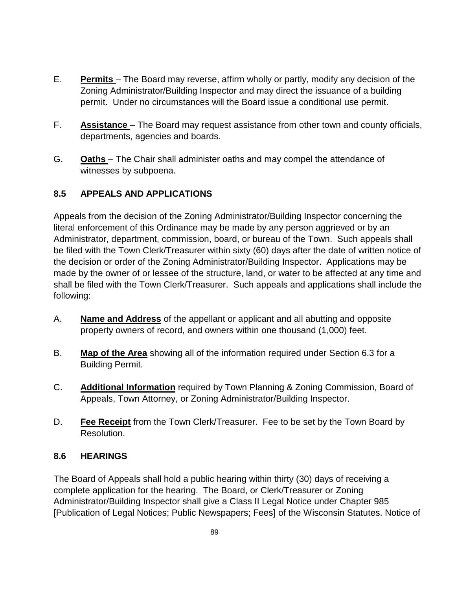- E. **Permits** The Board may reverse, affirm wholly or partly, modify any decision of the Zoning Administrator/Building Inspector and may direct the issuance of a building permit. Under no circumstances will the Board issue a conditional use permit.
- F. **Assistance** The Board may request assistance from other town and county officials, departments, agencies and boards.
- G. **Oaths** The Chair shall administer oaths and may compel the attendance of witnesses by subpoena.

# **8.5 APPEALS AND APPLICATIONS**

Appeals from the decision of the Zoning Administrator/Building Inspector concerning the literal enforcement of this Ordinance may be made by any person aggrieved or by an Administrator, department, commission, board, or bureau of the Town. Such appeals shall be filed with the Town Clerk/Treasurer within sixty (60) days after the date of written notice of the decision or order of the Zoning Administrator/Building Inspector. Applications may be made by the owner of or lessee of the structure, land, or water to be affected at any time and shall be filed with the Town Clerk/Treasurer. Such appeals and applications shall include the following:

- A. **Name and Address** of the appellant or applicant and all abutting and opposite property owners of record, and owners within one thousand (1,000) feet.
- B. **Map of the Area** showing all of the information required under Section 6.3 for a Building Permit.
- C. **Additional Information** required by Town Planning & Zoning Commission, Board of Appeals, Town Attorney, or Zoning Administrator/Building Inspector.
- D. **Fee Receipt** from the Town Clerk/Treasurer. Fee to be set by the Town Board by Resolution.

#### **8.6 HEARINGS**

The Board of Appeals shall hold a public hearing within thirty (30) days of receiving a complete application for the hearing. The Board, or Clerk/Treasurer or Zoning Administrator/Building Inspector shall give a Class II Legal Notice under Chapter 985 [Publication of Legal Notices; Public Newspapers; Fees] of the Wisconsin Statutes. Notice of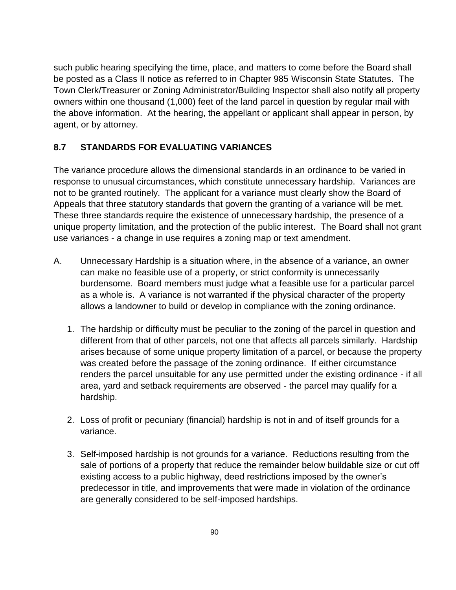such public hearing specifying the time, place, and matters to come before the Board shall be posted as a Class II notice as referred to in Chapter 985 Wisconsin State Statutes. The Town Clerk/Treasurer or Zoning Administrator/Building Inspector shall also notify all property owners within one thousand (1,000) feet of the land parcel in question by regular mail with the above information. At the hearing, the appellant or applicant shall appear in person, by agent, or by attorney.

### **8.7 STANDARDS FOR EVALUATING VARIANCES**

The variance procedure allows the dimensional standards in an ordinance to be varied in response to unusual circumstances, which constitute unnecessary hardship. Variances are not to be granted routinely. The applicant for a variance must clearly show the Board of Appeals that three statutory standards that govern the granting of a variance will be met. These three standards require the existence of unnecessary hardship, the presence of a unique property limitation, and the protection of the public interest. The Board shall not grant use variances - a change in use requires a zoning map or text amendment.

- A. Unnecessary Hardship is a situation where, in the absence of a variance, an owner can make no feasible use of a property, or strict conformity is unnecessarily burdensome. Board members must judge what a feasible use for a particular parcel as a whole is. A variance is not warranted if the physical character of the property allows a landowner to build or develop in compliance with the zoning ordinance.
	- 1. The hardship or difficulty must be peculiar to the zoning of the parcel in question and different from that of other parcels, not one that affects all parcels similarly. Hardship arises because of some unique property limitation of a parcel, or because the property was created before the passage of the zoning ordinance. If either circumstance renders the parcel unsuitable for any use permitted under the existing ordinance - if all area, yard and setback requirements are observed - the parcel may qualify for a hardship.
	- 2. Loss of profit or pecuniary (financial) hardship is not in and of itself grounds for a variance.
	- 3. Self-imposed hardship is not grounds for a variance. Reductions resulting from the sale of portions of a property that reduce the remainder below buildable size or cut off existing access to a public highway, deed restrictions imposed by the owner's predecessor in title, and improvements that were made in violation of the ordinance are generally considered to be self-imposed hardships.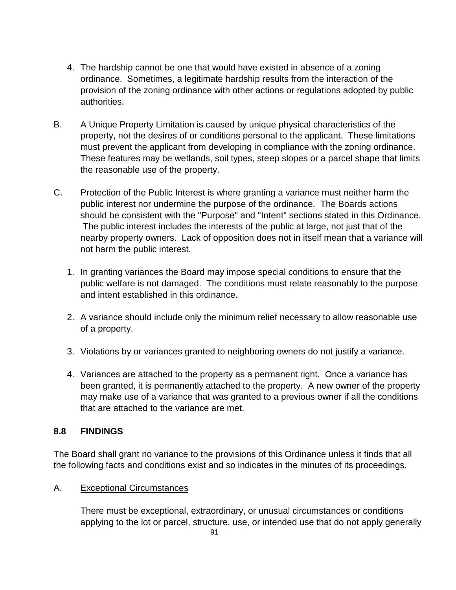- 4. The hardship cannot be one that would have existed in absence of a zoning ordinance. Sometimes, a legitimate hardship results from the interaction of the provision of the zoning ordinance with other actions or regulations adopted by public authorities.
- B. A Unique Property Limitation is caused by unique physical characteristics of the property, not the desires of or conditions personal to the applicant. These limitations must prevent the applicant from developing in compliance with the zoning ordinance. These features may be wetlands, soil types, steep slopes or a parcel shape that limits the reasonable use of the property.
- C. Protection of the Public Interest is where granting a variance must neither harm the public interest nor undermine the purpose of the ordinance. The Boards actions should be consistent with the "Purpose" and "Intent" sections stated in this Ordinance. The public interest includes the interests of the public at large, not just that of the nearby property owners. Lack of opposition does not in itself mean that a variance will not harm the public interest.
	- 1. In granting variances the Board may impose special conditions to ensure that the public welfare is not damaged. The conditions must relate reasonably to the purpose and intent established in this ordinance.
	- 2. A variance should include only the minimum relief necessary to allow reasonable use of a property.
	- 3. Violations by or variances granted to neighboring owners do not justify a variance.
	- 4. Variances are attached to the property as a permanent right. Once a variance has been granted, it is permanently attached to the property. A new owner of the property may make use of a variance that was granted to a previous owner if all the conditions that are attached to the variance are met.

#### **8.8 FINDINGS**

The Board shall grant no variance to the provisions of this Ordinance unless it finds that all the following facts and conditions exist and so indicates in the minutes of its proceedings.

#### A. Exceptional Circumstances

There must be exceptional, extraordinary, or unusual circumstances or conditions applying to the lot or parcel, structure, use, or intended use that do not apply generally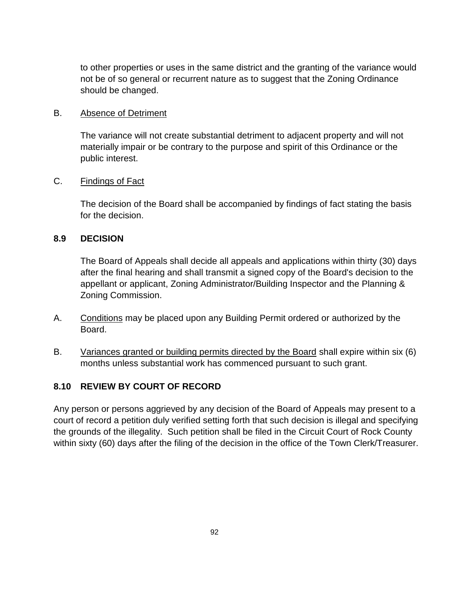to other properties or uses in the same district and the granting of the variance would not be of so general or recurrent nature as to suggest that the Zoning Ordinance should be changed.

#### B. Absence of Detriment

The variance will not create substantial detriment to adjacent property and will not materially impair or be contrary to the purpose and spirit of this Ordinance or the public interest.

#### C. Findings of Fact

The decision of the Board shall be accompanied by findings of fact stating the basis for the decision.

#### **8.9 DECISION**

The Board of Appeals shall decide all appeals and applications within thirty (30) days after the final hearing and shall transmit a signed copy of the Board's decision to the appellant or applicant, Zoning Administrator/Building Inspector and the Planning & Zoning Commission.

- A. Conditions may be placed upon any Building Permit ordered or authorized by the Board.
- B. Variances granted or building permits directed by the Board shall expire within six (6) months unless substantial work has commenced pursuant to such grant.

#### **8.10 REVIEW BY COURT OF RECORD**

Any person or persons aggrieved by any decision of the Board of Appeals may present to a court of record a petition duly verified setting forth that such decision is illegal and specifying the grounds of the illegality. Such petition shall be filed in the Circuit Court of Rock County within sixty (60) days after the filing of the decision in the office of the Town Clerk/Treasurer.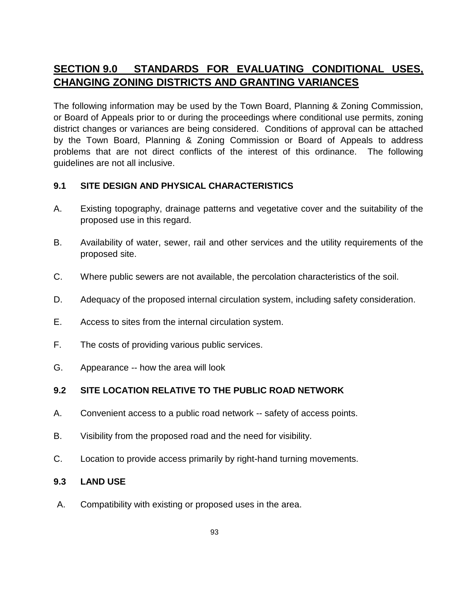# **SECTION 9.0 STANDARDS FOR EVALUATING CONDITIONAL USES, CHANGING ZONING DISTRICTS AND GRANTING VARIANCES**

The following information may be used by the Town Board, Planning & Zoning Commission, or Board of Appeals prior to or during the proceedings where conditional use permits, zoning district changes or variances are being considered. Conditions of approval can be attached by the Town Board, Planning & Zoning Commission or Board of Appeals to address problems that are not direct conflicts of the interest of this ordinance. The following guidelines are not all inclusive.

#### **9.1 SITE DESIGN AND PHYSICAL CHARACTERISTICS**

- A. Existing topography, drainage patterns and vegetative cover and the suitability of the proposed use in this regard.
- B. Availability of water, sewer, rail and other services and the utility requirements of the proposed site.
- C. Where public sewers are not available, the percolation characteristics of the soil.
- D. Adequacy of the proposed internal circulation system, including safety consideration.
- E. Access to sites from the internal circulation system.
- F. The costs of providing various public services.
- G. Appearance -- how the area will look

#### **9.2 SITE LOCATION RELATIVE TO THE PUBLIC ROAD NETWORK**

- A. Convenient access to a public road network -- safety of access points.
- B. Visibility from the proposed road and the need for visibility.
- C. Location to provide access primarily by right-hand turning movements.

#### **9.3 LAND USE**

A. Compatibility with existing or proposed uses in the area.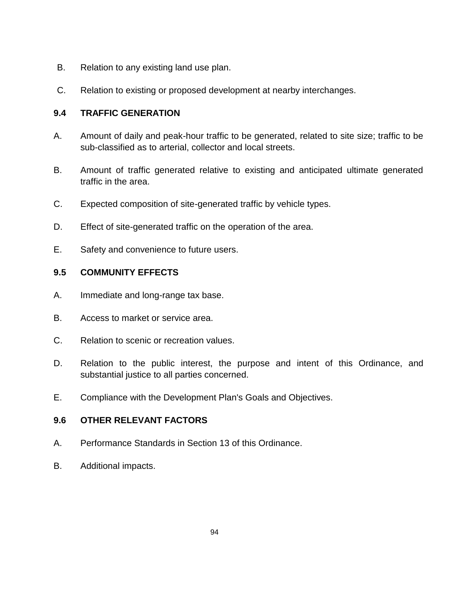- B. Relation to any existing land use plan.
- C. Relation to existing or proposed development at nearby interchanges.

#### **9.4 TRAFFIC GENERATION**

- A. Amount of daily and peak-hour traffic to be generated, related to site size; traffic to be sub-classified as to arterial, collector and local streets.
- B. Amount of traffic generated relative to existing and anticipated ultimate generated traffic in the area.
- C. Expected composition of site-generated traffic by vehicle types.
- D. Effect of site-generated traffic on the operation of the area.
- E. Safety and convenience to future users.

#### **9.5 COMMUNITY EFFECTS**

- A. Immediate and long-range tax base.
- B. Access to market or service area.
- C. Relation to scenic or recreation values.
- D. Relation to the public interest, the purpose and intent of this Ordinance, and substantial justice to all parties concerned.
- E. Compliance with the Development Plan's Goals and Objectives.

#### **9.6 OTHER RELEVANT FACTORS**

- A. Performance Standards in Section 13 of this Ordinance.
- B. Additional impacts.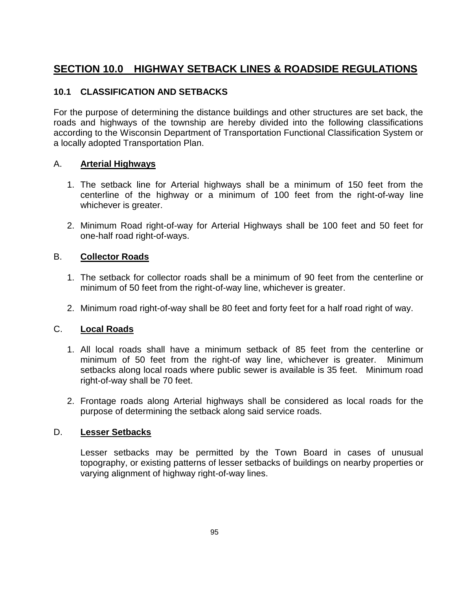# **SECTION 10.0 HIGHWAY SETBACK LINES & ROADSIDE REGULATIONS**

#### **10.1 CLASSIFICATION AND SETBACKS**

For the purpose of determining the distance buildings and other structures are set back, the roads and highways of the township are hereby divided into the following classifications according to the Wisconsin Department of Transportation Functional Classification System or a locally adopted Transportation Plan.

#### A. **Arterial Highways**

- 1. The setback line for Arterial highways shall be a minimum of 150 feet from the centerline of the highway or a minimum of 100 feet from the right-of-way line whichever is greater.
- 2. Minimum Road right-of-way for Arterial Highways shall be 100 feet and 50 feet for one-half road right-of-ways.

#### B. **Collector Roads**

- 1. The setback for collector roads shall be a minimum of 90 feet from the centerline or minimum of 50 feet from the right-of-way line, whichever is greater.
- 2. Minimum road right-of-way shall be 80 feet and forty feet for a half road right of way.

#### C. **Local Roads**

- 1. All local roads shall have a minimum setback of 85 feet from the centerline or minimum of 50 feet from the right-of way line, whichever is greater. Minimum setbacks along local roads where public sewer is available is 35 feet. Minimum road right-of-way shall be 70 feet.
- 2. Frontage roads along Arterial highways shall be considered as local roads for the purpose of determining the setback along said service roads.

#### D. **Lesser Setbacks**

Lesser setbacks may be permitted by the Town Board in cases of unusual topography, or existing patterns of lesser setbacks of buildings on nearby properties or varying alignment of highway right-of-way lines.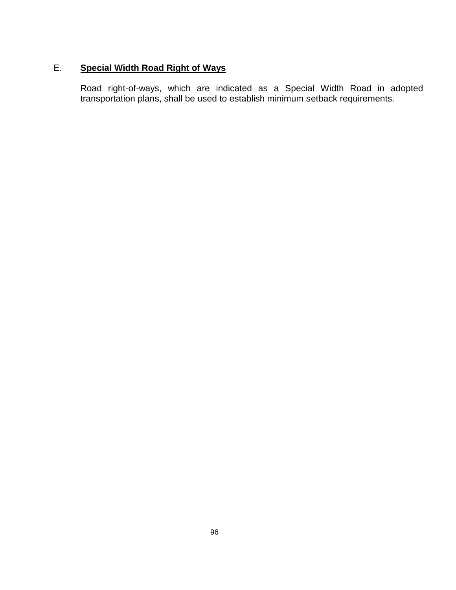# E. **Special Width Road Right of Ways**

Road right-of-ways, which are indicated as a Special Width Road in adopted transportation plans, shall be used to establish minimum setback requirements.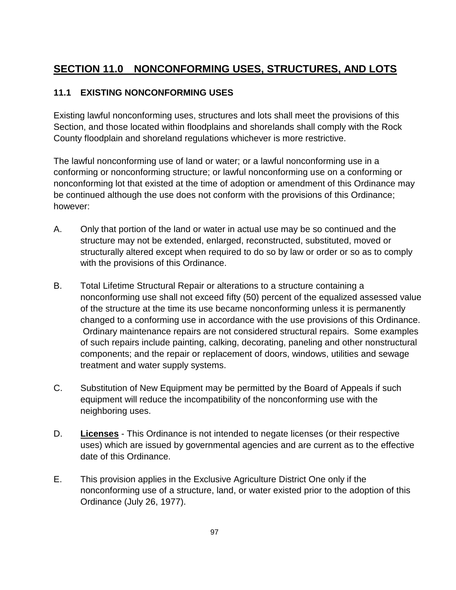# **SECTION 11.0 NONCONFORMING USES, STRUCTURES, AND LOTS**

### **11.1 EXISTING NONCONFORMING USES**

Existing lawful nonconforming uses, structures and lots shall meet the provisions of this Section, and those located within floodplains and shorelands shall comply with the Rock County floodplain and shoreland regulations whichever is more restrictive.

The lawful nonconforming use of land or water; or a lawful nonconforming use in a conforming or nonconforming structure; or lawful nonconforming use on a conforming or nonconforming lot that existed at the time of adoption or amendment of this Ordinance may be continued although the use does not conform with the provisions of this Ordinance; however:

- A. Only that portion of the land or water in actual use may be so continued and the structure may not be extended, enlarged, reconstructed, substituted, moved or structurally altered except when required to do so by law or order or so as to comply with the provisions of this Ordinance.
- B. Total Lifetime Structural Repair or alterations to a structure containing a nonconforming use shall not exceed fifty (50) percent of the equalized assessed value of the structure at the time its use became nonconforming unless it is permanently changed to a conforming use in accordance with the use provisions of this Ordinance. Ordinary maintenance repairs are not considered structural repairs. Some examples of such repairs include painting, calking, decorating, paneling and other nonstructural components; and the repair or replacement of doors, windows, utilities and sewage treatment and water supply systems.
- C. Substitution of New Equipment may be permitted by the Board of Appeals if such equipment will reduce the incompatibility of the nonconforming use with the neighboring uses.
- D. **Licenses** This Ordinance is not intended to negate licenses (or their respective uses) which are issued by governmental agencies and are current as to the effective date of this Ordinance.
- E. This provision applies in the Exclusive Agriculture District One only if the nonconforming use of a structure, land, or water existed prior to the adoption of this Ordinance (July 26, 1977).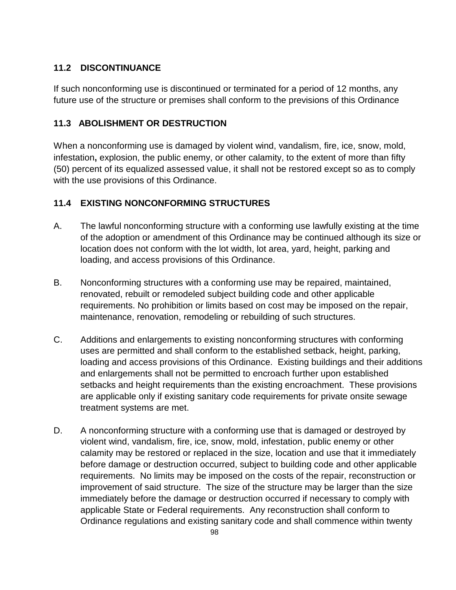### **11.2 DISCONTINUANCE**

If such nonconforming use is discontinued or terminated for a period of 12 months, any future use of the structure or premises shall conform to the previsions of this Ordinance

# **11.3 ABOLISHMENT OR DESTRUCTION**

When a nonconforming use is damaged by violent wind, vandalism, fire, ice, snow, mold, infestation**,** explosion, the public enemy, or other calamity, to the extent of more than fifty (50) percent of its equalized assessed value, it shall not be restored except so as to comply with the use provisions of this Ordinance.

# **11.4 EXISTING NONCONFORMING STRUCTURES**

- A. The lawful nonconforming structure with a conforming use lawfully existing at the time of the adoption or amendment of this Ordinance may be continued although its size or location does not conform with the lot width, lot area, yard, height, parking and loading, and access provisions of this Ordinance.
- B. Nonconforming structures with a conforming use may be repaired, maintained, renovated, rebuilt or remodeled subject building code and other applicable requirements. No prohibition or limits based on cost may be imposed on the repair, maintenance, renovation, remodeling or rebuilding of such structures.
- C. Additions and enlargements to existing nonconforming structures with conforming uses are permitted and shall conform to the established setback, height, parking, loading and access provisions of this Ordinance. Existing buildings and their additions and enlargements shall not be permitted to encroach further upon established setbacks and height requirements than the existing encroachment. These provisions are applicable only if existing sanitary code requirements for private onsite sewage treatment systems are met.
- D. A nonconforming structure with a conforming use that is damaged or destroyed by violent wind, vandalism, fire, ice, snow, mold, infestation, public enemy or other calamity may be restored or replaced in the size, location and use that it immediately before damage or destruction occurred, subject to building code and other applicable requirements. No limits may be imposed on the costs of the repair, reconstruction or improvement of said structure. The size of the structure may be larger than the size immediately before the damage or destruction occurred if necessary to comply with applicable State or Federal requirements. Any reconstruction shall conform to Ordinance regulations and existing sanitary code and shall commence within twenty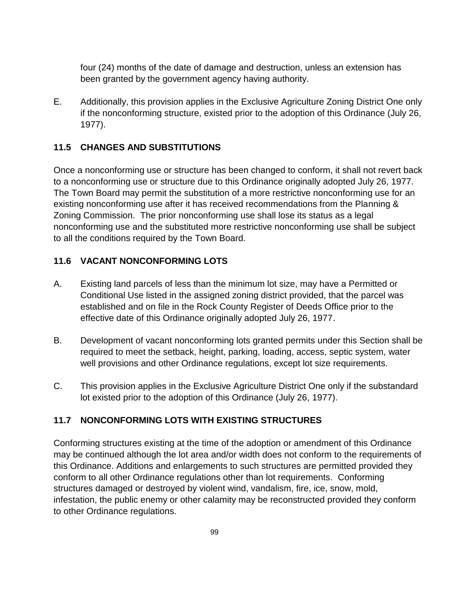four (24) months of the date of damage and destruction, unless an extension has been granted by the government agency having authority.

E. Additionally, this provision applies in the Exclusive Agriculture Zoning District One only if the nonconforming structure, existed prior to the adoption of this Ordinance (July 26, 1977).

#### **11.5 CHANGES AND SUBSTITUTIONS**

Once a nonconforming use or structure has been changed to conform, it shall not revert back to a nonconforming use or structure due to this Ordinance originally adopted July 26, 1977. The Town Board may permit the substitution of a more restrictive nonconforming use for an existing nonconforming use after it has received recommendations from the Planning & Zoning Commission.The prior nonconforming use shall lose its status as a legal nonconforming use and the substituted more restrictive nonconforming use shall be subject to all the conditions required by the Town Board.

#### **11.6 VACANT NONCONFORMING LOTS**

- A. Existing land parcels of less than the minimum lot size, may have a Permitted or Conditional Use listed in the assigned zoning district provided, that the parcel was established and on file in the Rock County Register of Deeds Office prior to the effective date of this Ordinance originally adopted July 26, 1977.
- B. Development of vacant nonconforming lots granted permits under this Section shall be required to meet the setback, height, parking, loading, access, septic system, water well provisions and other Ordinance regulations, except lot size requirements.
- C. This provision applies in the Exclusive Agriculture District One only if the substandard lot existed prior to the adoption of this Ordinance (July 26, 1977).

#### **11.7 NONCONFORMING LOTS WITH EXISTING STRUCTURES**

Conforming structures existing at the time of the adoption or amendment of this Ordinance may be continued although the lot area and/or width does not conform to the requirements of this Ordinance. Additions and enlargements to such structures are permitted provided they conform to all other Ordinance regulations other than lot requirements. Conforming structures damaged or destroyed by violent wind, vandalism, fire, ice, snow, mold, infestation, the public enemy or other calamity may be reconstructed provided they conform to other Ordinance regulations.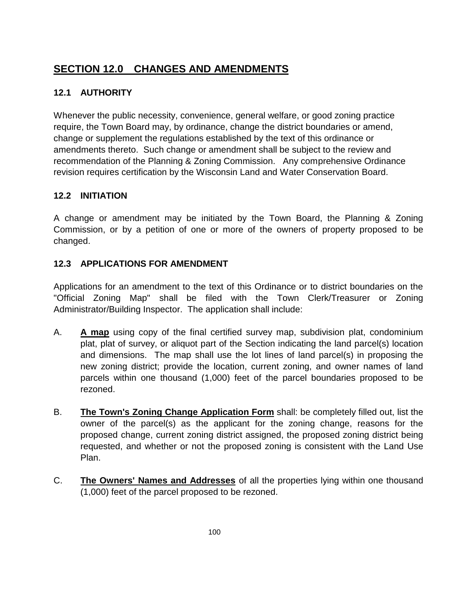# **SECTION 12.0 CHANGES AND AMENDMENTS**

# **12.1 AUTHORITY**

Whenever the public necessity, convenience, general welfare, or good zoning practice require, the Town Board may, by ordinance, change the district boundaries or amend, change or supplement the regulations established by the text of this ordinance or amendments thereto. Such change or amendment shall be subject to the review and recommendation of the Planning & Zoning Commission. Any comprehensive Ordinance revision requires certification by the Wisconsin Land and Water Conservation Board.

# **12.2 INITIATION**

A change or amendment may be initiated by the Town Board, the Planning & Zoning Commission, or by a petition of one or more of the owners of property proposed to be changed.

# **12.3 APPLICATIONS FOR AMENDMENT**

Applications for an amendment to the text of this Ordinance or to district boundaries on the "Official Zoning Map" shall be filed with the Town Clerk/Treasurer or Zoning Administrator/Building Inspector. The application shall include:

- A. **A map** using copy of the final certified survey map, subdivision plat, condominium plat, plat of survey, or aliquot part of the Section indicating the land parcel(s) location and dimensions. The map shall use the lot lines of land parcel(s) in proposing the new zoning district; provide the location, current zoning, and owner names of land parcels within one thousand (1,000) feet of the parcel boundaries proposed to be rezoned.
- B. **The Town's Zoning Change Application Form** shall: be completely filled out, list the owner of the parcel(s) as the applicant for the zoning change, reasons for the proposed change, current zoning district assigned, the proposed zoning district being requested, and whether or not the proposed zoning is consistent with the Land Use Plan.
- C. **The Owners' Names and Addresses** of all the properties lying within one thousand (1,000) feet of the parcel proposed to be rezoned.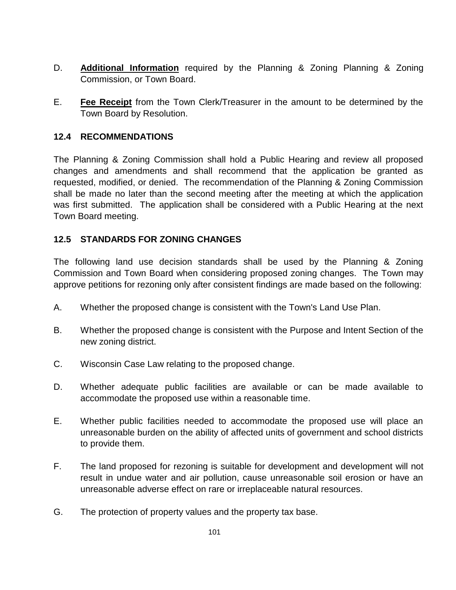- D. **Additional Information** required by the Planning & Zoning Planning & Zoning Commission, or Town Board.
- E. **Fee Receipt** from the Town Clerk/Treasurer in the amount to be determined by the Town Board by Resolution.

#### **12.4 RECOMMENDATIONS**

The Planning & Zoning Commission shall hold a Public Hearing and review all proposed changes and amendments and shall recommend that the application be granted as requested, modified, or denied. The recommendation of the Planning & Zoning Commission shall be made no later than the second meeting after the meeting at which the application was first submitted. The application shall be considered with a Public Hearing at the next Town Board meeting.

#### **12.5 STANDARDS FOR ZONING CHANGES**

The following land use decision standards shall be used by the Planning & Zoning Commission and Town Board when considering proposed zoning changes. The Town may approve petitions for rezoning only after consistent findings are made based on the following:

- A. Whether the proposed change is consistent with the Town's Land Use Plan.
- B. Whether the proposed change is consistent with the Purpose and Intent Section of the new zoning district.
- C. Wisconsin Case Law relating to the proposed change.
- D. Whether adequate public facilities are available or can be made available to accommodate the proposed use within a reasonable time.
- E. Whether public facilities needed to accommodate the proposed use will place an unreasonable burden on the ability of affected units of government and school districts to provide them.
- F. The land proposed for rezoning is suitable for development and development will not result in undue water and air pollution, cause unreasonable soil erosion or have an unreasonable adverse effect on rare or irreplaceable natural resources.
- G. The protection of property values and the property tax base.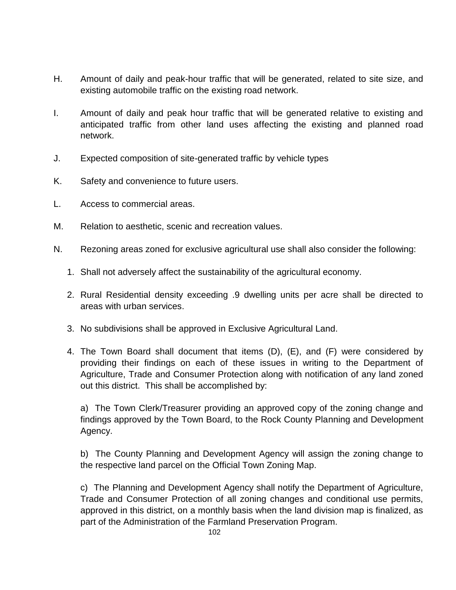- H. Amount of daily and peak-hour traffic that will be generated, related to site size, and existing automobile traffic on the existing road network.
- I. Amount of daily and peak hour traffic that will be generated relative to existing and anticipated traffic from other land uses affecting the existing and planned road network.
- J. Expected composition of site-generated traffic by vehicle types
- K. Safety and convenience to future users.
- L. Access to commercial areas.
- M. Relation to aesthetic, scenic and recreation values.
- N. Rezoning areas zoned for exclusive agricultural use shall also consider the following:
	- 1. Shall not adversely affect the sustainability of the agricultural economy.
	- 2. Rural Residential density exceeding .9 dwelling units per acre shall be directed to areas with urban services.
	- 3. No subdivisions shall be approved in Exclusive Agricultural Land.
	- 4. The Town Board shall document that items (D), (E), and (F) were considered by providing their findings on each of these issues in writing to the Department of Agriculture, Trade and Consumer Protection along with notification of any land zoned out this district. This shall be accomplished by:

a) The Town Clerk/Treasurer providing an approved copy of the zoning change and findings approved by the Town Board, to the Rock County Planning and Development Agency.

b) The County Planning and Development Agency will assign the zoning change to the respective land parcel on the Official Town Zoning Map.

c) The Planning and Development Agency shall notify the Department of Agriculture, Trade and Consumer Protection of all zoning changes and conditional use permits, approved in this district, on a monthly basis when the land division map is finalized, as part of the Administration of the Farmland Preservation Program.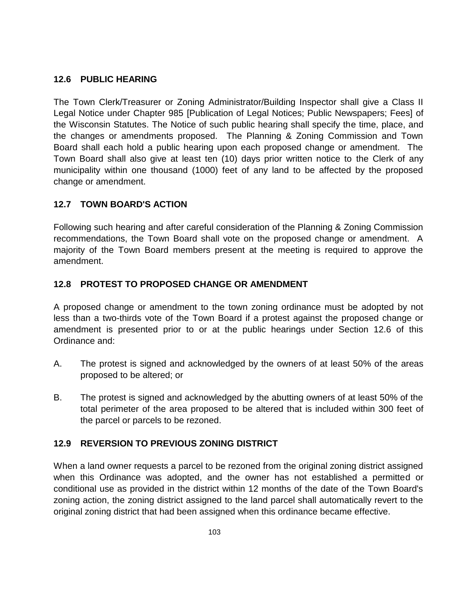### **12.6 PUBLIC HEARING**

The Town Clerk/Treasurer or Zoning Administrator/Building Inspector shall give a Class II Legal Notice under Chapter 985 [Publication of Legal Notices; Public Newspapers; Fees] of the Wisconsin Statutes. The Notice of such public hearing shall specify the time, place, and the changes or amendments proposed. The Planning & Zoning Commission and Town Board shall each hold a public hearing upon each proposed change or amendment. The Town Board shall also give at least ten (10) days prior written notice to the Clerk of any municipality within one thousand (1000) feet of any land to be affected by the proposed change or amendment.

### **12.7 TOWN BOARD'S ACTION**

Following such hearing and after careful consideration of the Planning & Zoning Commission recommendations, the Town Board shall vote on the proposed change or amendment. A majority of the Town Board members present at the meeting is required to approve the amendment.

#### **12.8 PROTEST TO PROPOSED CHANGE OR AMENDMENT**

A proposed change or amendment to the town zoning ordinance must be adopted by not less than a two-thirds vote of the Town Board if a protest against the proposed change or amendment is presented prior to or at the public hearings under Section 12.6 of this Ordinance and:

- A. The protest is signed and acknowledged by the owners of at least 50% of the areas proposed to be altered; or
- B. The protest is signed and acknowledged by the abutting owners of at least 50% of the total perimeter of the area proposed to be altered that is included within 300 feet of the parcel or parcels to be rezoned.

#### **12.9 REVERSION TO PREVIOUS ZONING DISTRICT**

When a land owner requests a parcel to be rezoned from the original zoning district assigned when this Ordinance was adopted, and the owner has not established a permitted or conditional use as provided in the district within 12 months of the date of the Town Board's zoning action, the zoning district assigned to the land parcel shall automatically revert to the original zoning district that had been assigned when this ordinance became effective.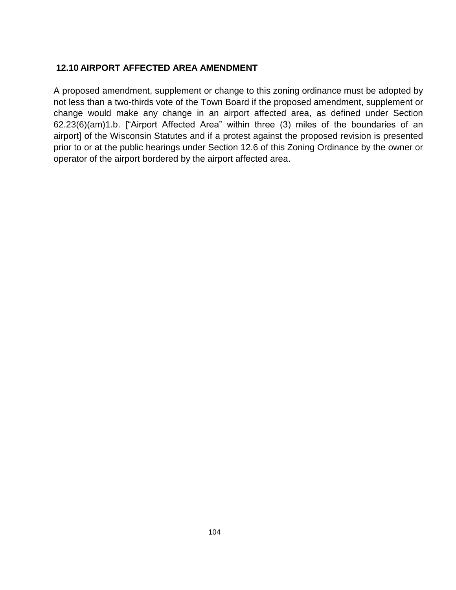#### **12.10 AIRPORT AFFECTED AREA AMENDMENT**

A proposed amendment, supplement or change to this zoning ordinance must be adopted by not less than a two-thirds vote of the Town Board if the proposed amendment, supplement or change would make any change in an airport affected area, as defined under Section 62.23(6)(am)1.b. ["Airport Affected Area" within three (3) miles of the boundaries of an airport] of the Wisconsin Statutes and if a protest against the proposed revision is presented prior to or at the public hearings under Section 12.6 of this Zoning Ordinance by the owner or operator of the airport bordered by the airport affected area.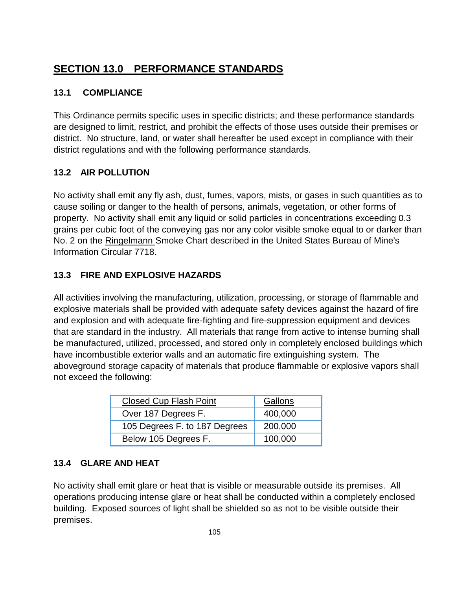# **SECTION 13.0 PERFORMANCE STANDARDS**

## **13.1 COMPLIANCE**

This Ordinance permits specific uses in specific districts; and these performance standards are designed to limit, restrict, and prohibit the effects of those uses outside their premises or district. No structure, land, or water shall hereafter be used except in compliance with their district regulations and with the following performance standards.

# **13.2 AIR POLLUTION**

No activity shall emit any fly ash, dust, fumes, vapors, mists, or gases in such quantities as to cause soiling or danger to the health of persons, animals, vegetation, or other forms of property. No activity shall emit any liquid or solid particles in concentrations exceeding 0.3 grains per cubic foot of the conveying gas nor any color visible smoke equal to or darker than No. 2 on the Ringelmann Smoke Chart described in the United States Bureau of Mine's Information Circular 7718.

# **13.3 FIRE AND EXPLOSIVE HAZARDS**

All activities involving the manufacturing, utilization, processing, or storage of flammable and explosive materials shall be provided with adequate safety devices against the hazard of fire and explosion and with adequate fire-fighting and fire-suppression equipment and devices that are standard in the industry. All materials that range from active to intense burning shall be manufactured, utilized, processed, and stored only in completely enclosed buildings which have incombustible exterior walls and an automatic fire extinguishing system. The aboveground storage capacity of materials that produce flammable or explosive vapors shall not exceed the following:

| <b>Closed Cup Flash Point</b> | Gallons |
|-------------------------------|---------|
| Over 187 Degrees F.           | 400,000 |
| 105 Degrees F. to 187 Degrees | 200,000 |
| Below 105 Degrees F.          | 100,000 |

# **13.4 GLARE AND HEAT**

No activity shall emit glare or heat that is visible or measurable outside its premises. All operations producing intense glare or heat shall be conducted within a completely enclosed building. Exposed sources of light shall be shielded so as not to be visible outside their premises.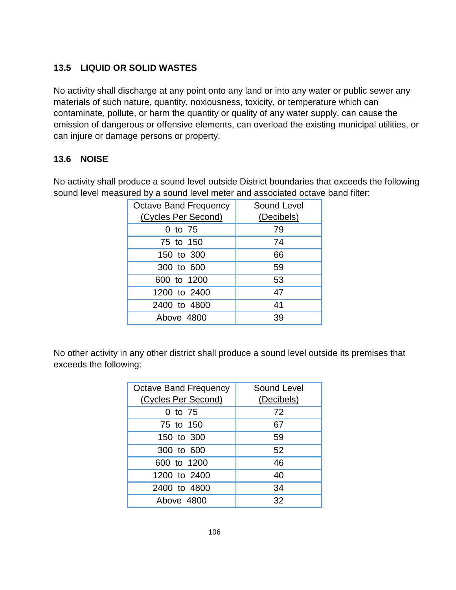# **13.5 LIQUID OR SOLID WASTES**

No activity shall discharge at any point onto any land or into any water or public sewer any materials of such nature, quantity, noxiousness, toxicity, or temperature which can contaminate, pollute, or harm the quantity or quality of any water supply, can cause the emission of dangerous or offensive elements, can overload the existing municipal utilities, or can injure or damage persons or property.

### **13.6 NOISE**

No activity shall produce a sound level outside District boundaries that exceeds the following sound level measured by a sound level meter and associated octave band filter:

| <b>Octave Band Frequency</b> | <b>Sound Level</b> |
|------------------------------|--------------------|
| (Cycles Per Second)          | (Decibels)         |
| 0 to 75                      | 79                 |
| 75 to 150                    | 74                 |
| 150 to 300                   | 66                 |
| 300 to 600                   | 59                 |
| 600 to 1200                  | 53                 |
| 1200 to 2400                 | 47                 |
| 2400 to 4800                 | 41                 |
| Above 4800                   | 39                 |

No other activity in any other district shall produce a sound level outside its premises that exceeds the following:

| <b>Octave Band Frequency</b><br>(Cycles Per Second) | Sound Level<br>(Decibels) |
|-----------------------------------------------------|---------------------------|
| 0 to 75                                             | 72                        |
| 75 to 150                                           | 67                        |
| 150 to 300                                          | 59                        |
| 300 to 600                                          | 52                        |
| 600 to 1200                                         | 46                        |
| 1200 to 2400                                        | 40                        |
| 2400 to 4800                                        | 34                        |
| Above 4800                                          | 32                        |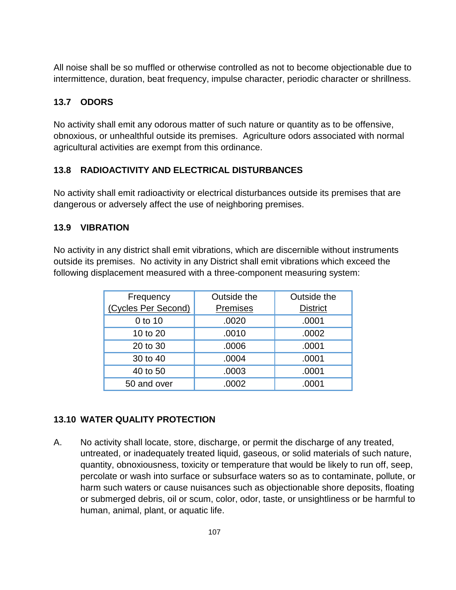All noise shall be so muffled or otherwise controlled as not to become objectionable due to intermittence, duration, beat frequency, impulse character, periodic character or shrillness.

# **13.7 ODORS**

No activity shall emit any odorous matter of such nature or quantity as to be offensive, obnoxious, or unhealthful outside its premises. Agriculture odors associated with normal agricultural activities are exempt from this ordinance.

# **13.8 RADIOACTIVITY AND ELECTRICAL DISTURBANCES**

No activity shall emit radioactivity or electrical disturbances outside its premises that are dangerous or adversely affect the use of neighboring premises.

# **13.9 VIBRATION**

No activity in any district shall emit vibrations, which are discernible without instruments outside its premises. No activity in any District shall emit vibrations which exceed the following displacement measured with a three-component measuring system:

| Frequency           | Outside the | Outside the     |
|---------------------|-------------|-----------------|
| (Cycles Per Second) | Premises    | <b>District</b> |
| 0 to 10             | .0020       | .0001           |
| 10 to 20            | .0010       | .0002           |
| 20 to 30            | .0006       | .0001           |
| 30 to 40            | .0004       | .0001           |
| 40 to 50            | .0003       | .0001           |
| 50 and over         | .0002       | .0001           |

# **13.10 WATER QUALITY PROTECTION**

A. No activity shall locate, store, discharge, or permit the discharge of any treated, untreated, or inadequately treated liquid, gaseous, or solid materials of such nature, quantity, obnoxiousness, toxicity or temperature that would be likely to run off, seep, percolate or wash into surface or subsurface waters so as to contaminate, pollute, or harm such waters or cause nuisances such as objectionable shore deposits, floating or submerged debris, oil or scum, color, odor, taste, or unsightliness or be harmful to human, animal, plant, or aquatic life.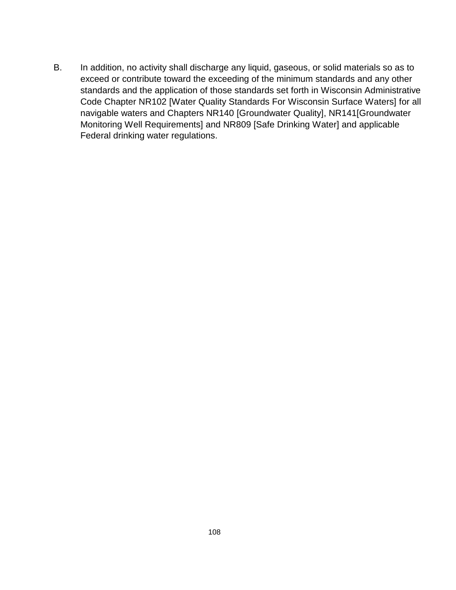B. In addition, no activity shall discharge any liquid, gaseous, or solid materials so as to exceed or contribute toward the exceeding of the minimum standards and any other standards and the application of those standards set forth in Wisconsin Administrative Code Chapter NR102 [Water Quality Standards For Wisconsin Surface Waters] for all navigable waters and Chapters NR140 [Groundwater Quality], NR141[Groundwater Monitoring Well Requirements] and NR809 [Safe Drinking Water] and applicable Federal drinking water regulations.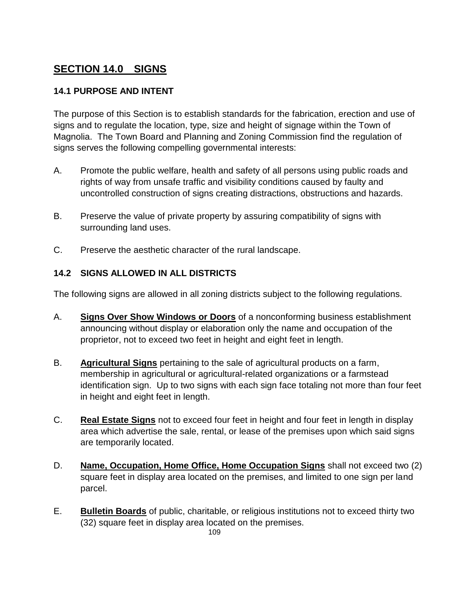# **SECTION 14.0 SIGNS**

## **14.1 PURPOSE AND INTENT**

The purpose of this Section is to establish standards for the fabrication, erection and use of signs and to regulate the location, type, size and height of signage within the Town of Magnolia. The Town Board and Planning and Zoning Commission find the regulation of signs serves the following compelling governmental interests:

- A. Promote the public welfare, health and safety of all persons using public roads and rights of way from unsafe traffic and visibility conditions caused by faulty and uncontrolled construction of signs creating distractions, obstructions and hazards.
- B. Preserve the value of private property by assuring compatibility of signs with surrounding land uses.
- C. Preserve the aesthetic character of the rural landscape.

### **14.2 SIGNS ALLOWED IN ALL DISTRICTS**

The following signs are allowed in all zoning districts subject to the following regulations.

- A. **Signs Over Show Windows or Doors** of a nonconforming business establishment announcing without display or elaboration only the name and occupation of the proprietor, not to exceed two feet in height and eight feet in length.
- B. **Agricultural Signs** pertaining to the sale of agricultural products on a farm, membership in agricultural or agricultural-related organizations or a farmstead identification sign. Up to two signs with each sign face totaling not more than four feet in height and eight feet in length.
- C. **Real Estate Signs** not to exceed four feet in height and four feet in length in display area which advertise the sale, rental, or lease of the premises upon which said signs are temporarily located.
- D. **Name, Occupation, Home Office, Home Occupation Signs** shall not exceed two (2) square feet in display area located on the premises, and limited to one sign per land parcel.
- E. **Bulletin Boards** of public, charitable, or religious institutions not to exceed thirty two (32) square feet in display area located on the premises.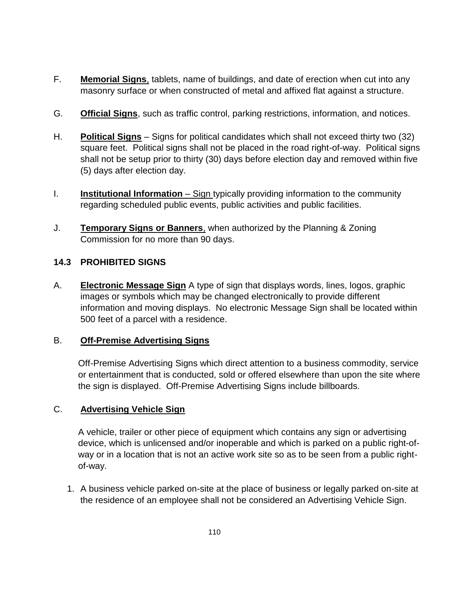- F. **Memorial Signs**, tablets, name of buildings, and date of erection when cut into any masonry surface or when constructed of metal and affixed flat against a structure.
- G. **Official Signs**, such as traffic control, parking restrictions, information, and notices.
- H. **Political Signs** Signs for political candidates which shall not exceed thirty two (32) square feet. Political signs shall not be placed in the road right-of-way. Political signs shall not be setup prior to thirty (30) days before election day and removed within five (5) days after election day.
- I. **Institutional Information** Sign typically providing information to the community regarding scheduled public events, public activities and public facilities.
- J. **Temporary Signs or Banners**, when authorized by the Planning & Zoning Commission for no more than 90 days.

### **14.3 PROHIBITED SIGNS**

A. **Electronic Message Sign** A type of sign that displays words, lines, logos, graphic images or symbols which may be changed electronically to provide different information and moving displays. No electronic Message Sign shall be located within 500 feet of a parcel with a residence.

### B. **Off-Premise Advertising Signs**

Off-Premise Advertising Signs which direct attention to a business commodity, service or entertainment that is conducted, sold or offered elsewhere than upon the site where the sign is displayed. Off-Premise Advertising Signs include billboards.

# C. **Advertising Vehicle Sign**

A vehicle, trailer or other piece of equipment which contains any sign or advertising device, which is unlicensed and/or inoperable and which is parked on a public right-ofway or in a location that is not an active work site so as to be seen from a public rightof-way.

1. A business vehicle parked on-site at the place of business or legally parked on-site at the residence of an employee shall not be considered an Advertising Vehicle Sign.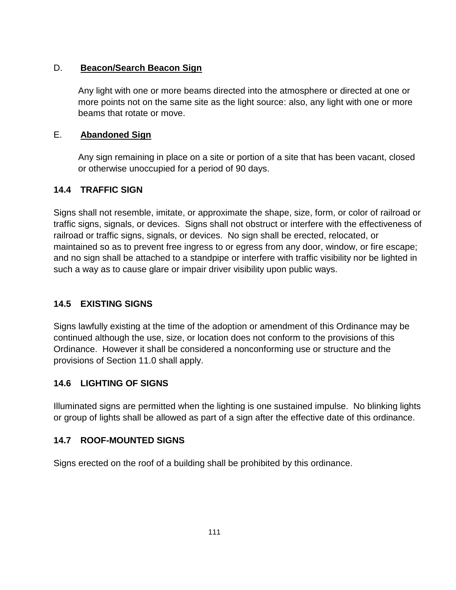#### D. **Beacon/Search Beacon Sign**

Any light with one or more beams directed into the atmosphere or directed at one or more points not on the same site as the light source: also, any light with one or more beams that rotate or move.

#### E. **Abandoned Sign**

Any sign remaining in place on a site or portion of a site that has been vacant, closed or otherwise unoccupied for a period of 90 days.

### **14.4 TRAFFIC SIGN**

Signs shall not resemble, imitate, or approximate the shape, size, form, or color of railroad or traffic signs, signals, or devices. Signs shall not obstruct or interfere with the effectiveness of railroad or traffic signs, signals, or devices. No sign shall be erected, relocated, or maintained so as to prevent free ingress to or egress from any door, window, or fire escape; and no sign shall be attached to a standpipe or interfere with traffic visibility nor be lighted in such a way as to cause glare or impair driver visibility upon public ways.

### **14.5 EXISTING SIGNS**

Signs lawfully existing at the time of the adoption or amendment of this Ordinance may be continued although the use, size, or location does not conform to the provisions of this Ordinance. However it shall be considered a nonconforming use or structure and the provisions of Section 11.0 shall apply.

#### **14.6 LIGHTING OF SIGNS**

Illuminated signs are permitted when the lighting is one sustained impulse. No blinking lights or group of lights shall be allowed as part of a sign after the effective date of this ordinance.

#### **14.7 ROOF-MOUNTED SIGNS**

Signs erected on the roof of a building shall be prohibited by this ordinance.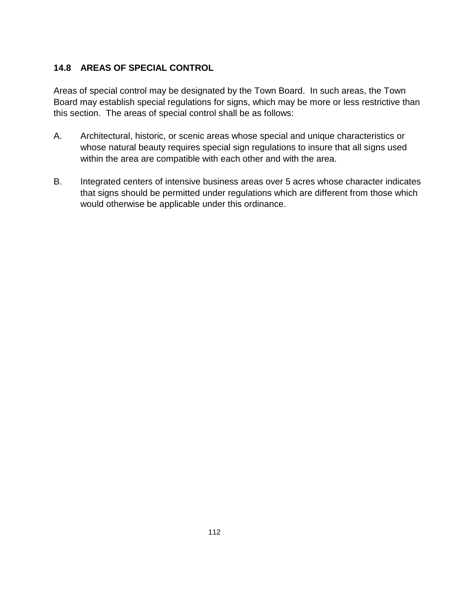# **14.8 AREAS OF SPECIAL CONTROL**

Areas of special control may be designated by the Town Board. In such areas, the Town Board may establish special regulations for signs, which may be more or less restrictive than this section. The areas of special control shall be as follows:

- A. Architectural, historic, or scenic areas whose special and unique characteristics or whose natural beauty requires special sign regulations to insure that all signs used within the area are compatible with each other and with the area.
- B. Integrated centers of intensive business areas over 5 acres whose character indicates that signs should be permitted under regulations which are different from those which would otherwise be applicable under this ordinance.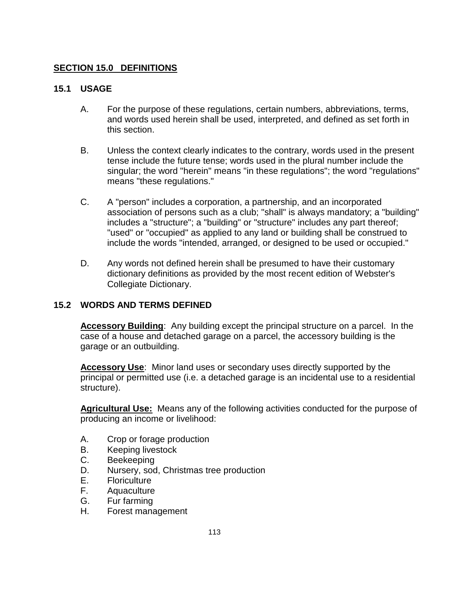#### **SECTION 15.0 DEFINITIONS**

#### **15.1 USAGE**

- A. For the purpose of these regulations, certain numbers, abbreviations, terms, and words used herein shall be used, interpreted, and defined as set forth in this section.
- B. Unless the context clearly indicates to the contrary, words used in the present tense include the future tense; words used in the plural number include the singular; the word "herein" means "in these regulations"; the word "regulations" means "these regulations."
- C. A "person" includes a corporation, a partnership, and an incorporated association of persons such as a club; "shall" is always mandatory; a "building" includes a "structure"; a "building" or "structure" includes any part thereof; "used" or "occupied" as applied to any land or building shall be construed to include the words "intended, arranged, or designed to be used or occupied."
- D. Any words not defined herein shall be presumed to have their customary dictionary definitions as provided by the most recent edition of Webster's Collegiate Dictionary.

#### **15.2 WORDS AND TERMS DEFINED**

**Accessory Building**: Any building except the principal structure on a parcel. In the case of a house and detached garage on a parcel, the accessory building is the garage or an outbuilding.

**Accessory Use**: Minor land uses or secondary uses directly supported by the principal or permitted use (i.e. a detached garage is an incidental use to a residential structure).

**Agricultural Use:** Means any of the following activities conducted for the purpose of producing an income or livelihood:

- A. Crop or forage production
- B. Keeping livestock
- C. Beekeeping
- D. Nursery, sod, Christmas tree production
- E. Floriculture
- F. Aquaculture
- G. Fur farming
- H. Forest management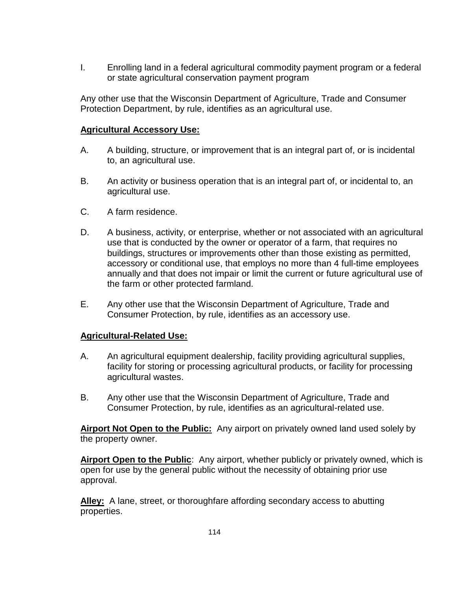I. Enrolling land in a federal agricultural commodity payment program or a federal or state agricultural conservation payment program

Any other use that the Wisconsin Department of Agriculture, Trade and Consumer Protection Department, by rule, identifies as an agricultural use.

#### **Agricultural Accessory Use:**

- A. A building, structure, or improvement that is an integral part of, or is incidental to, an agricultural use.
- B. An activity or business operation that is an integral part of, or incidental to, an agricultural use.
- C. A farm residence.
- D. A business, activity, or enterprise, whether or not associated with an agricultural use that is conducted by the owner or operator of a farm, that requires no buildings, structures or improvements other than those existing as permitted, accessory or conditional use, that employs no more than 4 full-time employees annually and that does not impair or limit the current or future agricultural use of the farm or other protected farmland.
- E. Any other use that the Wisconsin Department of Agriculture, Trade and Consumer Protection, by rule, identifies as an accessory use.

#### **Agricultural-Related Use:**

- A. An agricultural equipment dealership, facility providing agricultural supplies, facility for storing or processing agricultural products, or facility for processing agricultural wastes.
- B. Any other use that the Wisconsin Department of Agriculture, Trade and Consumer Protection, by rule, identifies as an agricultural-related use.

**Airport Not Open to the Public:** Any airport on privately owned land used solely by the property owner.

**Airport Open to the Public**: Any airport, whether publicly or privately owned, which is open for use by the general public without the necessity of obtaining prior use approval.

**Alley:** A lane, street, or thoroughfare affording secondary access to abutting properties.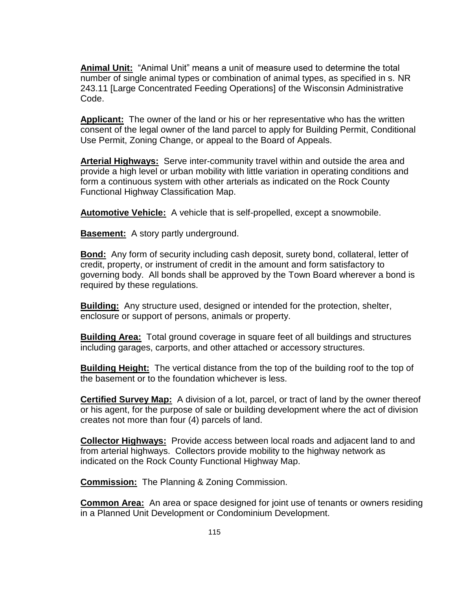**Animal Unit:** "Animal Unit" means a unit of measure used to determine the total number of single animal types or combination of animal types, as specified in s. NR 243.11 [Large Concentrated Feeding Operations] of the Wisconsin Administrative Code.

**Applicant:** The owner of the land or his or her representative who has the written consent of the legal owner of the land parcel to apply for Building Permit, Conditional Use Permit, Zoning Change, or appeal to the Board of Appeals.

**Arterial Highways:** Serve inter-community travel within and outside the area and provide a high level or urban mobility with little variation in operating conditions and form a continuous system with other arterials as indicated on the Rock County Functional Highway Classification Map.

**Automotive Vehicle:** A vehicle that is self-propelled, except a snowmobile.

**Basement:** A story partly underground.

**Bond:** Any form of security including cash deposit, surety bond, collateral, letter of credit, property, or instrument of credit in the amount and form satisfactory to governing body. All bonds shall be approved by the Town Board wherever a bond is required by these regulations.

**Building:** Any structure used, designed or intended for the protection, shelter, enclosure or support of persons, animals or property.

**Building Area:** Total ground coverage in square feet of all buildings and structures including garages, carports, and other attached or accessory structures.

**Building Height:** The vertical distance from the top of the building roof to the top of the basement or to the foundation whichever is less.

**Certified Survey Map:** A division of a lot, parcel, or tract of land by the owner thereof or his agent, for the purpose of sale or building development where the act of division creates not more than four (4) parcels of land.

**Collector Highways:** Provide access between local roads and adjacent land to and from arterial highways. Collectors provide mobility to the highway network as indicated on the Rock County Functional Highway Map.

**Commission:** The Planning & Zoning Commission.

**Common Area:** An area or space designed for joint use of tenants or owners residing in a Planned Unit Development or Condominium Development.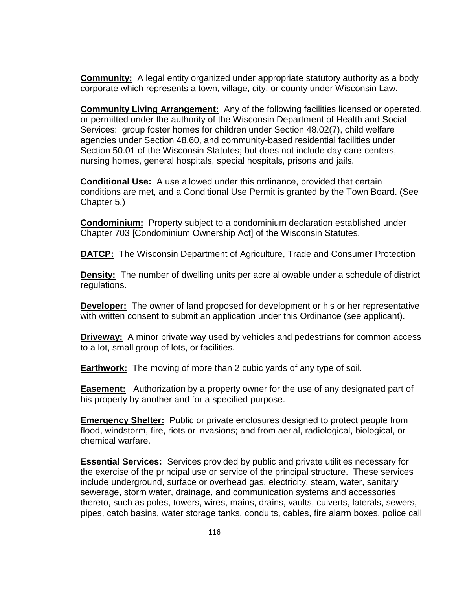**Community:** A legal entity organized under appropriate statutory authority as a body corporate which represents a town, village, city, or county under Wisconsin Law.

**Community Living Arrangement:** Any of the following facilities licensed or operated, or permitted under the authority of the Wisconsin Department of Health and Social Services: group foster homes for children under Section 48.02(7), child welfare agencies under Section 48.60, and community-based residential facilities under Section 50.01 of the Wisconsin Statutes; but does not include day care centers, nursing homes, general hospitals, special hospitals, prisons and jails.

**Conditional Use:** A use allowed under this ordinance, provided that certain conditions are met, and a Conditional Use Permit is granted by the Town Board. (See Chapter 5.)

**Condominium:** Property subject to a condominium declaration established under Chapter 703 [Condominium Ownership Act] of the Wisconsin Statutes.

**DATCP:** The Wisconsin Department of Agriculture, Trade and Consumer Protection

**Density:** The number of dwelling units per acre allowable under a schedule of district regulations.

**Developer:** The owner of land proposed for development or his or her representative with written consent to submit an application under this Ordinance (see applicant).

**Driveway:** A minor private way used by vehicles and pedestrians for common access to a lot, small group of lots, or facilities.

**Earthwork:** The moving of more than 2 cubic yards of any type of soil.

**Easement:** Authorization by a property owner for the use of any designated part of his property by another and for a specified purpose.

**Emergency Shelter:** Public or private enclosures designed to protect people from flood, windstorm, fire, riots or invasions; and from aerial, radiological, biological, or chemical warfare.

**Essential Services:** Services provided by public and private utilities necessary for the exercise of the principal use or service of the principal structure. These services include underground, surface or overhead gas, electricity, steam, water, sanitary sewerage, storm water, drainage, and communication systems and accessories thereto, such as poles, towers, wires, mains, drains, vaults, culverts, laterals, sewers, pipes, catch basins, water storage tanks, conduits, cables, fire alarm boxes, police call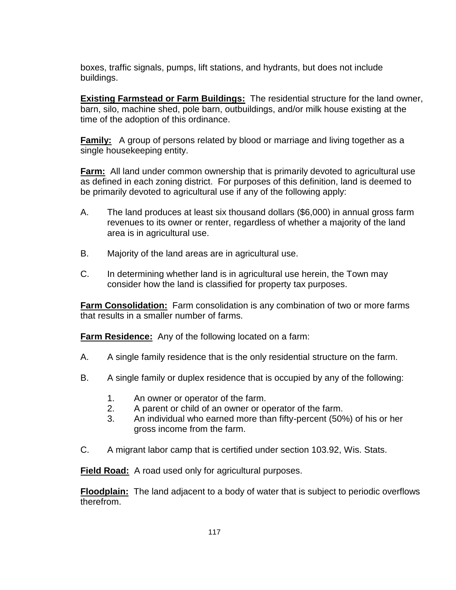boxes, traffic signals, pumps, lift stations, and hydrants, but does not include buildings.

**Existing Farmstead or Farm Buildings:** The residential structure for the land owner, barn, silo, machine shed, pole barn, outbuildings, and/or milk house existing at the time of the adoption of this ordinance.

**Family:** A group of persons related by blood or marriage and living together as a single housekeeping entity.

**Farm:** All land under common ownership that is primarily devoted to agricultural use as defined in each zoning district. For purposes of this definition, land is deemed to be primarily devoted to agricultural use if any of the following apply:

- A. The land produces at least six thousand dollars (\$6,000) in annual gross farm revenues to its owner or renter, regardless of whether a majority of the land area is in agricultural use.
- B. Majority of the land areas are in agricultural use.
- C. In determining whether land is in agricultural use herein, the Town may consider how the land is classified for property tax purposes.

**Farm Consolidation:** Farm consolidation is any combination of two or more farms that results in a smaller number of farms.

**Farm Residence:** Any of the following located on a farm:

- A. A single family residence that is the only residential structure on the farm.
- B. A single family or duplex residence that is occupied by any of the following:
	- 1. An owner or operator of the farm.
	- 2. A parent or child of an owner or operator of the farm.
	- 3. An individual who earned more than fifty-percent (50%) of his or her gross income from the farm.
- C. A migrant labor camp that is certified under section 103.92, Wis. Stats.

**Field Road:** A road used only for agricultural purposes.

**Floodplain:** The land adjacent to a body of water that is subject to periodic overflows therefrom.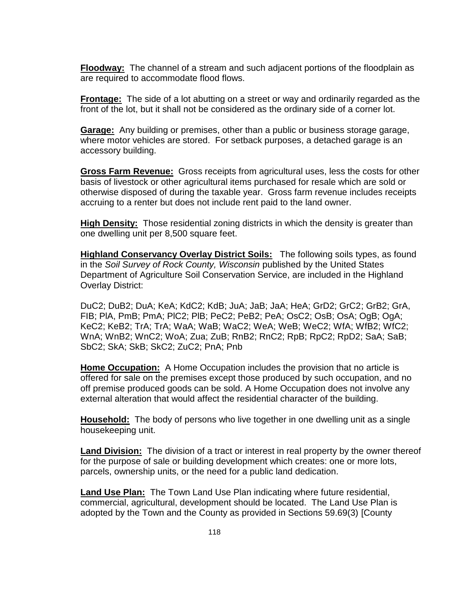**Floodway:** The channel of a stream and such adjacent portions of the floodplain as are required to accommodate flood flows.

**Frontage:** The side of a lot abutting on a street or way and ordinarily regarded as the front of the lot, but it shall not be considered as the ordinary side of a corner lot.

**Garage:** Any building or premises, other than a public or business storage garage, where motor vehicles are stored. For setback purposes, a detached garage is an accessory building.

**Gross Farm Revenue:** Gross receipts from agricultural uses, less the costs for other basis of livestock or other agricultural items purchased for resale which are sold or otherwise disposed of during the taxable year. Gross farm revenue includes receipts accruing to a renter but does not include rent paid to the land owner.

**High Density:** Those residential zoning districts in which the density is greater than one dwelling unit per 8,500 square feet.

**Highland Conservancy Overlay District Soils:** The following soils types, as found in the *Soil Survey of Rock County, Wisconsin* published by the United States Department of Agriculture Soil Conservation Service, are included in the Highland Overlay District:

DuC2; DuB2; DuA; KeA; KdC2; KdB; JuA; JaB; JaA; HeA; GrD2; GrC2; GrB2; GrA, FIB; PlA, PmB; PmA; PlC2; PlB; PeC2; PeB2; PeA; OsC2; OsB; OsA; OgB; OgA; KeC2; KeB2; TrA; TrA; WaA; WaB; WaC2; WeA; WeB; WeC2; WfA; WfB2; WfC2; WnA; WnB2; WnC2; WoA; Zua; ZuB; RnB2; RnC2; RpB; RpC2; RpD2; SaA; SaB; SbC2; SkA; SkB; SkC2; ZuC2; PnA; Pnb

**Home Occupation:** A Home Occupation includes the provision that no article is offered for sale on the premises except those produced by such occupation, and no off premise produced goods can be sold. A Home Occupation does not involve any external alteration that would affect the residential character of the building.

**Household:** The body of persons who live together in one dwelling unit as a single housekeeping unit.

**Land Division:** The division of a tract or interest in real property by the owner thereof for the purpose of sale or building development which creates: one or more lots, parcels, ownership units, or the need for a public land dedication.

**Land Use Plan:** The Town Land Use Plan indicating where future residential, commercial, agricultural, development should be located. The Land Use Plan is adopted by the Town and the County as provided in Sections 59.69(3) [County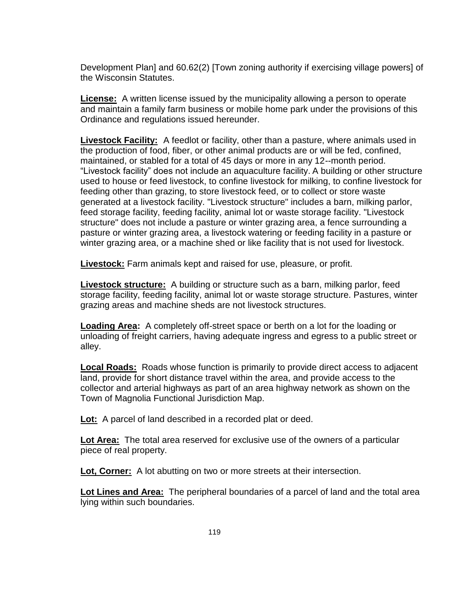Development Plan] and 60.62(2) [Town zoning authority if exercising village powers] of the Wisconsin Statutes.

**License:** A written license issued by the municipality allowing a person to operate and maintain a family farm business or mobile home park under the provisions of this Ordinance and regulations issued hereunder.

**Livestock Facility:** A feedlot or facility, other than a pasture, where animals used in the production of food, fiber, or other animal products are or will be fed, confined, maintained, or stabled for a total of 45 days or more in any 12--month period. "Livestock facility" does not include an aquaculture facility. A building or other structure used to house or feed livestock, to confine livestock for milking, to confine livestock for feeding other than grazing, to store livestock feed, or to collect or store waste generated at a livestock facility. "Livestock structure" includes a barn, milking parlor, feed storage facility, feeding facility, animal lot or waste storage facility. "Livestock structure" does not include a pasture or winter grazing area, a fence surrounding a pasture or winter grazing area, a livestock watering or feeding facility in a pasture or winter grazing area, or a machine shed or like facility that is not used for livestock.

**Livestock:** Farm animals kept and raised for use, pleasure, or profit.

**Livestock structure:** A building or structure such as a barn, milking parlor, feed storage facility, feeding facility, animal lot or waste storage structure. Pastures, winter grazing areas and machine sheds are not livestock structures.

**Loading Area:** A completely off-street space or berth on a lot for the loading or unloading of freight carriers, having adequate ingress and egress to a public street or alley.

**Local Roads:** Roads whose function is primarily to provide direct access to adjacent land, provide for short distance travel within the area, and provide access to the collector and arterial highways as part of an area highway network as shown on the Town of Magnolia Functional Jurisdiction Map.

**Lot:** A parcel of land described in a recorded plat or deed.

**Lot Area:** The total area reserved for exclusive use of the owners of a particular piece of real property.

**Lot, Corner:** A lot abutting on two or more streets at their intersection.

**Lot Lines and Area:** The peripheral boundaries of a parcel of land and the total area lying within such boundaries.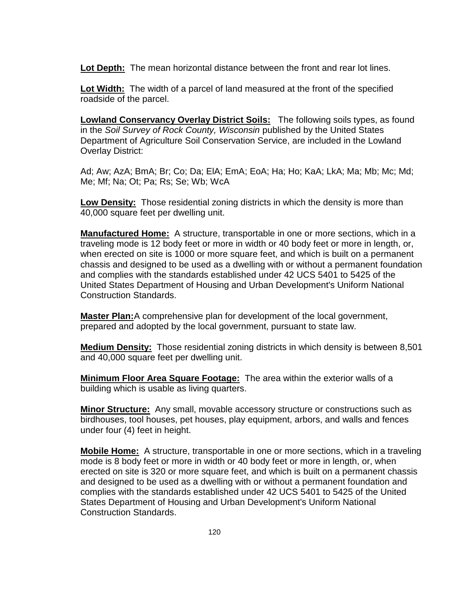**Lot Depth:** The mean horizontal distance between the front and rear lot lines.

**Lot Width:** The width of a parcel of land measured at the front of the specified roadside of the parcel.

**Lowland Conservancy Overlay District Soils:** The following soils types, as found in the *Soil Survey of Rock County, Wisconsin* published by the United States Department of Agriculture Soil Conservation Service, are included in the Lowland Overlay District:

Ad; Aw; AzA; BmA; Br; Co; Da; ElA; EmA; EoA; Ha; Ho; KaA; LkA; Ma; Mb; Mc; Md; Me; Mf; Na; Ot; Pa; Rs; Se; Wb; WcA

**Low Density:** Those residential zoning districts in which the density is more than 40,000 square feet per dwelling unit.

**Manufactured Home:** A structure, transportable in one or more sections, which in a traveling mode is 12 body feet or more in width or 40 body feet or more in length, or, when erected on site is 1000 or more square feet, and which is built on a permanent chassis and designed to be used as a dwelling with or without a permanent foundation and complies with the standards established under 42 UCS 5401 to 5425 of the United States Department of Housing and Urban Development's Uniform National Construction Standards.

**Master Plan:**A comprehensive plan for development of the local government, prepared and adopted by the local government, pursuant to state law.

**Medium Density:** Those residential zoning districts in which density is between 8,501 and 40,000 square feet per dwelling unit.

**Minimum Floor Area Square Footage:** The area within the exterior walls of a building which is usable as living quarters.

**Minor Structure:** Any small, movable accessory structure or constructions such as birdhouses, tool houses, pet houses, play equipment, arbors, and walls and fences under four (4) feet in height.

**Mobile Home:** A structure, transportable in one or more sections, which in a traveling mode is 8 body feet or more in width or 40 body feet or more in length, or, when erected on site is 320 or more square feet, and which is built on a permanent chassis and designed to be used as a dwelling with or without a permanent foundation and complies with the standards established under 42 UCS 5401 to 5425 of the United States Department of Housing and Urban Development's Uniform National Construction Standards.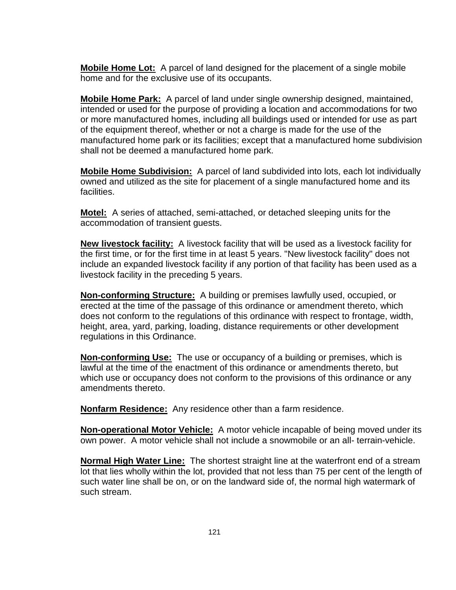**Mobile Home Lot:** A parcel of land designed for the placement of a single mobile home and for the exclusive use of its occupants.

**Mobile Home Park:** A parcel of land under single ownership designed, maintained, intended or used for the purpose of providing a location and accommodations for two or more manufactured homes, including all buildings used or intended for use as part of the equipment thereof, whether or not a charge is made for the use of the manufactured home park or its facilities; except that a manufactured home subdivision shall not be deemed a manufactured home park.

**Mobile Home Subdivision:** A parcel of land subdivided into lots, each lot individually owned and utilized as the site for placement of a single manufactured home and its facilities.

**Motel:** A series of attached, semi-attached, or detached sleeping units for the accommodation of transient guests.

**New livestock facility:** A livestock facility that will be used as a livestock facility for the first time, or for the first time in at least 5 years. "New livestock facility" does not include an expanded livestock facility if any portion of that facility has been used as a livestock facility in the preceding 5 years.

**Non-conforming Structure:** A building or premises lawfully used, occupied, or erected at the time of the passage of this ordinance or amendment thereto, which does not conform to the regulations of this ordinance with respect to frontage, width, height, area, yard, parking, loading, distance requirements or other development regulations in this Ordinance.

**Non-conforming Use:** The use or occupancy of a building or premises, which is lawful at the time of the enactment of this ordinance or amendments thereto, but which use or occupancy does not conform to the provisions of this ordinance or any amendments thereto.

**Nonfarm Residence:** Any residence other than a farm residence.

**Non-operational Motor Vehicle:** A motor vehicle incapable of being moved under its own power. A motor vehicle shall not include a snowmobile or an all- terrain-vehicle.

**Normal High Water Line:** The shortest straight line at the waterfront end of a stream lot that lies wholly within the lot, provided that not less than 75 per cent of the length of such water line shall be on, or on the landward side of, the normal high watermark of such stream.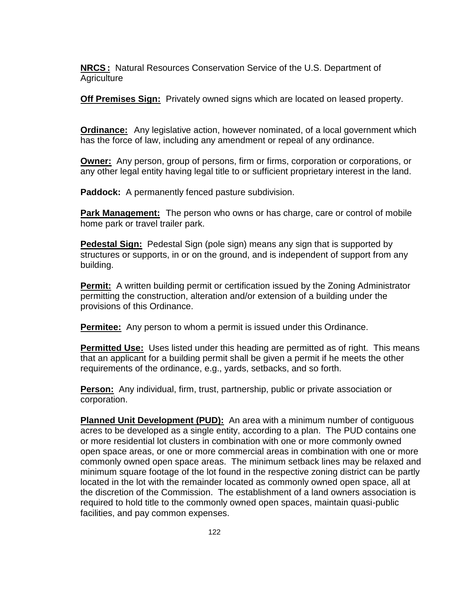**NRCS :** Natural Resources Conservation Service of the U.S. Department of **Agriculture** 

**Off Premises Sign:** Privately owned signs which are located on leased property.

**Ordinance:** Any legislative action, however nominated, of a local government which has the force of law, including any amendment or repeal of any ordinance.

**Owner:** Any person, group of persons, firm or firms, corporation or corporations, or any other legal entity having legal title to or sufficient proprietary interest in the land.

**Paddock:** A permanently fenced pasture subdivision.

**Park Management:** The person who owns or has charge, care or control of mobile home park or travel trailer park.

**Pedestal Sign:** Pedestal Sign (pole sign) means any sign that is supported by structures or supports, in or on the ground, and is independent of support from any building.

**Permit:** A written building permit or certification issued by the Zoning Administrator permitting the construction, alteration and/or extension of a building under the provisions of this Ordinance.

**Permitee:** Any person to whom a permit is issued under this Ordinance.

**Permitted Use:** Uses listed under this heading are permitted as of right. This means that an applicant for a building permit shall be given a permit if he meets the other requirements of the ordinance, e.g., yards, setbacks, and so forth.

**Person:** Any individual, firm, trust, partnership, public or private association or corporation.

**Planned Unit Development (PUD):** An area with a minimum number of contiguous acres to be developed as a single entity, according to a plan. The PUD contains one or more residential lot clusters in combination with one or more commonly owned open space areas, or one or more commercial areas in combination with one or more commonly owned open space areas. The minimum setback lines may be relaxed and minimum square footage of the lot found in the respective zoning district can be partly located in the lot with the remainder located as commonly owned open space, all at the discretion of the Commission. The establishment of a land owners association is required to hold title to the commonly owned open spaces, maintain quasi-public facilities, and pay common expenses.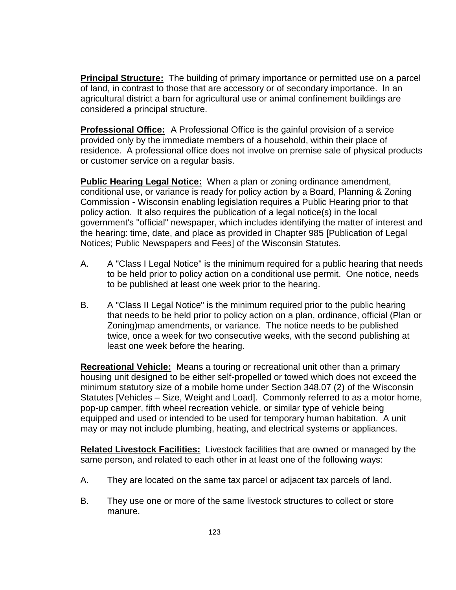**Principal Structure:** The building of primary importance or permitted use on a parcel of land, in contrast to those that are accessory or of secondary importance. In an agricultural district a barn for agricultural use or animal confinement buildings are considered a principal structure.

**Professional Office:** A Professional Office is the gainful provision of a service provided only by the immediate members of a household, within their place of residence. A professional office does not involve on premise sale of physical products or customer service on a regular basis.

**Public Hearing Legal Notice:** When a plan or zoning ordinance amendment, conditional use, or variance is ready for policy action by a Board, Planning & Zoning Commission - Wisconsin enabling legislation requires a Public Hearing prior to that policy action. It also requires the publication of a legal notice(s) in the local government's "official" newspaper, which includes identifying the matter of interest and the hearing: time, date, and place as provided in Chapter 985 [Publication of Legal Notices; Public Newspapers and Fees] of the Wisconsin Statutes.

- A. A "Class I Legal Notice" is the minimum required for a public hearing that needs to be held prior to policy action on a conditional use permit. One notice, needs to be published at least one week prior to the hearing.
- B. A "Class II Legal Notice" is the minimum required prior to the public hearing that needs to be held prior to policy action on a plan, ordinance, official (Plan or Zoning)map amendments, or variance. The notice needs to be published twice, once a week for two consecutive weeks, with the second publishing at least one week before the hearing.

**Recreational Vehicle:** Means a touring or recreational unit other than a primary housing unit designed to be either self-propelled or towed which does not exceed the minimum statutory size of a mobile home under Section 348.07 (2) of the Wisconsin Statutes [Vehicles – Size, Weight and Load]. Commonly referred to as a motor home, pop-up camper, fifth wheel recreation vehicle, or similar type of vehicle being equipped and used or intended to be used for temporary human habitation. A unit may or may not include plumbing, heating, and electrical systems or appliances.

**Related Livestock Facilities:** Livestock facilities that are owned or managed by the same person, and related to each other in at least one of the following ways:

- A. They are located on the same tax parcel or adjacent tax parcels of land.
- B. They use one or more of the same livestock structures to collect or store manure.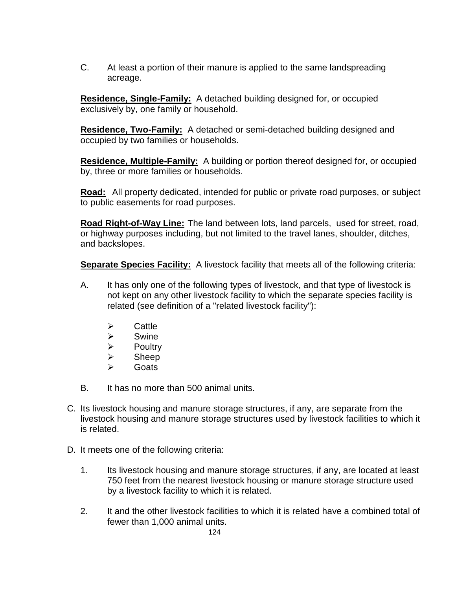C. At least a portion of their manure is applied to the same landspreading acreage.

**Residence, Single-Family:** A detached building designed for, or occupied exclusively by, one family or household.

**Residence, Two-Family:** A detached or semi-detached building designed and occupied by two families or households.

**Residence, Multiple-Family:** A building or portion thereof designed for, or occupied by, three or more families or households.

**Road:** All property dedicated, intended for public or private road purposes, or subject to public easements for road purposes.

**Road Right-of-Way Line:** The land between lots, land parcels, used for street, road, or highway purposes including, but not limited to the travel lanes, shoulder, ditches, and backslopes.

Separate Species Facility: A livestock facility that meets all of the following criteria:

- A. It has only one of the following types of livestock, and that type of livestock is not kept on any other livestock facility to which the separate species facility is related (see definition of a "related livestock facility"):
	- $\triangleright$  Cattle
	- $\triangleright$  Swine
	- $\triangleright$  Poultry
	- $\triangleright$  Sheep
	- **►** Goats
- B. It has no more than 500 animal units.
- C. Its livestock housing and manure storage structures, if any, are separate from the livestock housing and manure storage structures used by livestock facilities to which it is related.
- D. It meets one of the following criteria:
	- 1. Its livestock housing and manure storage structures, if any, are located at least 750 feet from the nearest livestock housing or manure storage structure used by a livestock facility to which it is related.
	- 2. It and the other livestock facilities to which it is related have a combined total of fewer than 1,000 animal units.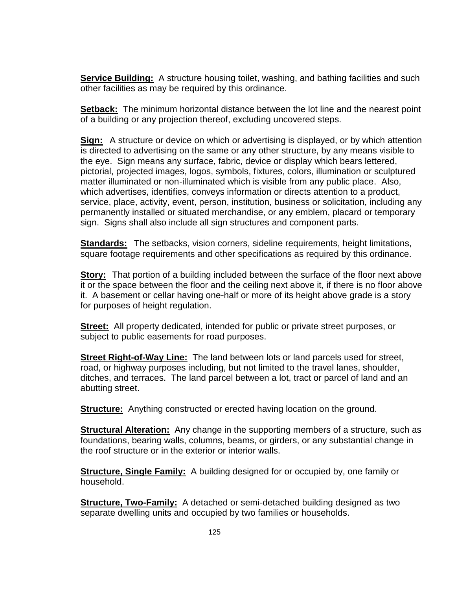**Service Building:** A structure housing toilet, washing, and bathing facilities and such other facilities as may be required by this ordinance.

**Setback:** The minimum horizontal distance between the lot line and the nearest point of a building or any projection thereof, excluding uncovered steps.

**Sign:** A structure or device on which or advertising is displayed, or by which attention is directed to advertising on the same or any other structure, by any means visible to the eye. Sign means any surface, fabric, device or display which bears lettered, pictorial, projected images, logos, symbols, fixtures, colors, illumination or sculptured matter illuminated or non-illuminated which is visible from any public place. Also, which advertises, identifies, conveys information or directs attention to a product, service, place, activity, event, person, institution, business or solicitation, including any permanently installed or situated merchandise, or any emblem, placard or temporary sign. Signs shall also include all sign structures and component parts.

**Standards:** The setbacks, vision corners, sideline requirements, height limitations, square footage requirements and other specifications as required by this ordinance.

**Story:** That portion of a building included between the surface of the floor next above it or the space between the floor and the ceiling next above it, if there is no floor above it. A basement or cellar having one-half or more of its height above grade is a story for purposes of height regulation.

**Street:** All property dedicated, intended for public or private street purposes, or subject to public easements for road purposes.

**Street Right-of-Way Line:** The land between lots or land parcels used for street, road, or highway purposes including, but not limited to the travel lanes, shoulder, ditches, and terraces. The land parcel between a lot, tract or parcel of land and an abutting street.

**Structure:** Anything constructed or erected having location on the ground.

**Structural Alteration:** Any change in the supporting members of a structure, such as foundations, bearing walls, columns, beams, or girders, or any substantial change in the roof structure or in the exterior or interior walls.

**Structure, Single Family:** A building designed for or occupied by, one family or household.

**Structure, Two-Family:** A detached or semi-detached building designed as two separate dwelling units and occupied by two families or households.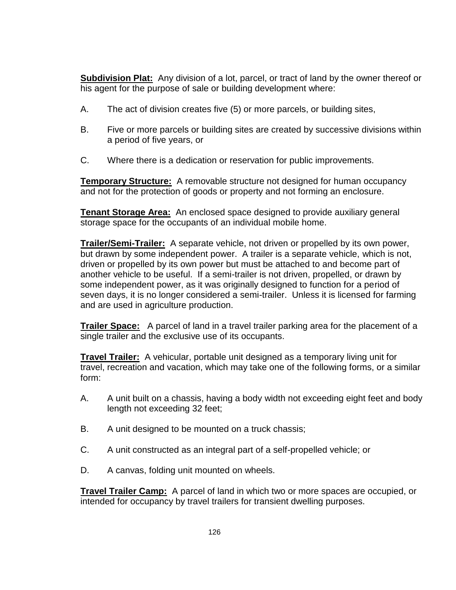**Subdivision Plat:** Any division of a lot, parcel, or tract of land by the owner thereof or his agent for the purpose of sale or building development where:

- A. The act of division creates five (5) or more parcels, or building sites,
- B. Five or more parcels or building sites are created by successive divisions within a period of five years, or
- C. Where there is a dedication or reservation for public improvements.

**Temporary Structure:** A removable structure not designed for human occupancy and not for the protection of goods or property and not forming an enclosure.

**Tenant Storage Area:** An enclosed space designed to provide auxiliary general storage space for the occupants of an individual mobile home.

**Trailer/Semi-Trailer:** A separate vehicle, not driven or propelled by its own power, but drawn by some independent power. A trailer is a separate vehicle, which is not, driven or propelled by its own power but must be attached to and become part of another vehicle to be useful. If a semi-trailer is not driven, propelled, or drawn by some independent power, as it was originally designed to function for a period of seven days, it is no longer considered a semi-trailer. Unless it is licensed for farming and are used in agriculture production.

**Trailer Space:** A parcel of land in a travel trailer parking area for the placement of a single trailer and the exclusive use of its occupants.

**Travel Trailer:** A vehicular, portable unit designed as a temporary living unit for travel, recreation and vacation, which may take one of the following forms, or a similar form:

- A. A unit built on a chassis, having a body width not exceeding eight feet and body length not exceeding 32 feet;
- B. A unit designed to be mounted on a truck chassis;
- C. A unit constructed as an integral part of a self-propelled vehicle; or
- D. A canvas, folding unit mounted on wheels.

**Travel Trailer Camp:** A parcel of land in which two or more spaces are occupied, or intended for occupancy by travel trailers for transient dwelling purposes.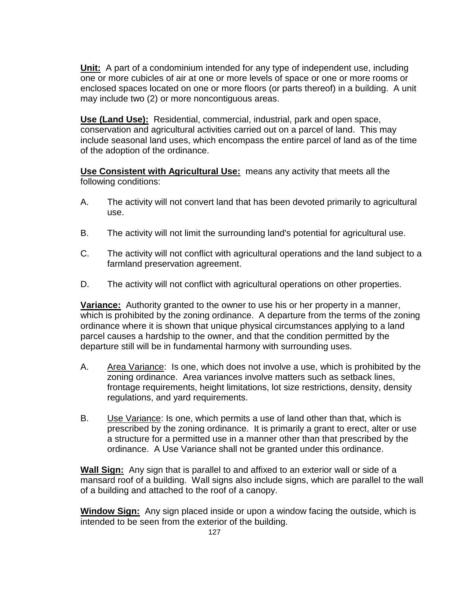**Unit:** A part of a condominium intended for any type of independent use, including one or more cubicles of air at one or more levels of space or one or more rooms or enclosed spaces located on one or more floors (or parts thereof) in a building. A unit may include two (2) or more noncontiguous areas.

**Use (Land Use):** Residential, commercial, industrial, park and open space, conservation and agricultural activities carried out on a parcel of land. This may include seasonal land uses, which encompass the entire parcel of land as of the time of the adoption of the ordinance.

**Use Consistent with Agricultural Use:** means any activity that meets all the following conditions:

- A. The activity will not convert land that has been devoted primarily to agricultural use.
- B. The activity will not limit the surrounding land's potential for agricultural use.
- C. The activity will not conflict with agricultural operations and the land subject to a farmland preservation agreement.
- D. The activity will not conflict with agricultural operations on other properties.

**Variance:** Authority granted to the owner to use his or her property in a manner, which is prohibited by the zoning ordinance. A departure from the terms of the zoning ordinance where it is shown that unique physical circumstances applying to a land parcel causes a hardship to the owner, and that the condition permitted by the departure still will be in fundamental harmony with surrounding uses.

- A. Area Variance: Is one, which does not involve a use, which is prohibited by the zoning ordinance. Area variances involve matters such as setback lines, frontage requirements, height limitations, lot size restrictions, density, density regulations, and yard requirements.
- B. Use Variance: Is one, which permits a use of land other than that, which is prescribed by the zoning ordinance. It is primarily a grant to erect, alter or use a structure for a permitted use in a manner other than that prescribed by the ordinance. A Use Variance shall not be granted under this ordinance.

**Wall Sign:** Any sign that is parallel to and affixed to an exterior wall or side of a mansard roof of a building. Wall signs also include signs, which are parallel to the wall of a building and attached to the roof of a canopy.

**Window Sign:** Any sign placed inside or upon a window facing the outside, which is intended to be seen from the exterior of the building.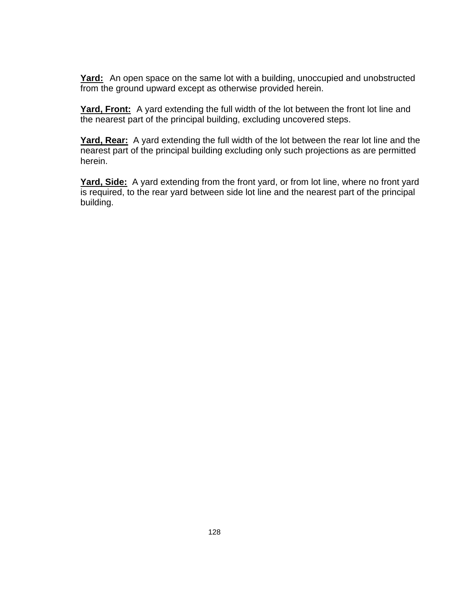**Yard:** An open space on the same lot with a building, unoccupied and unobstructed from the ground upward except as otherwise provided herein.

Yard, Front: A yard extending the full width of the lot between the front lot line and the nearest part of the principal building, excluding uncovered steps.

**Yard, Rear:** A yard extending the full width of the lot between the rear lot line and the nearest part of the principal building excluding only such projections as are permitted herein.

**Yard, Side:** A yard extending from the front yard, or from lot line, where no front yard is required, to the rear yard between side lot line and the nearest part of the principal building.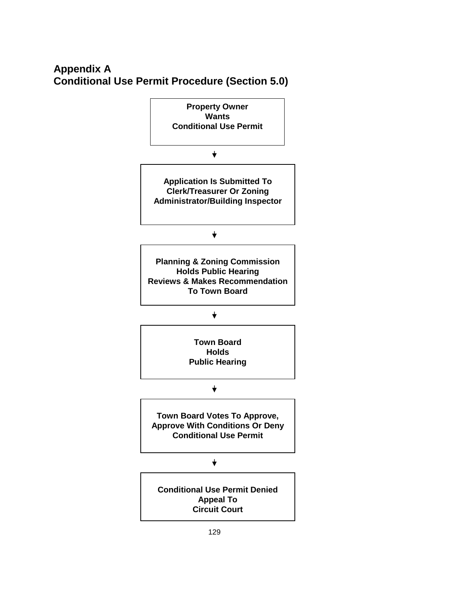# **Appendix A Conditional Use Permit Procedure (Section 5.0)**

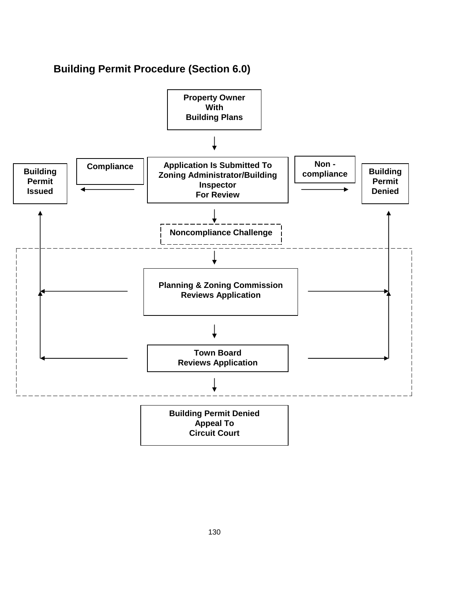# **Building Permit Procedure (Section 6.0)**